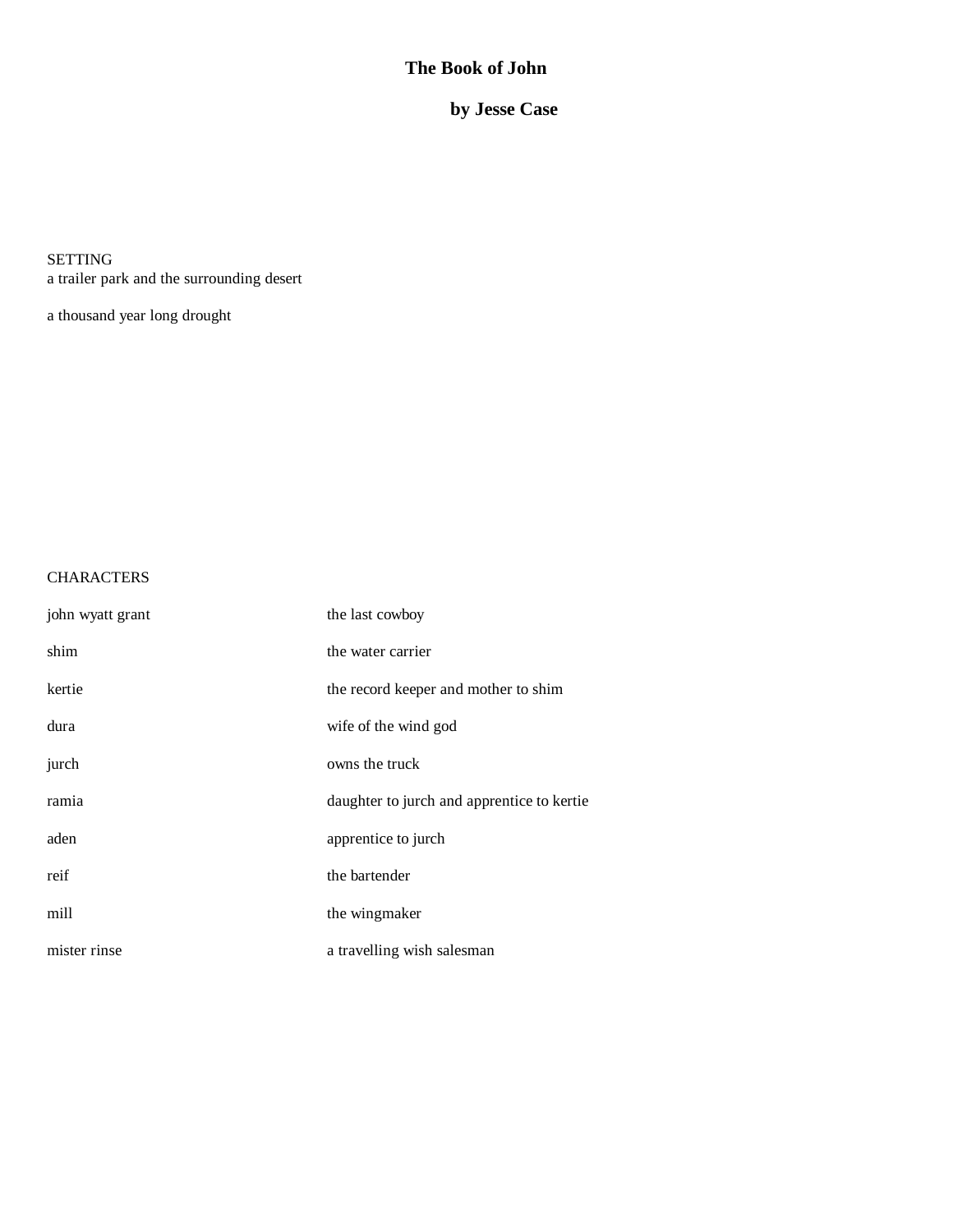# **The Book of John**

 **by Jesse Case**

SETTING a trailer park and the surrounding desert

a thousand year long drought

# **CHARACTERS**

| john wyatt grant | the last cowboy                            |
|------------------|--------------------------------------------|
| shim             | the water carrier                          |
| kertie           | the record keeper and mother to shim       |
| dura             | wife of the wind god                       |
| jurch            | owns the truck                             |
| ramia            | daughter to jurch and apprentice to kertie |
| aden             | apprentice to jurch                        |
| reif             | the bartender                              |
| mill             | the wingmaker                              |
| mister rinse     | a travelling wish salesman                 |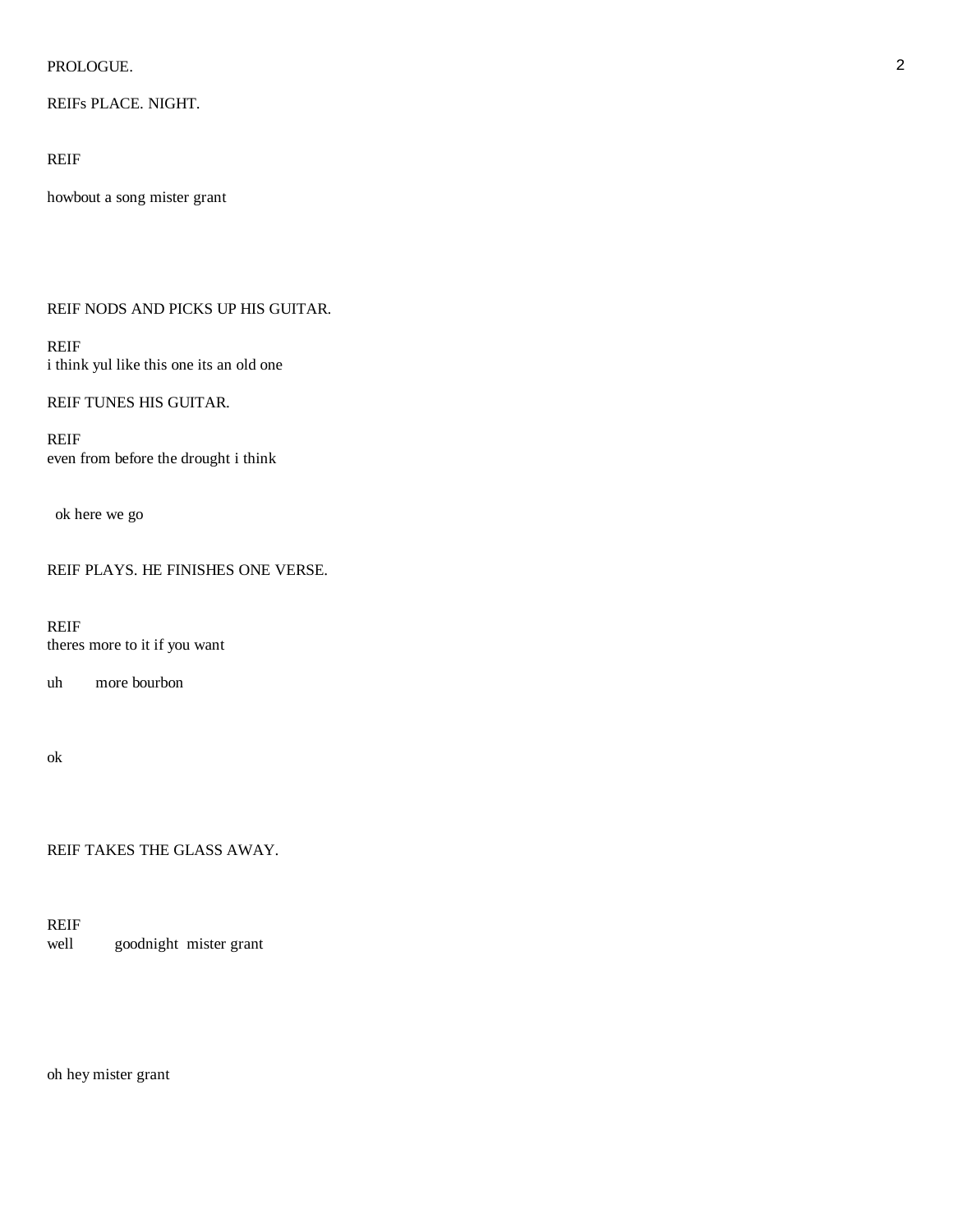### PROLOGUE. 22 and 22 and 23 and 23 and 23 and 23 and 23 and 23 and 24 and 25 and 26 and 26 and 26 and 26 and 26

# REIFs PLACE. NIGHT.

# REIF

howbout a song mister grant

# REIF NODS AND PICKS UP HIS GUITAR.

# REIF i think yul like this one its an old one

### REIF TUNES HIS GUITAR.

REIF even from before the drought i think

ok here we go

REIF PLAYS. HE FINISHES ONE VERSE.

REIF theres more to it if you want

uh more bourbon

ok

REIF TAKES THE GLASS AWAY.

REIF<br>well goodnight mister grant

oh hey mister grant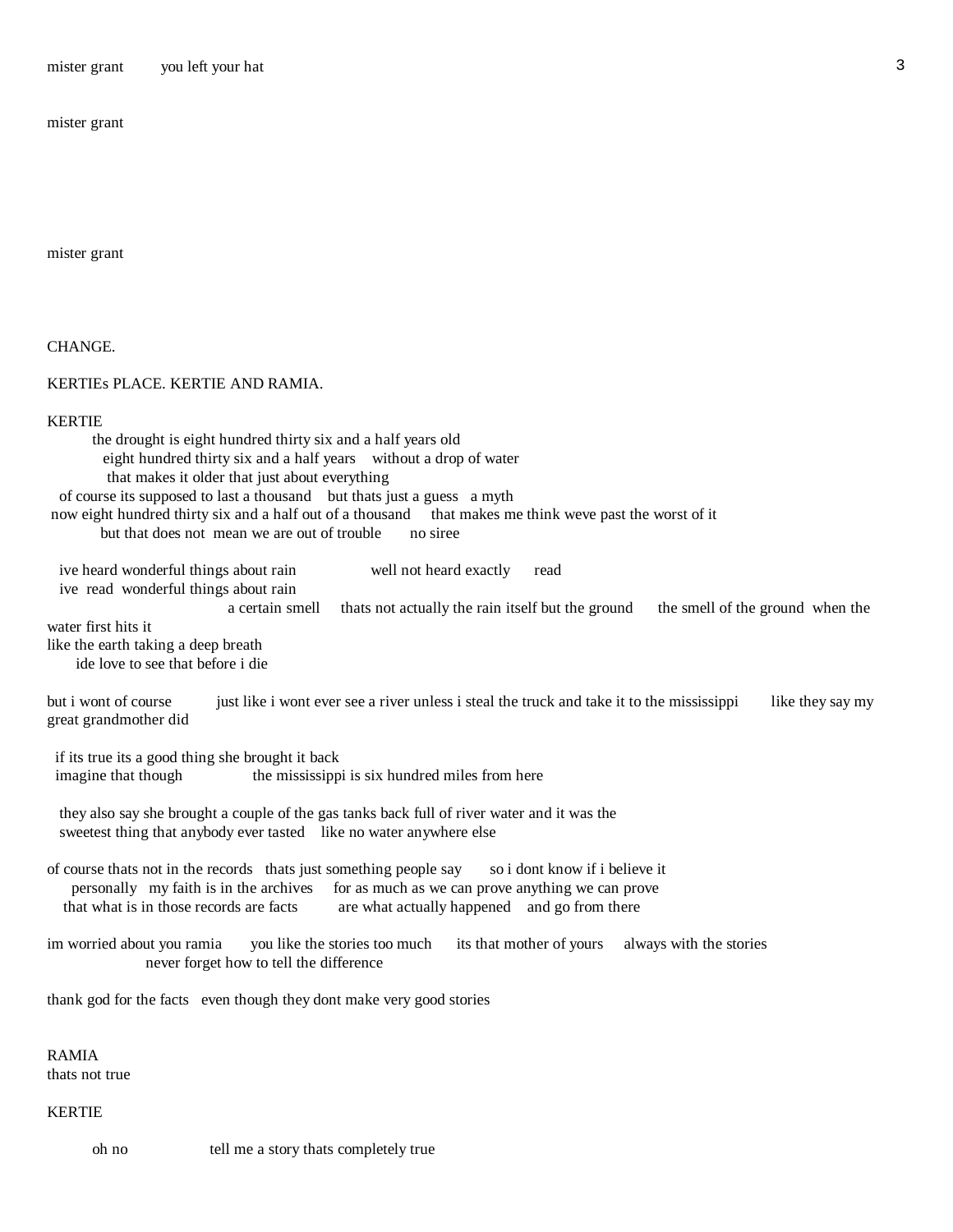mister grant you left your hat 3

mister grant

mister grant

CHANGE.

# KERTIEs PLACE. KERTIE AND RAMIA.

### KERTIE

| the drought is eight hundred thirty six and a half years old                                                                          |
|---------------------------------------------------------------------------------------------------------------------------------------|
| eight hundred thirty six and a half years without a drop of water                                                                     |
| that makes it older that just about everything                                                                                        |
| of course its supposed to last a thousand but thats just a guess a myth                                                               |
| now eight hundred thirty six and a half out of a thousand that makes me think weve past the worst of it                               |
| but that does not mean we are out of trouble<br>no siree                                                                              |
|                                                                                                                                       |
| ive heard wonderful things about rain<br>well not heard exactly<br>read                                                               |
| ive read wonderful things about rain                                                                                                  |
| a certain smell<br>thats not actually the rain itself but the ground<br>the smell of the ground when the                              |
| water first hits it                                                                                                                   |
| like the earth taking a deep breath                                                                                                   |
| ide love to see that before i die                                                                                                     |
|                                                                                                                                       |
| but i wont of course<br>just like i wont ever see a river unless i steal the truck and take it to the mississippi<br>like they say my |
| great grandmother did                                                                                                                 |
|                                                                                                                                       |
| if its true its a good thing she brought it back                                                                                      |
| imagine that though<br>the mississippi is six hundred miles from here                                                                 |
|                                                                                                                                       |
| they also say she brought a couple of the gas tanks back full of river water and it was the                                           |
| sweetest thing that anybody ever tasted like no water anywhere else                                                                   |
|                                                                                                                                       |
|                                                                                                                                       |
| of course thats not in the records thats just something people say<br>so i dont know if i believe it                                  |
| personally my faith is in the archives<br>for as much as we can prove anything we can prove                                           |
| that what is in those records are facts<br>are what actually happened and go from there                                               |
|                                                                                                                                       |
| you like the stories too much<br>its that mother of yours<br>im worried about you ramia<br>always with the stories                    |
| never forget how to tell the difference                                                                                               |
|                                                                                                                                       |
| thank god for the facts even though they dont make very good stories                                                                  |
|                                                                                                                                       |
|                                                                                                                                       |
| <b>RAMIA</b>                                                                                                                          |
| thats not true                                                                                                                        |
|                                                                                                                                       |
| <b>KERTIE</b>                                                                                                                         |

oh no tell me a story thats completely true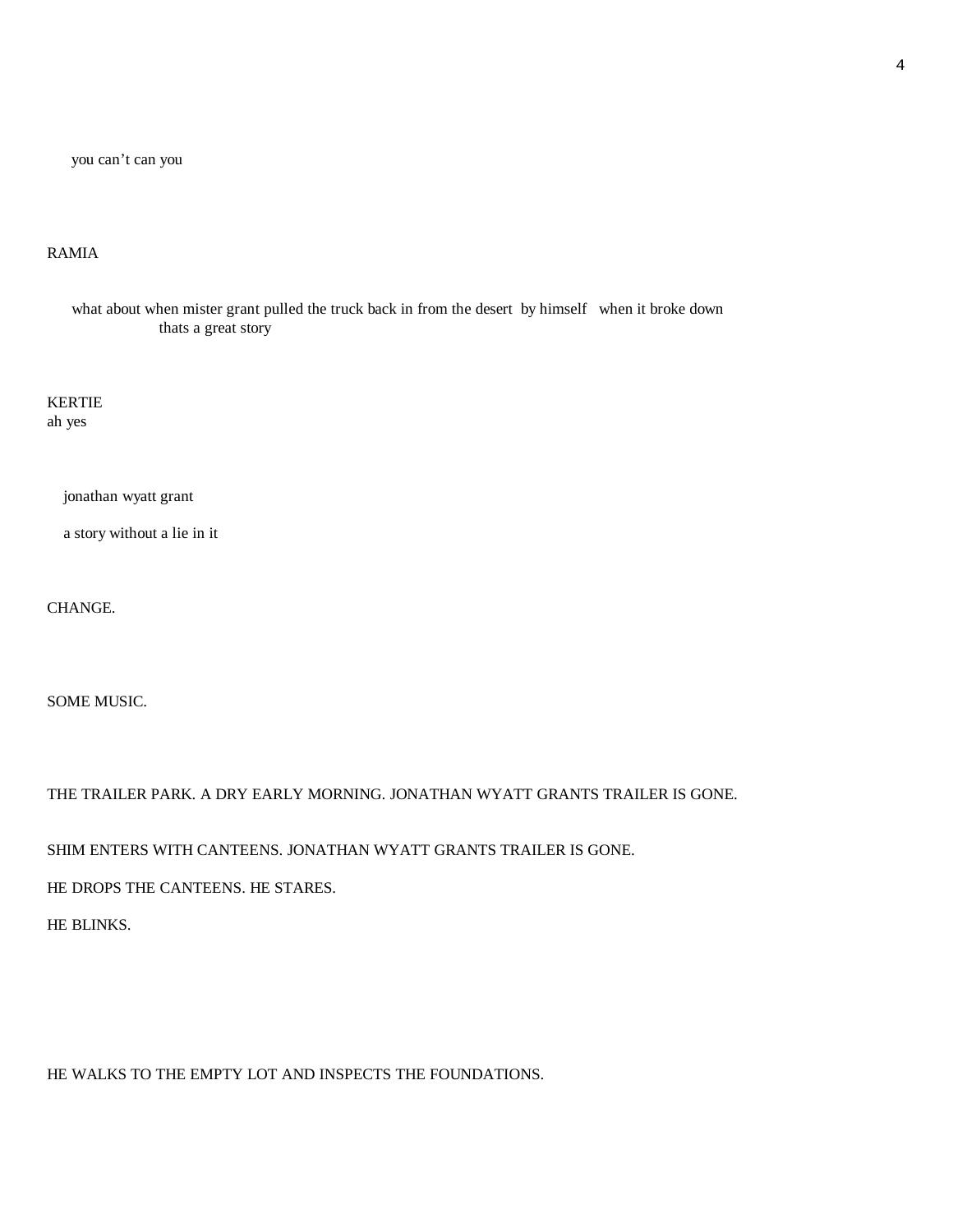you can't can you

# RAMIA

 what about when mister grant pulled the truck back in from the desert by himself when it broke down thats a great story

KERTIE ah yes

jonathan wyatt grant

a story without a lie in it

CHANGE.

SOME MUSIC.

THE TRAILER PARK. A DRY EARLY MORNING. JONATHAN WYATT GRANTS TRAILER IS GONE.

SHIM ENTERS WITH CANTEENS. JONATHAN WYATT GRANTS TRAILER IS GONE.

HE DROPS THE CANTEENS. HE STARES.

HE BLINKS.

HE WALKS TO THE EMPTY LOT AND INSPECTS THE FOUNDATIONS.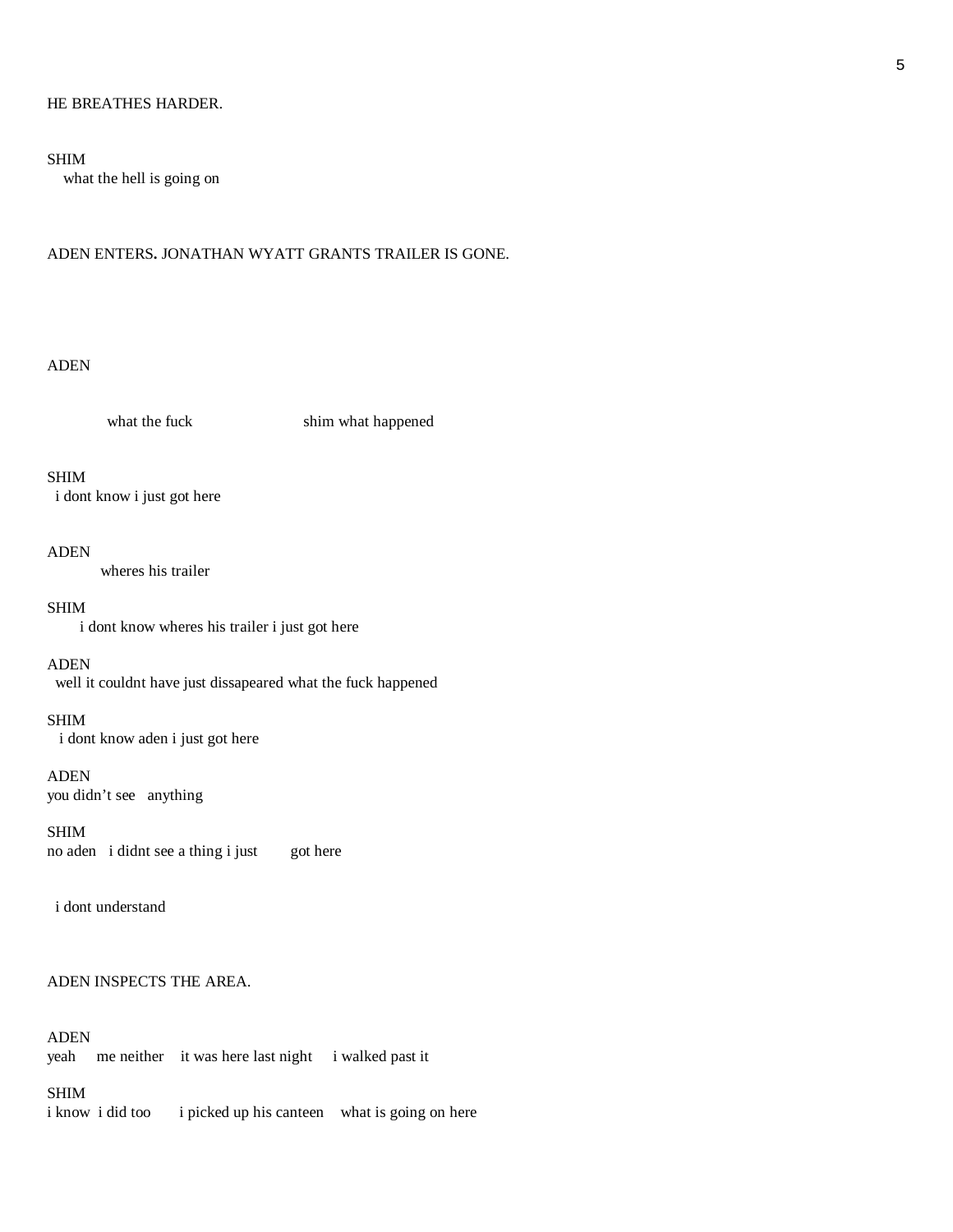### HE BREATHES HARDER.

### SHIM

what the hell is going on

#### ADEN ENTERS**.** JONATHAN WYATT GRANTS TRAILER IS GONE.

### ADEN

what the fuck shim what happened

### SHIM

i dont know i just got here

#### ADEN

wheres his trailer

### SHIM

i dont know wheres his trailer i just got here

#### ADEN

well it couldnt have just dissapeared what the fuck happened

### SHIM

i dont know aden i just got here

### ADEN

you didn't see anything

SHIM no aden i didnt see a thing i just got here

i dont understand

### ADEN INSPECTS THE AREA.

### ADEN

yeah me neither it was here last night i walked past it

#### SHIM

i know i did too i picked up his canteen what is going on here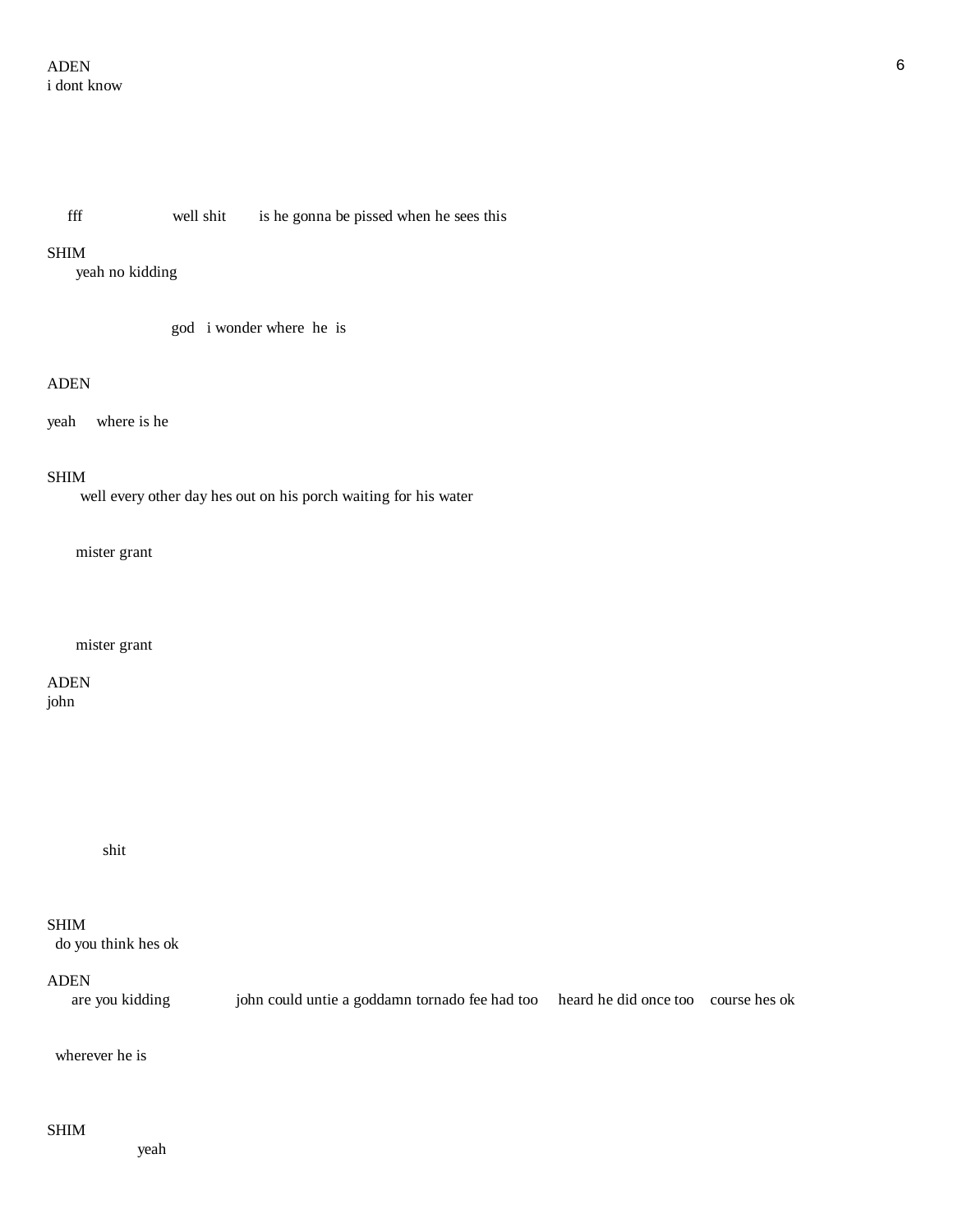fff well shit is he gonna be pissed when he sees this

### SHIM

yeah no kidding

god i wonder where he is

### ADEN

yeah where is he

#### SHIM

well every other day hes out on his porch waiting for his water

mister grant

### mister grant

ADEN john

shit

### SHIM

do you think hes ok

### ADEN

are you kidding john could untie a goddamn tornado fee had too heard he did once too course hes ok

### wherever he is

### SHIM

yeah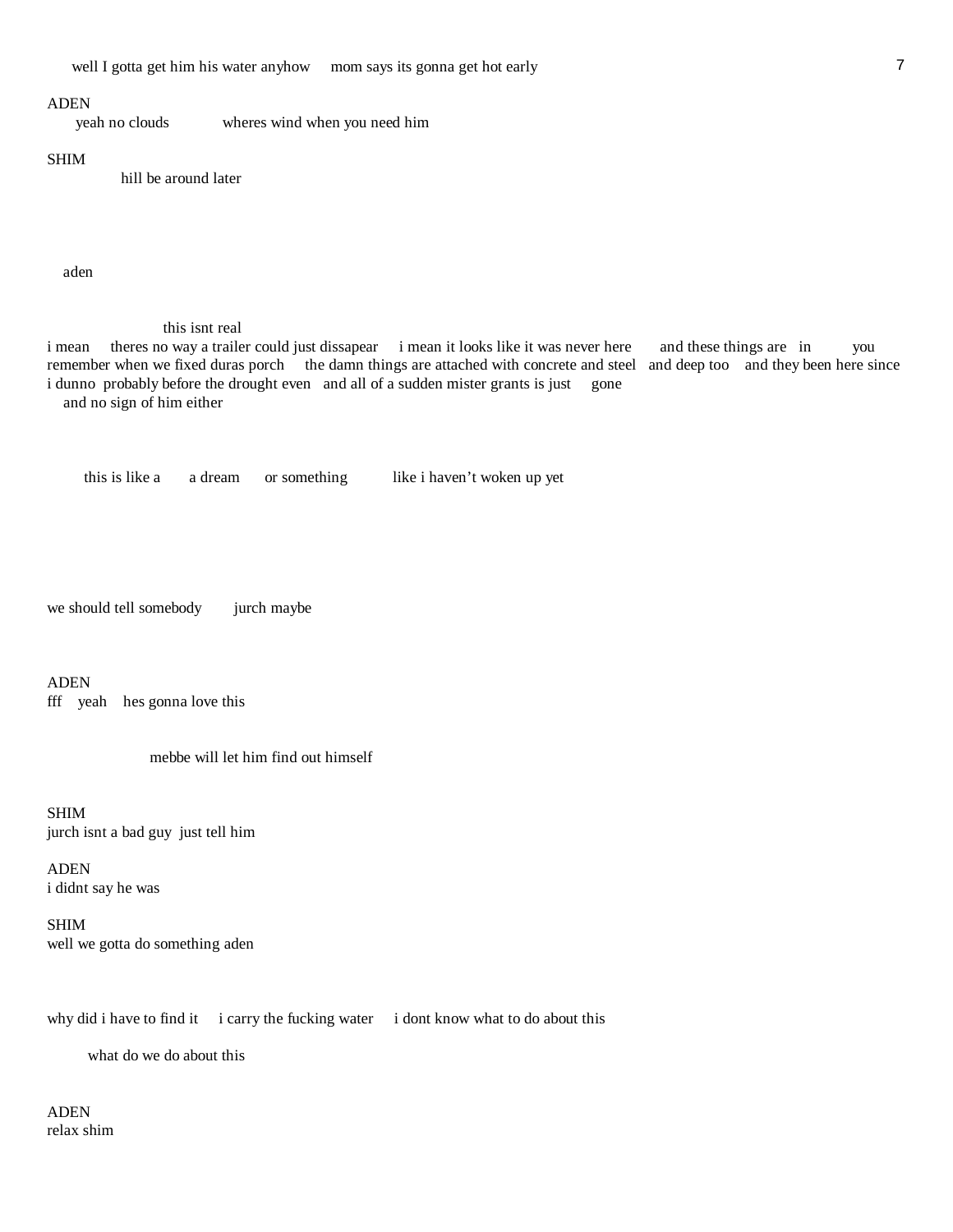#### ADEN

yeah no clouds wheres wind when you need him

#### SHIM

hill be around later

aden

#### this isnt real

i mean theres no way a trailer could just dissapear i mean it looks like it was never here and these things are in you remember when we fixed duras porch the damn things are attached with concrete and steel and deep too and they been here since i dunno probably before the drought even and all of a sudden mister grants is just gone and no sign of him either

this is like a a dream or something like i haven't woken up yet

we should tell somebody jurch maybe

ADEN

fff yeah hes gonna love this

mebbe will let him find out himself

SHIM jurch isnt a bad guy just tell him

ADEN i didnt say he was

SHIM well we gotta do something aden

why did i have to find it i carry the fucking water i dont know what to do about this

what do we do about this

ADEN relax shim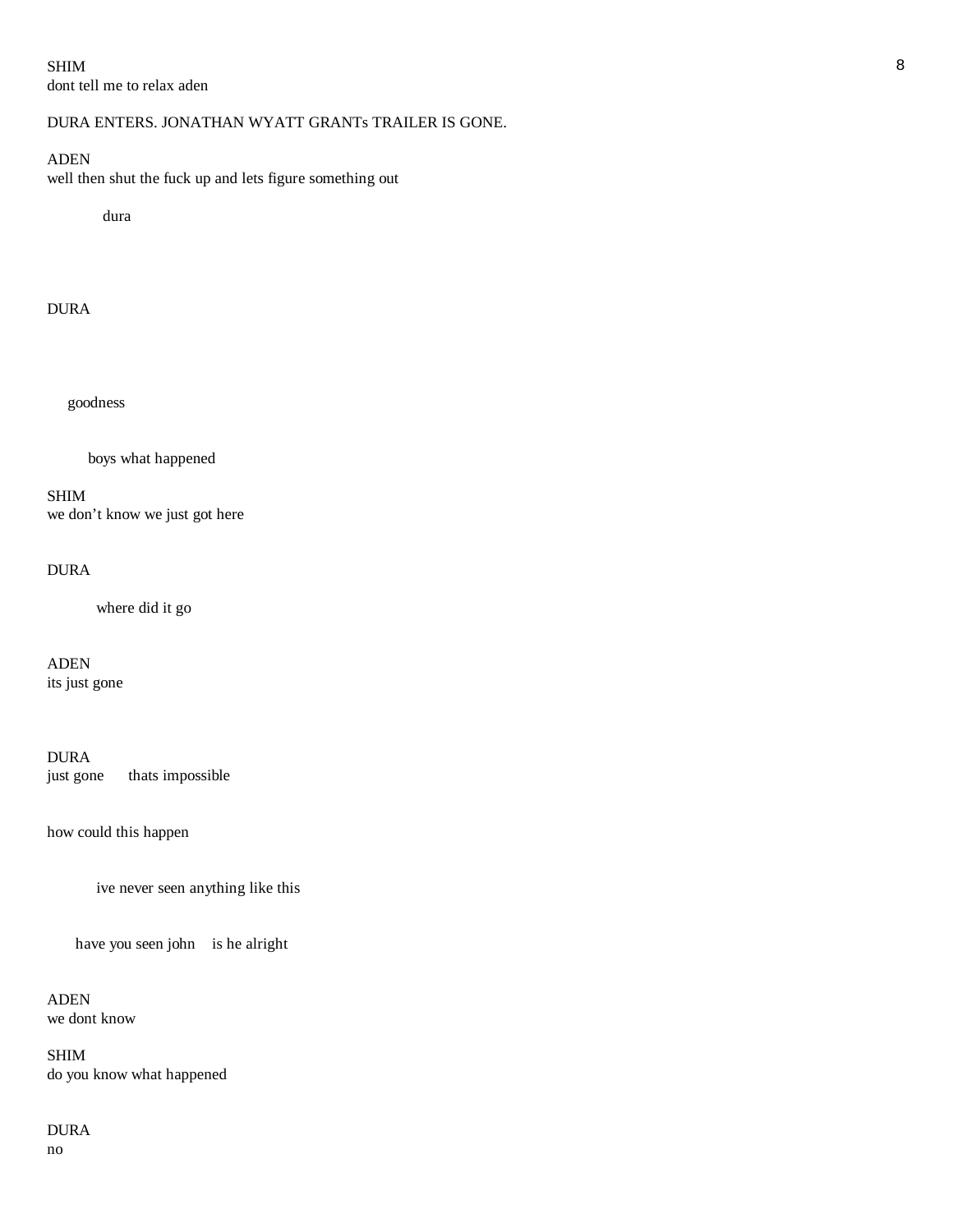SHIM 8 dont tell me to relax aden

# DURA ENTERS. JONATHAN WYATT GRANTs TRAILER IS GONE.

# ADEN

well then shut the fuck up and lets figure something out

dura

# DURA

goodness

boys what happened

SHIM we don't know we just got here

# DURA

where did it go

ADEN its just gone

DURA just gone thats impossible

how could this happen

ive never seen anything like this

have you seen john is he alright

ADEN we dont know

SHIM do you know what happened

DURA no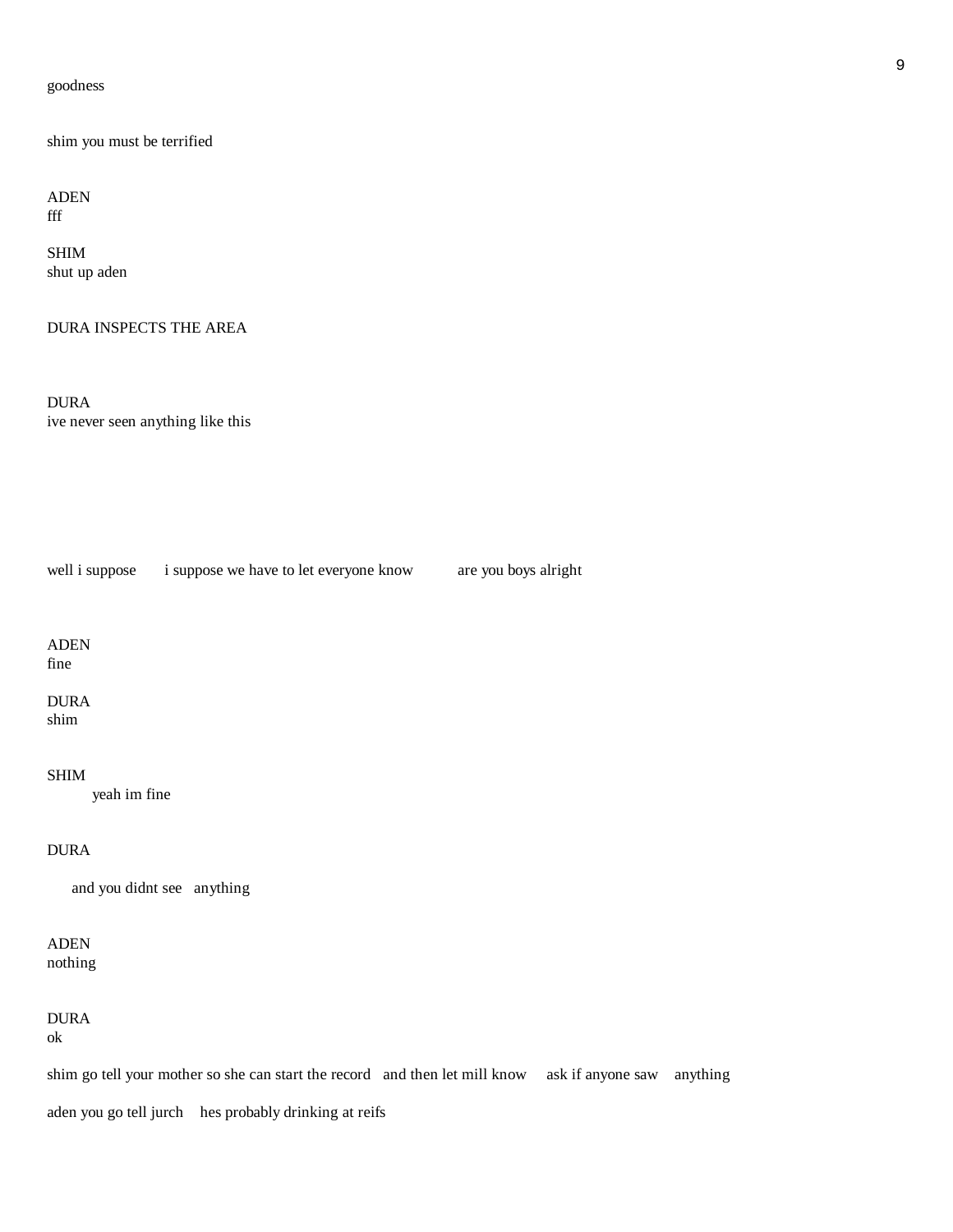### goodness

shim you must be terrified

ADEN fff

SHIM shut up aden

DURA INSPECTS THE AREA

DURA ive never seen anything like this

well i suppose i suppose we have to let everyone know are you boys alright

ADEN fine

DURA shim

SHIM

yeah im fine

DURA

and you didnt see anything

ADEN nothing

DURA

ok

shim go tell your mother so she can start the record and then let mill know ask if anyone saw anything

aden you go tell jurch hes probably drinking at reifs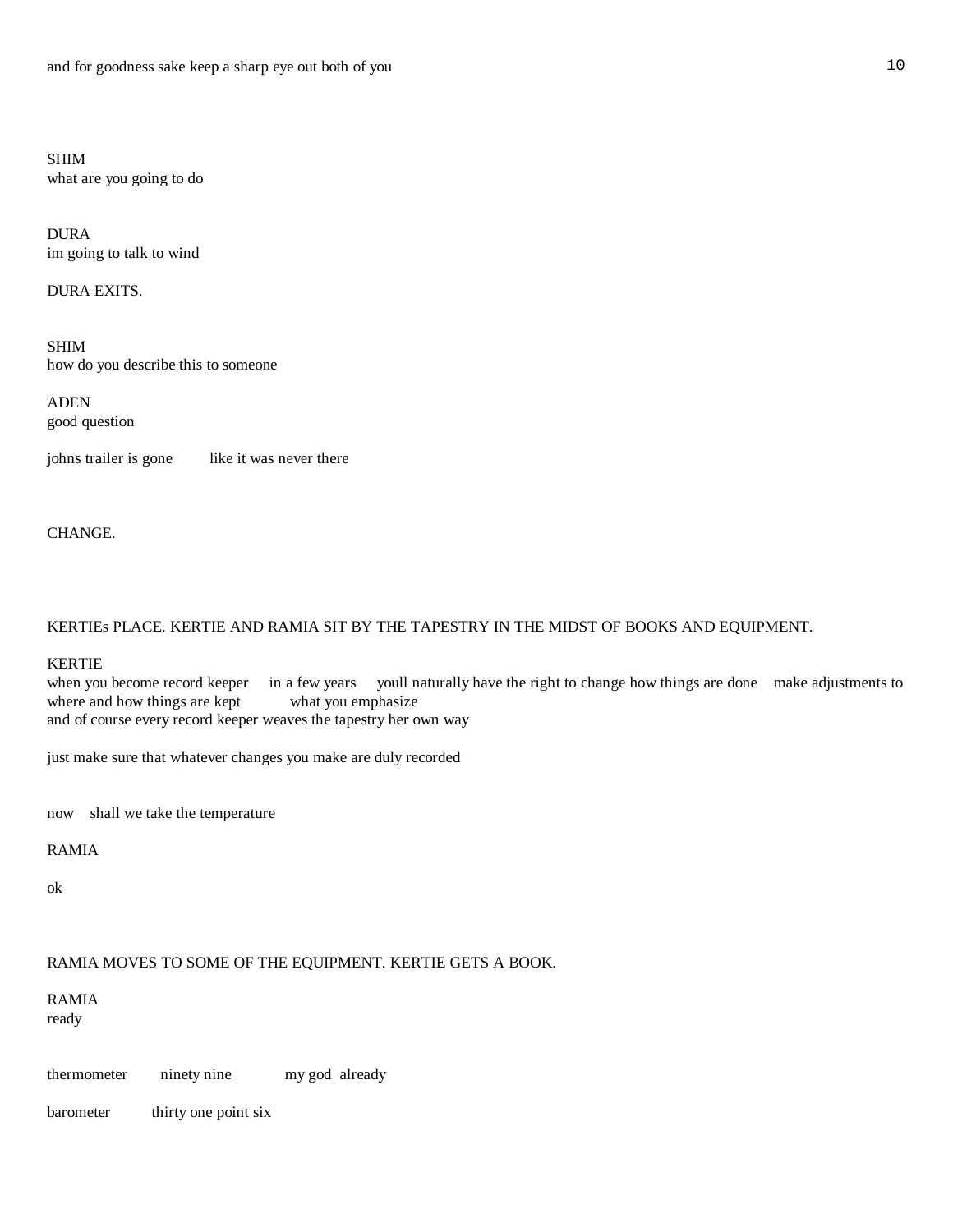SHIM what are you going to do

DURA im going to talk to wind

DURA EXITS.

SHIM how do you describe this to someone

ADEN good question

johns trailer is gone like it was never there

CHANGE.

KERTIEs PLACE. KERTIE AND RAMIA SIT BY THE TAPESTRY IN THE MIDST OF BOOKS AND EQUIPMENT.

### KERTIE

when you become record keeper in a few years youll naturally have the right to change how things are done make adjustments to where and how things are kept what you emphasize and of course every record keeper weaves the tapestry her own way

just make sure that whatever changes you make are duly recorded

now shall we take the temperature

### RAMIA

ok

# RAMIA MOVES TO SOME OF THE EQUIPMENT. KERTIE GETS A BOOK.

RAMIA ready

thermometer ninety nine my god already

barometer thirty one point six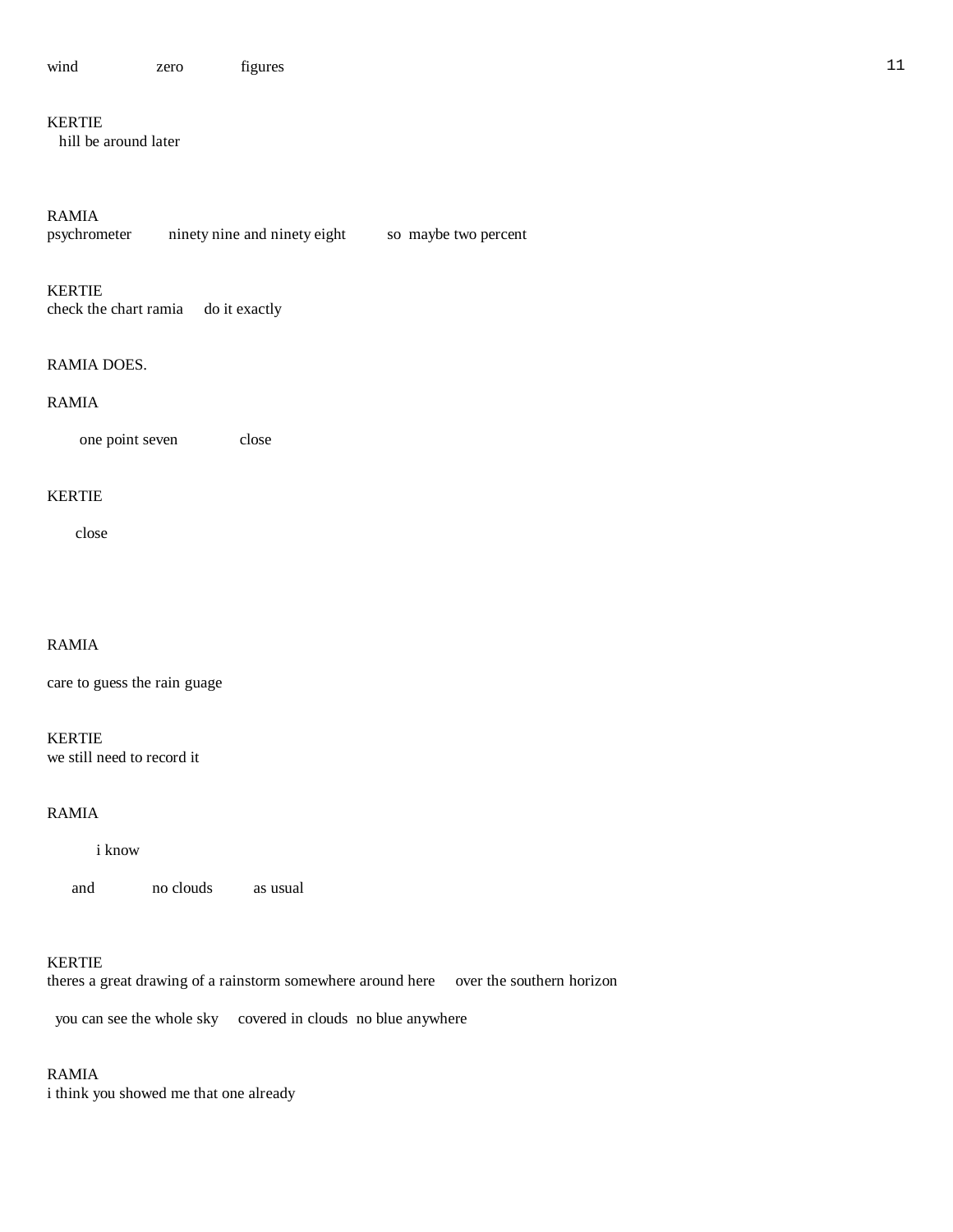# KERTIE

hill be around later

# RAMIA

| psychrometer | ninety nine and ninety eight | so maybe two percent |
|--------------|------------------------------|----------------------|
|              |                              |                      |

KERTIE

check the chart ramia do it exactly

### RAMIA DOES.

# RAMIA

one point seven close

### KERTIE

close

# RAMIA

care to guess the rain guage

KERTIE we still need to record it

# RAMIA

i know

and no clouds as usual

### KERTIE

theres a great drawing of a rainstorm somewhere around here over the southern horizon

you can see the whole sky covered in clouds no blue anywhere

# RAMIA

i think you showed me that one already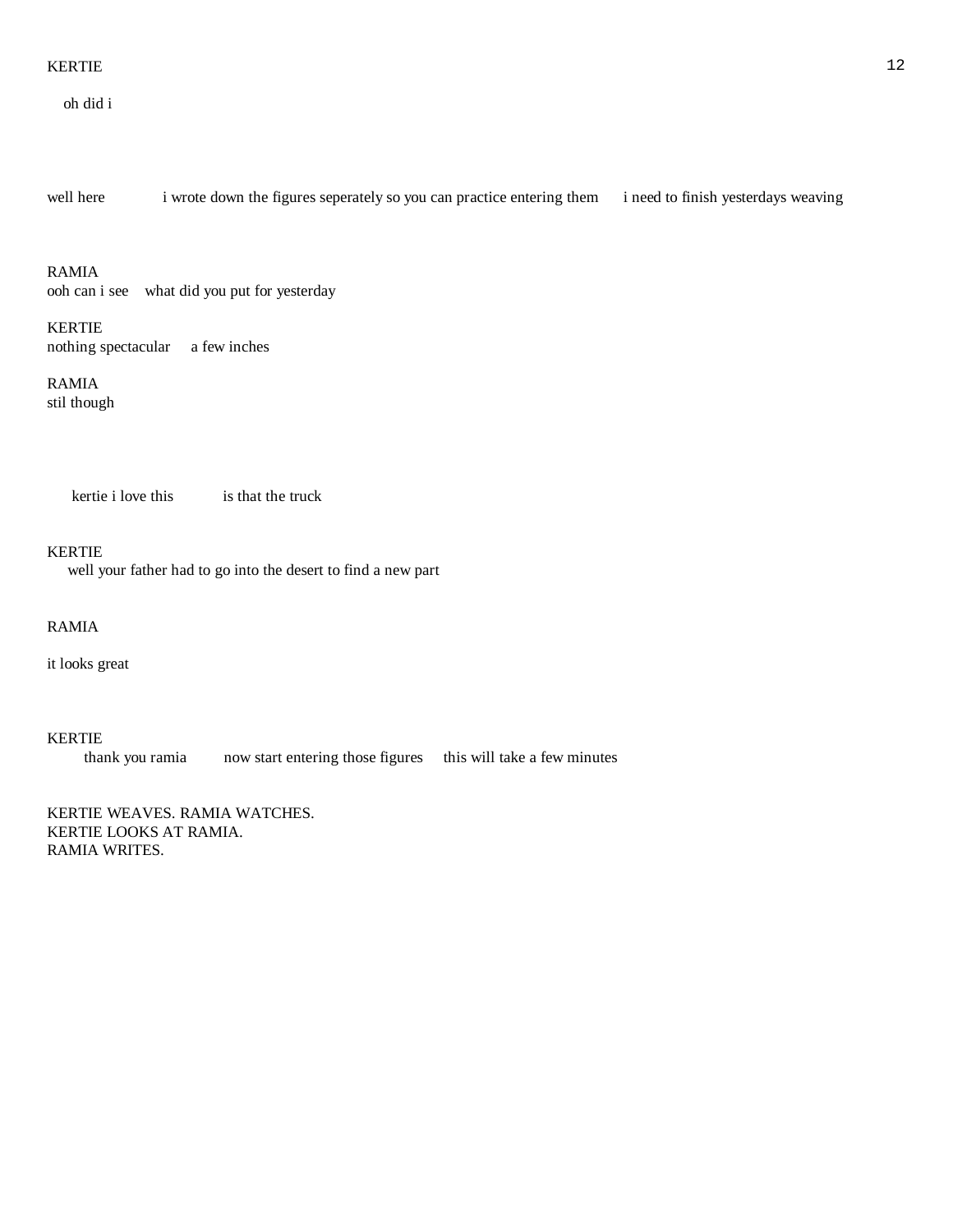### KERTIE 12

oh did i

well here i wrote down the figures seperately so you can practice entering them i need to finish yesterdays weaving

### RAMIA

ooh can i see what did you put for yesterday

# KERTIE nothing spectacular a few inches

RAMIA stil though

kertie i love this is that the truck

### KERTIE

well your father had to go into the desert to find a new part

# RAMIA

it looks great

### KERTIE

thank you ramia now start entering those figures this will take a few minutes

KERTIE WEAVES. RAMIA WATCHES. KERTIE LOOKS AT RAMIA. RAMIA WRITES.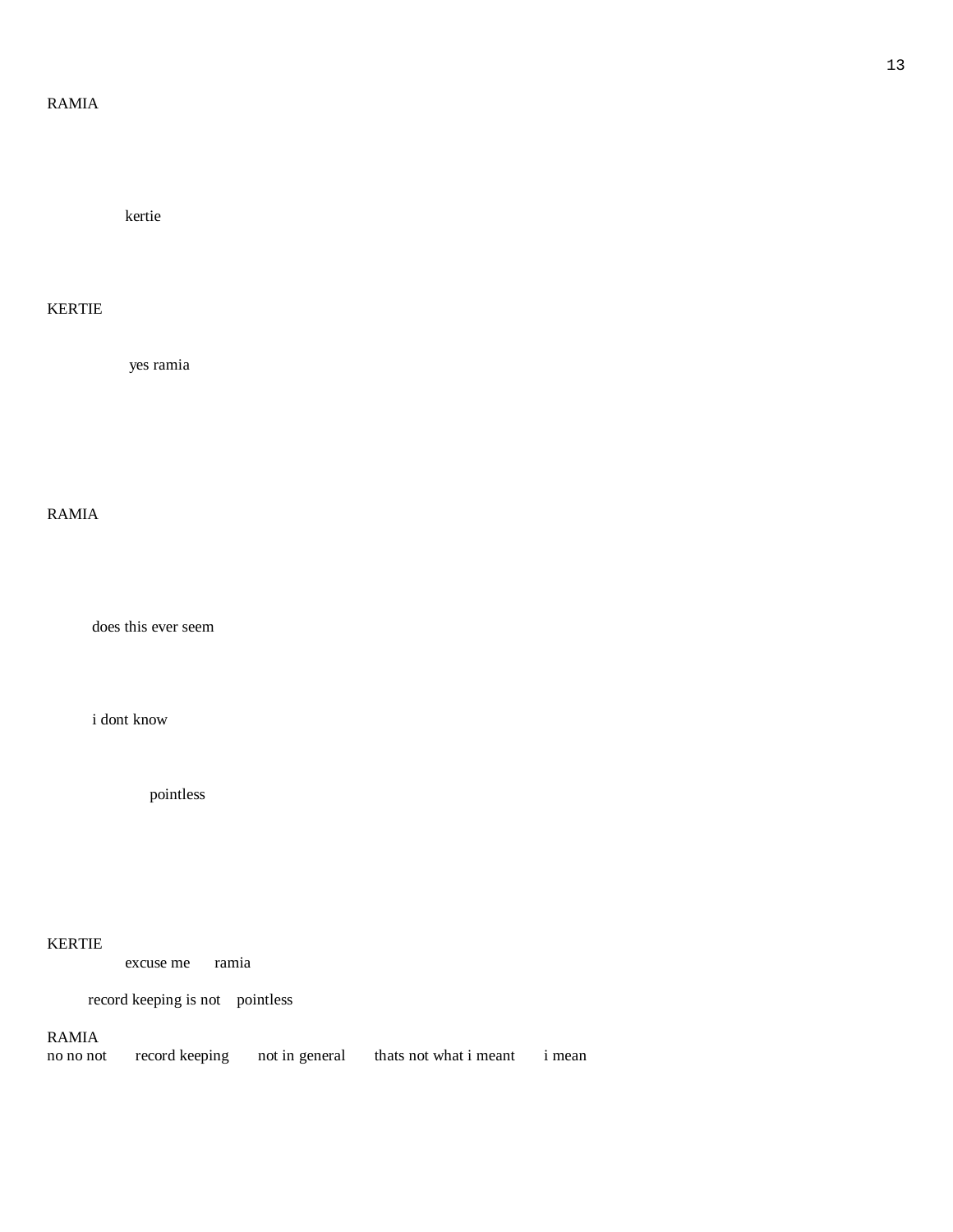# RAMIA

kertie

# KERTIE

yes ramia

# RAMIA

does this ever seem

i dont know

pointless

# KERTIE

excuse me ramia

record keeping is not pointless

# RAMIA

no no not record keeping not in general thats not what i meant i mean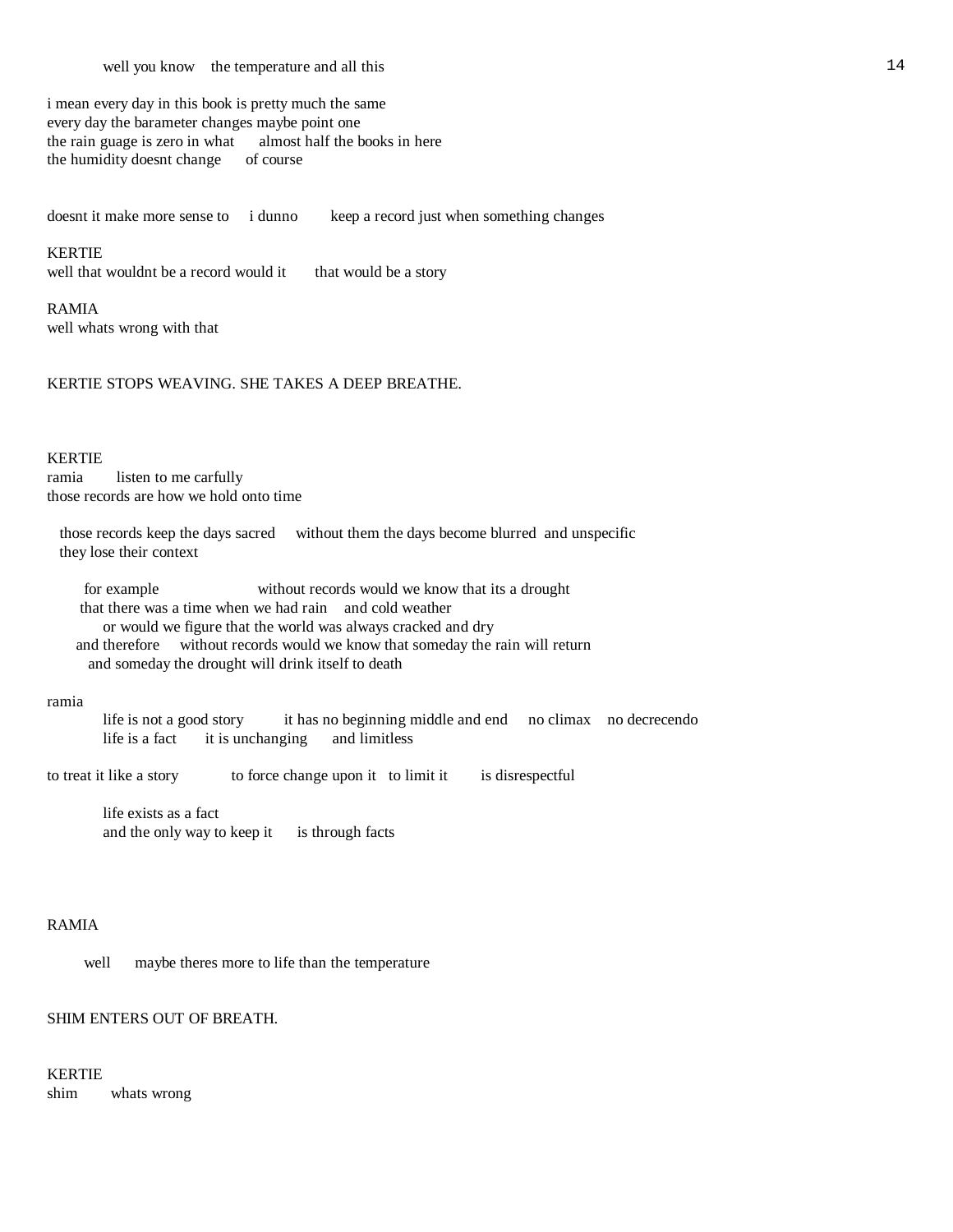i mean every day in this book is pretty much the same every day the barameter changes maybe point one the rain guage is zero in what almost half the books in here the humidity doesnt change of course

doesnt it make more sense to i dunno keep a record just when something changes

# KERTIE

well that wouldnt be a record would it that would be a story

RAMIA well whats wrong with that

KERTIE STOPS WEAVING. SHE TAKES A DEEP BREATHE.

### KERTIE

ramia listen to me carfully those records are how we hold onto time

 those records keep the days sacred without them the days become blurred and unspecific they lose their context

 for example without records would we know that its a drought that there was a time when we had rain and cold weather or would we figure that the world was always cracked and dry and therefore without records would we know that someday the rain will return and someday the drought will drink itself to death

#### ramia

 life is not a good story it has no beginning middle and end no climax no decrecendo life is a fact it is unchanging and limitless

to treat it like a story to force change upon it to limit it is disrespectful

 life exists as a fact and the only way to keep it is through facts

# RAMIA

well maybe theres more to life than the temperature

# SHIM ENTERS OUT OF BREATH.

KERTIE shim whats wrong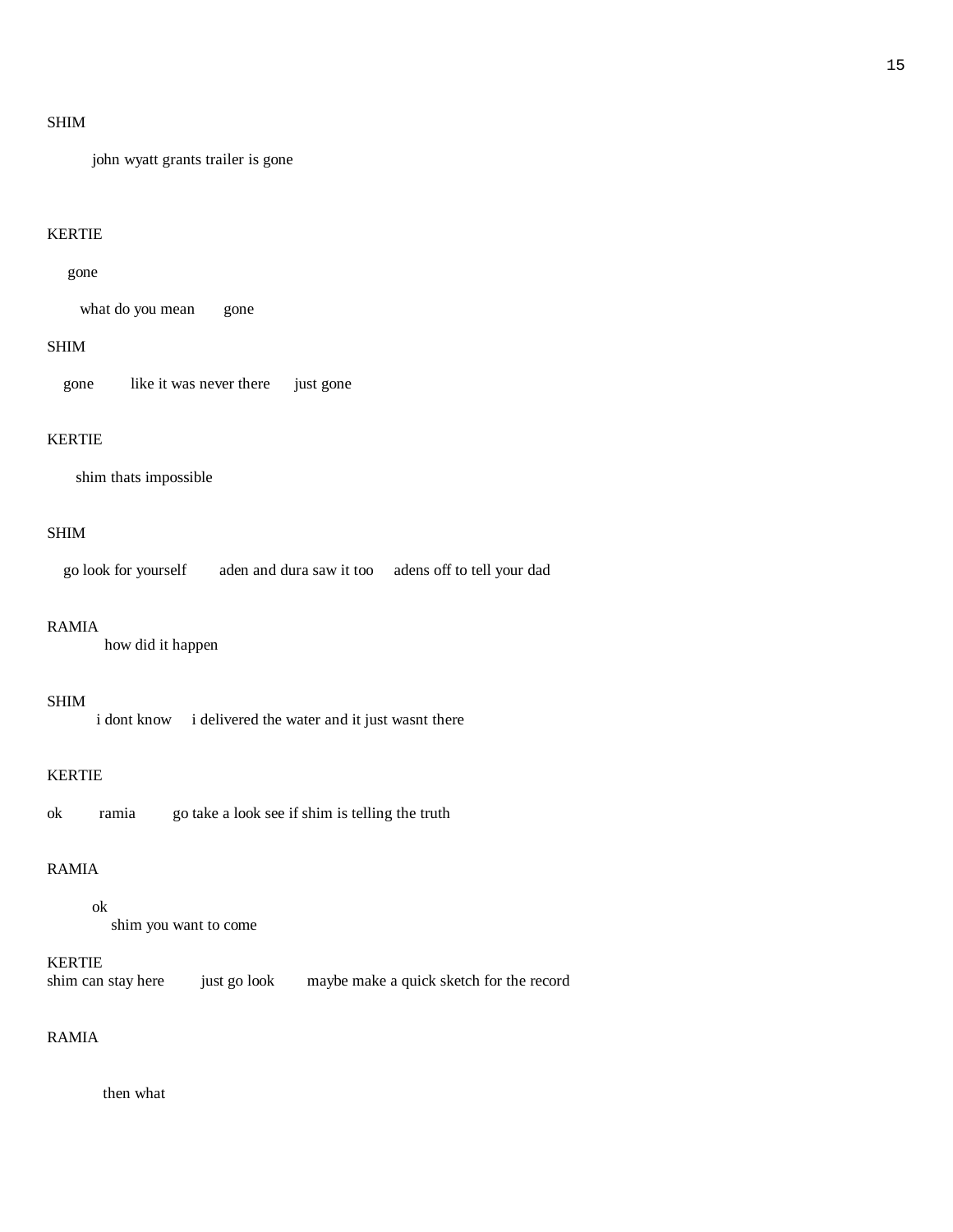# SHIM

john wyatt grants trailer is gone

# KERTIE

### gone

what do you mean gone

### SHIM

gone like it was never there just gone

# KERTIE

shim thats impossible

# SHIM

go look for yourself aden and dura saw it too adens off to tell your dad

### RAMIA

how did it happen

### SHIM

i dont know i delivered the water and it just wasnt there

### KERTIE

ok ramia go take a look see if shim is telling the truth

# RAMIA

### ok

shim you want to come

# KERTIE

shim can stay here just go look maybe make a quick sketch for the record

# RAMIA

then what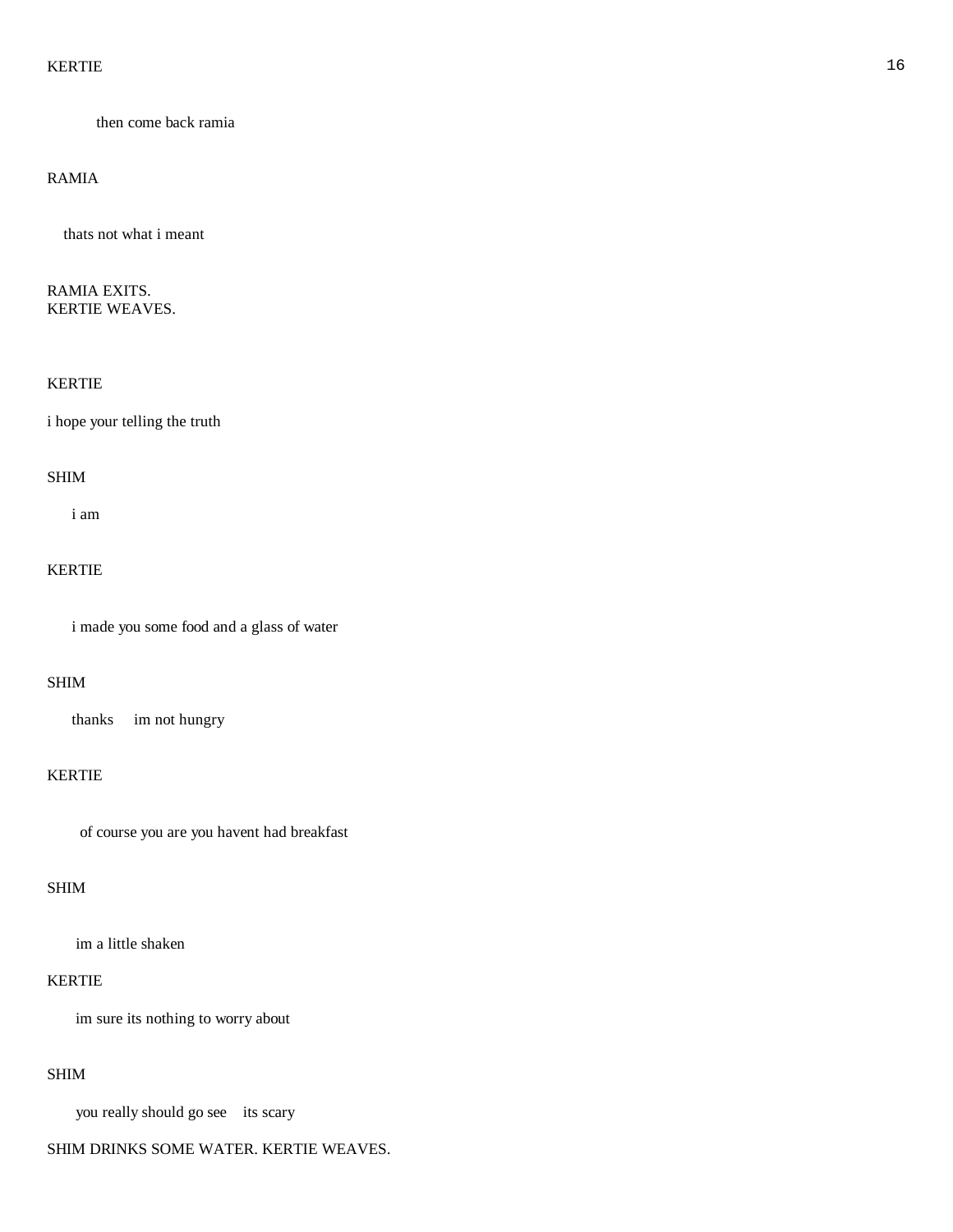### KERTIE OOK DE GEEN OOK DE GEEN DE GEEN DE GEEN OOK DE GEEN OOK DE GEEN OOK DE GEEN OOK DE GEEN OOK DE GEEN OOK

then come back ramia

### RAMIA

thats not what i meant

RAMIA EXITS. KERTIE WEAVES.

### KERTIE

i hope your telling the truth

#### SHIM

i am

# KERTIE

i made you some food and a glass of water

### SHIM

thanks im not hungry

### KERTIE

of course you are you havent had breakfast

### SHIM

im a little shaken

# KERTIE

im sure its nothing to worry about

### SHIM

you really should go see its scary

### SHIM DRINKS SOME WATER. KERTIE WEAVES.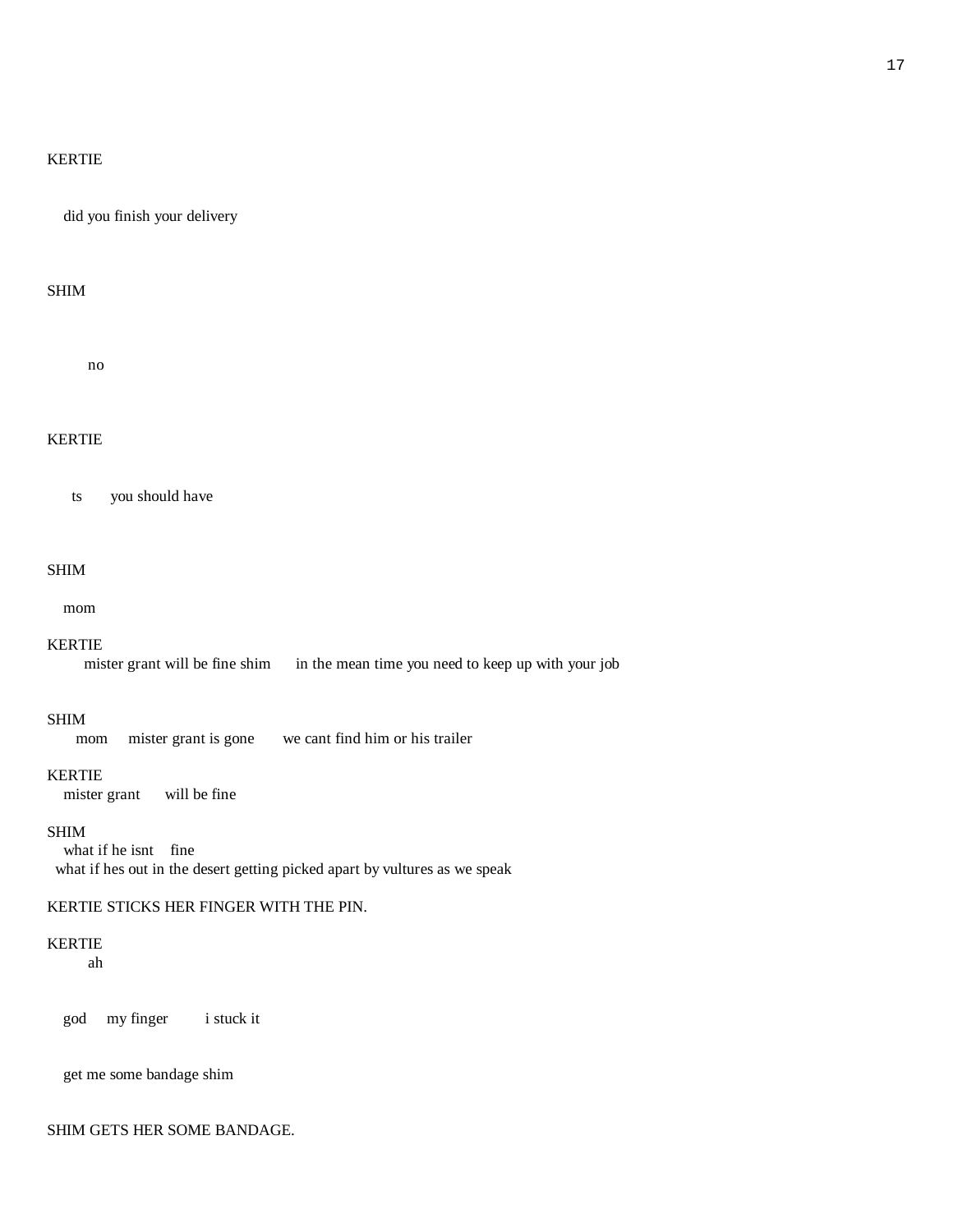### KERTIE

did you finish your delivery

### SHIM

no

# KERTIE

ts you should have

### SHIM

mom

#### KERTIE

mister grant will be fine shim in the mean time you need to keep up with your job

### SHIM

mom mister grant is gone we cant find him or his trailer

#### KERTIE

mister grant will be fine

### SHIM

what if he isnt fine what if hes out in the desert getting picked apart by vultures as we speak

### KERTIE STICKS HER FINGER WITH THE PIN.

# KERTIE

ah

god my finger i stuck it

get me some bandage shim

### SHIM GETS HER SOME BANDAGE.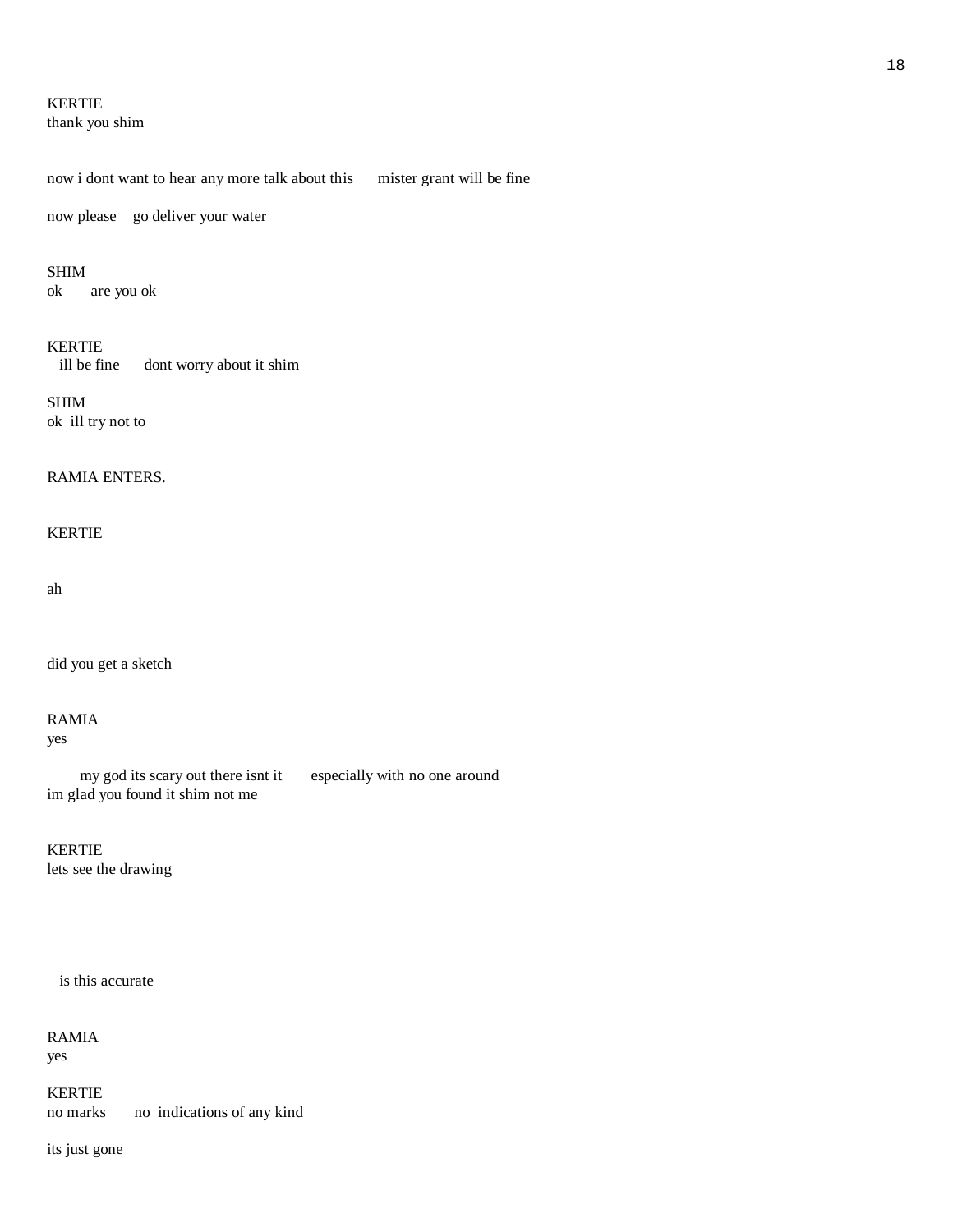# KERTIE

thank you shim

now i dont want to hear any more talk about this mister grant will be fine

now please go deliver your water

### SHIM

ok are you ok

### KERTIE

ill be fine dont worry about it shim

SHIM ok ill try not to

### RAMIA ENTERS.

# KERTIE

ah

did you get a sketch

# RAMIA

yes

 my god its scary out there isnt it especially with no one around im glad you found it shim not me

# KERTIE

lets see the drawing

# is this accurate

RAMIA yes

KERTIE no marks no indications of any kind

its just gone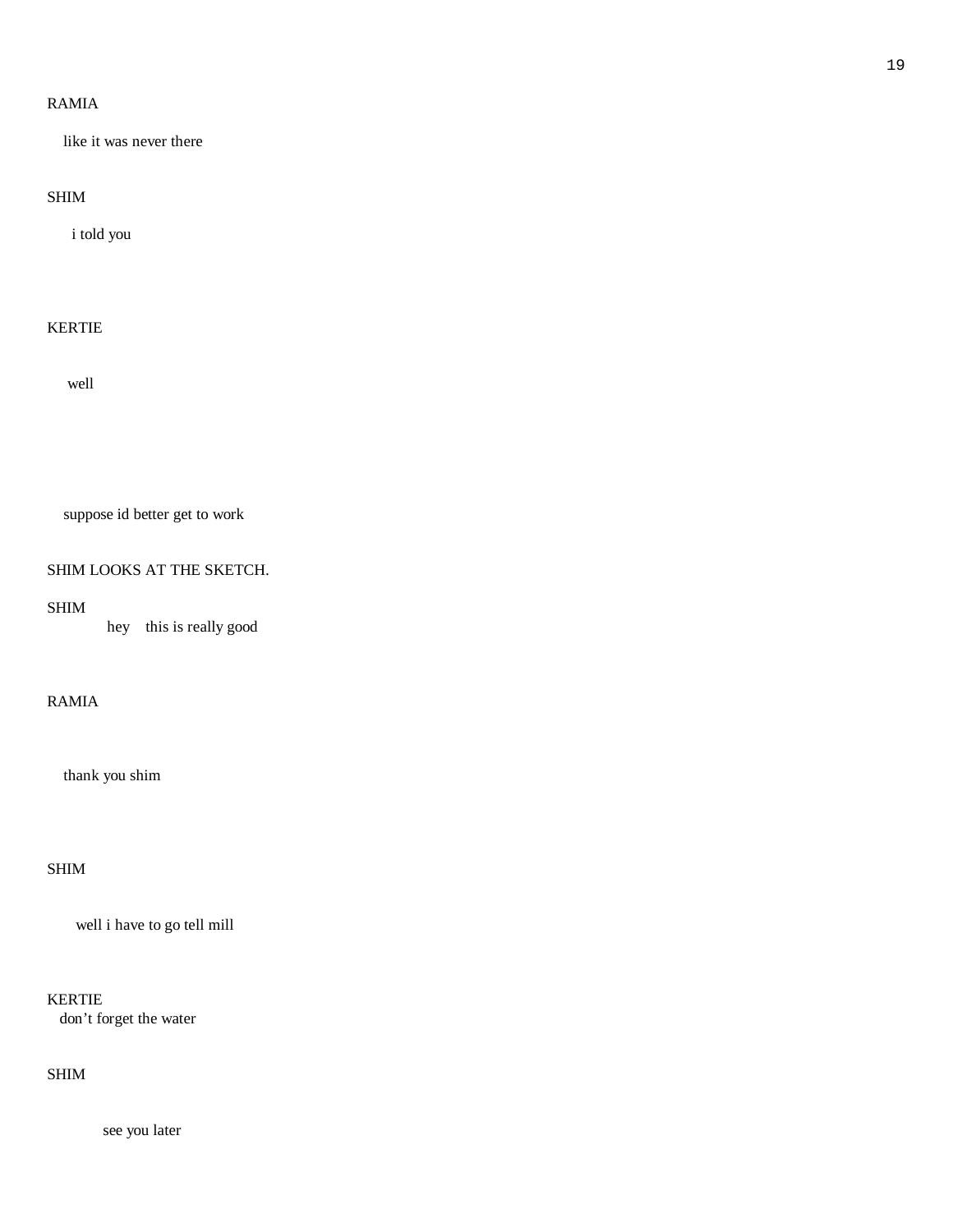# RAMIA

like it was never there

# SHIM

i told you

# KERTIE

well

suppose id better get to work

# SHIM LOOKS AT THE SKETCH.

# SHIM

hey this is really good

# RAMIA

thank you shim

# SHIM

well i have to go tell mill

KERTIE

don't forget the water

# SHIM

see you later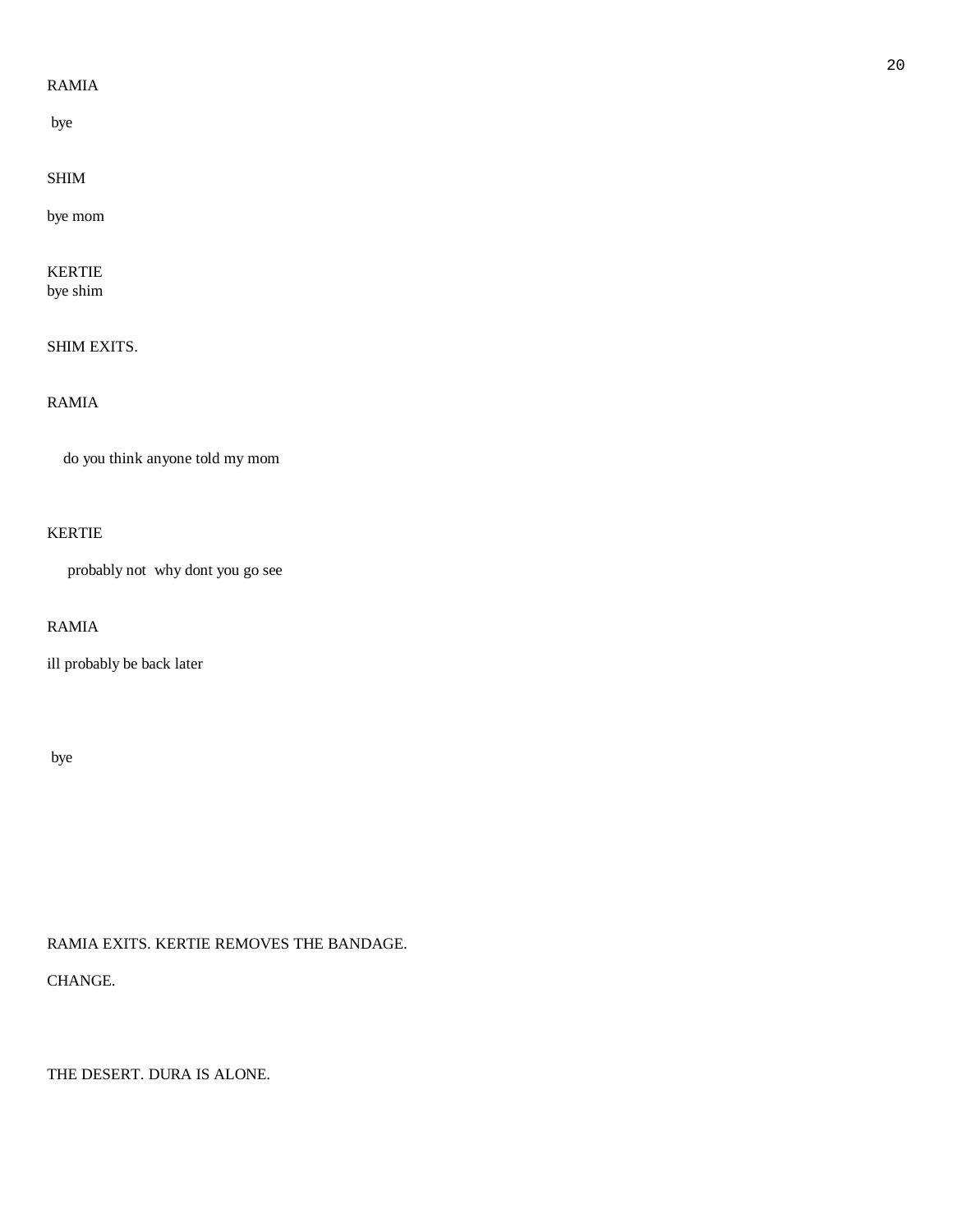# RAMIA

bye

# SHIM

bye mom

# KERTIE

bye shim

# SHIM EXITS.

# RAMIA

do you think anyone told my mom

# KERTIE

probably not why dont you go see

# RAMIA

ill probably be back later

### bye

RAMIA EXITS. KERTIE REMOVES THE BANDAGE.

CHANGE.

THE DESERT. DURA IS ALONE.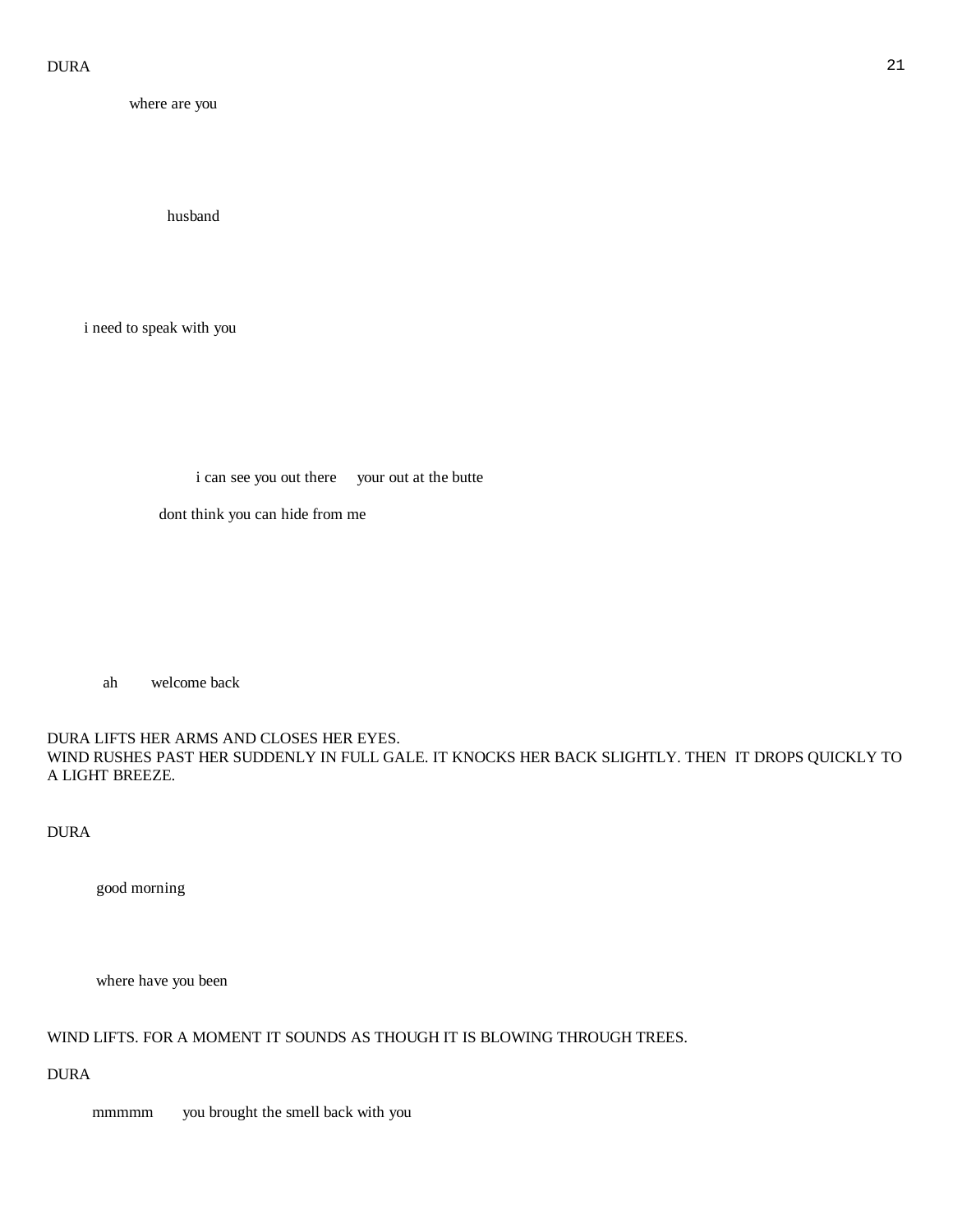| where are you            |                                               |  |
|--------------------------|-----------------------------------------------|--|
|                          |                                               |  |
|                          |                                               |  |
|                          | husband                                       |  |
|                          |                                               |  |
|                          |                                               |  |
| i need to speak with you |                                               |  |
|                          |                                               |  |
|                          |                                               |  |
|                          |                                               |  |
|                          |                                               |  |
|                          | i can see you out there your out at the butte |  |
|                          | dont think you can hide from me               |  |
|                          |                                               |  |
|                          |                                               |  |
|                          |                                               |  |

ah welcome back

DURA LIFTS HER ARMS AND CLOSES HER EYES. WIND RUSHES PAST HER SUDDENLY IN FULL GALE. IT KNOCKS HER BACK SLIGHTLY. THEN IT DROPS QUICKLY TO A LIGHT BREEZE.

DURA

good morning

where have you been

# WIND LIFTS. FOR A MOMENT IT SOUNDS AS THOUGH IT IS BLOWING THROUGH TREES.

DURA

mmmmm you brought the smell back with you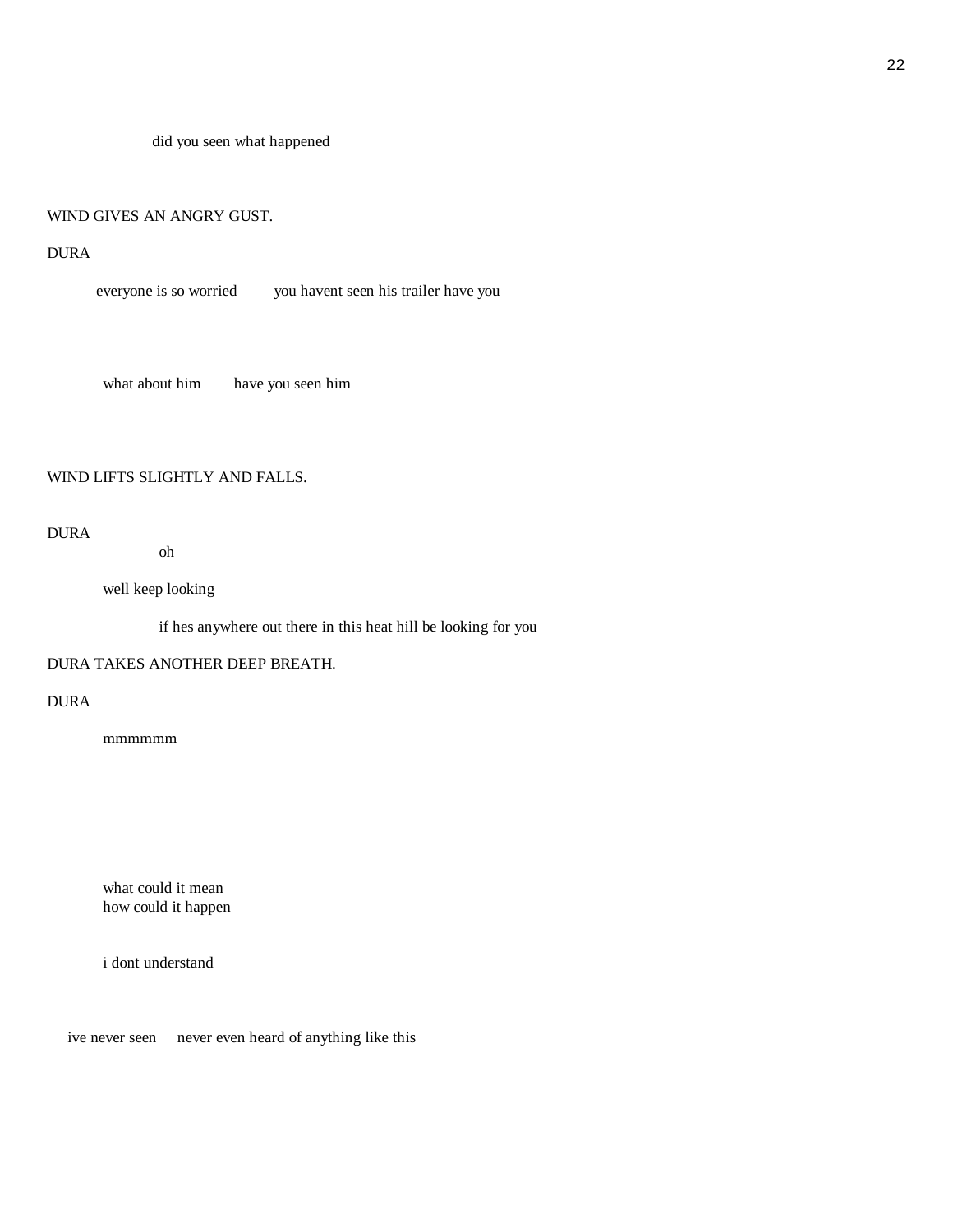did you seen what happened

# WIND GIVES AN ANGRY GUST.

# DURA

everyone is so worried you havent seen his trailer have you

what about him have you seen him

### WIND LIFTS SLIGHTLY AND FALLS.

# DURA

oh

well keep looking

if hes anywhere out there in this heat hill be looking for you

### DURA TAKES ANOTHER DEEP BREATH.

# DURA

mmmmmm

 what could it mean how could it happen

i dont understand

ive never seen never even heard of anything like this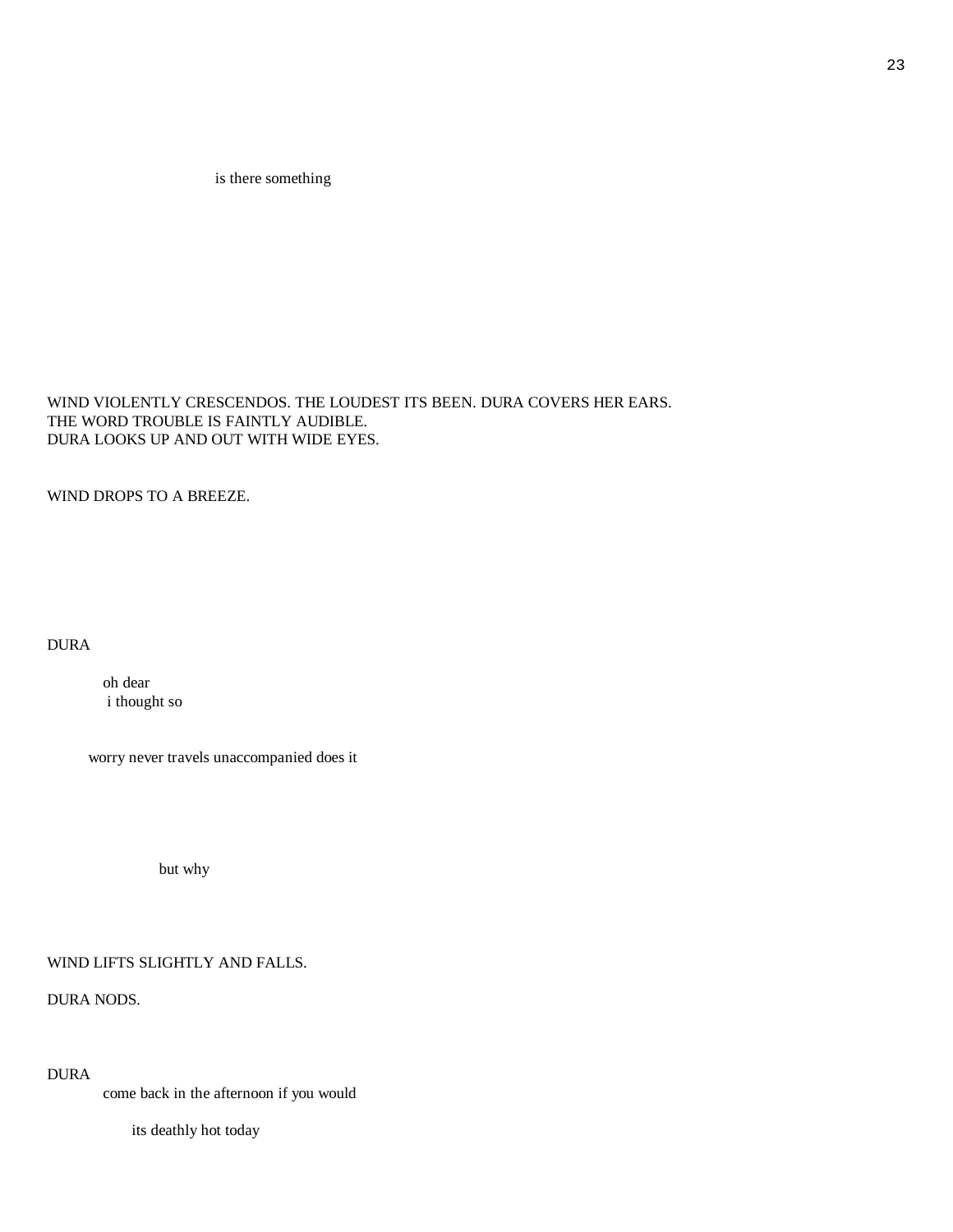is there something

WIND VIOLENTLY CRESCENDOS. THE LOUDEST ITS BEEN. DURA COVERS HER EARS. THE WORD TROUBLE IS FAINTLY AUDIBLE. DURA LOOKS UP AND OUT WITH WIDE EYES.

WIND DROPS TO A BREEZE.

DURA

 oh dear i thought so

worry never travels unaccompanied does it

but why

WIND LIFTS SLIGHTLY AND FALLS.

DURA NODS.

DURA

come back in the afternoon if you would

its deathly hot today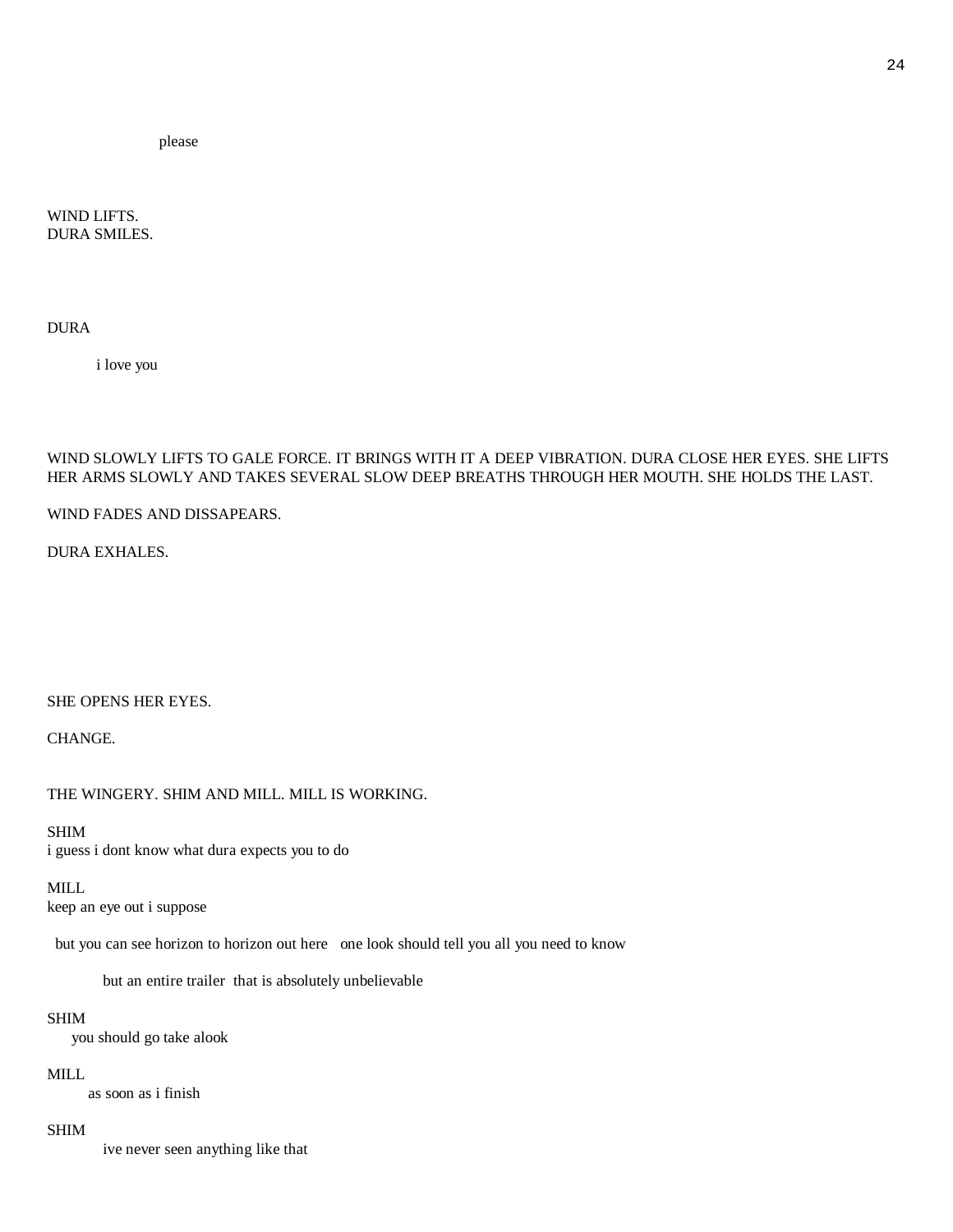please

WIND LIFTS. DURA SMILES.

DURA

i love you

### WIND SLOWLY LIFTS TO GALE FORCE. IT BRINGS WITH IT A DEEP VIBRATION. DURA CLOSE HER EYES. SHE LIFTS HER ARMS SLOWLY AND TAKES SEVERAL SLOW DEEP BREATHS THROUGH HER MOUTH. SHE HOLDS THE LAST.

WIND FADES AND DISSAPEARS.

DURA EXHALES.

SHE OPENS HER EYES.

CHANGE.

THE WINGERY. SHIM AND MILL. MILL IS WORKING.

### SHIM

i guess i dont know what dura expects you to do

#### MILL

keep an eye out i suppose

but you can see horizon to horizon out here one look should tell you all you need to know

but an entire trailer that is absolutely unbelievable

#### SHIM

you should go take alook

#### MILL

as soon as i finish

#### SHIM

ive never seen anything like that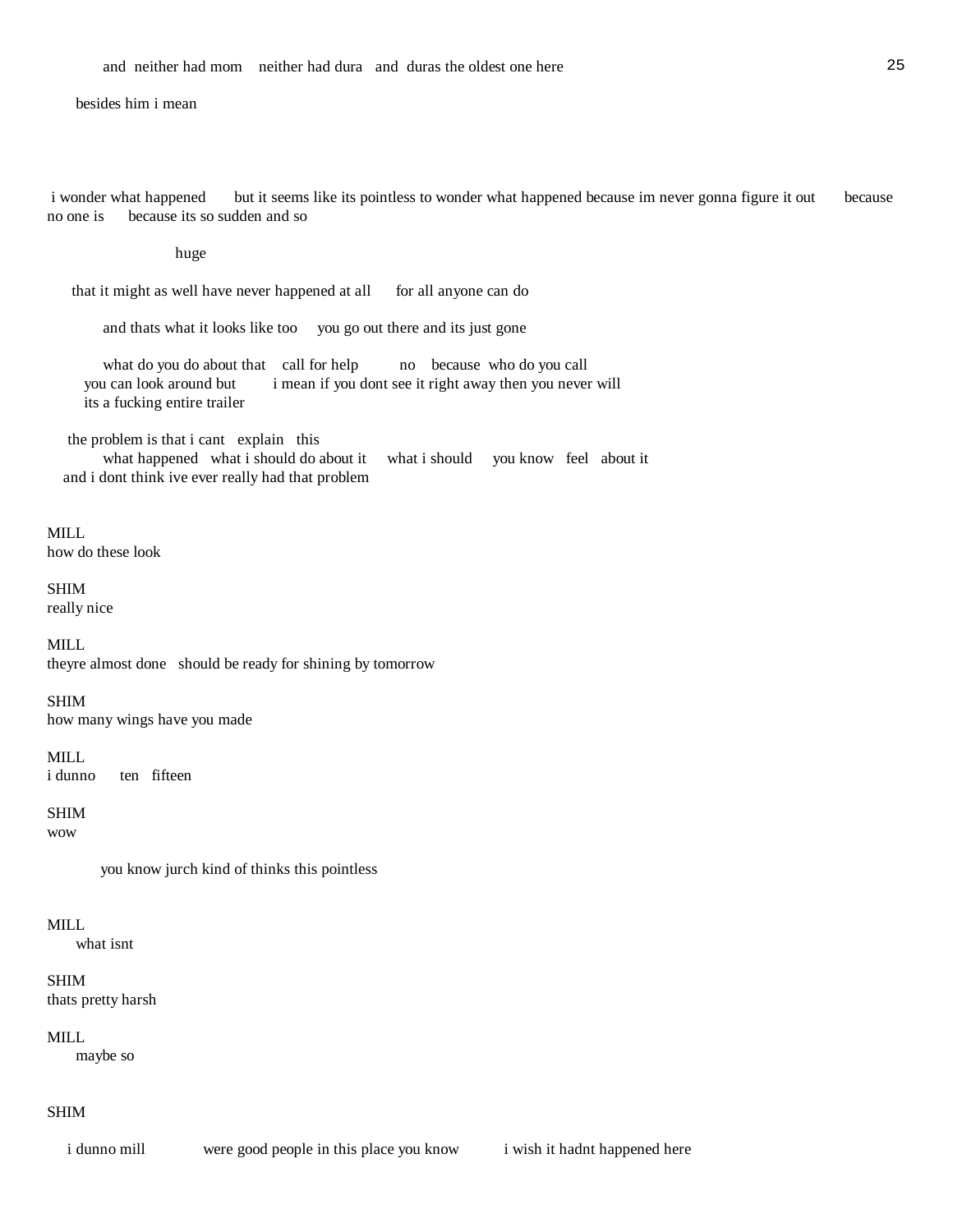### besides him i mean

 i wonder what happened but it seems like its pointless to wonder what happened because im never gonna figure it out because no one is because its so sudden and so

#### huge

that it might as well have never happened at all for all anyone can do

and thats what it looks like too you go out there and its just gone

what do you do about that call for help no because who do you call you can look around but i mean if you dont see it right away then you never will its a fucking entire trailer

the problem is that i cant explain this

 what happened what i should do about it what i should you know feel about it and i dont think ive ever really had that problem

### MILL

how do these look

### SHIM

really nice

#### MILL

theyre almost done should be ready for shining by tomorrow

#### SHIM

how many wings have you made

#### MILL.

i dunno ten fifteen

### SHIM

wow

you know jurch kind of thinks this pointless

### MILL

what isnt

### SHIM

thats pretty harsh

### MILL

maybe so

### SHIM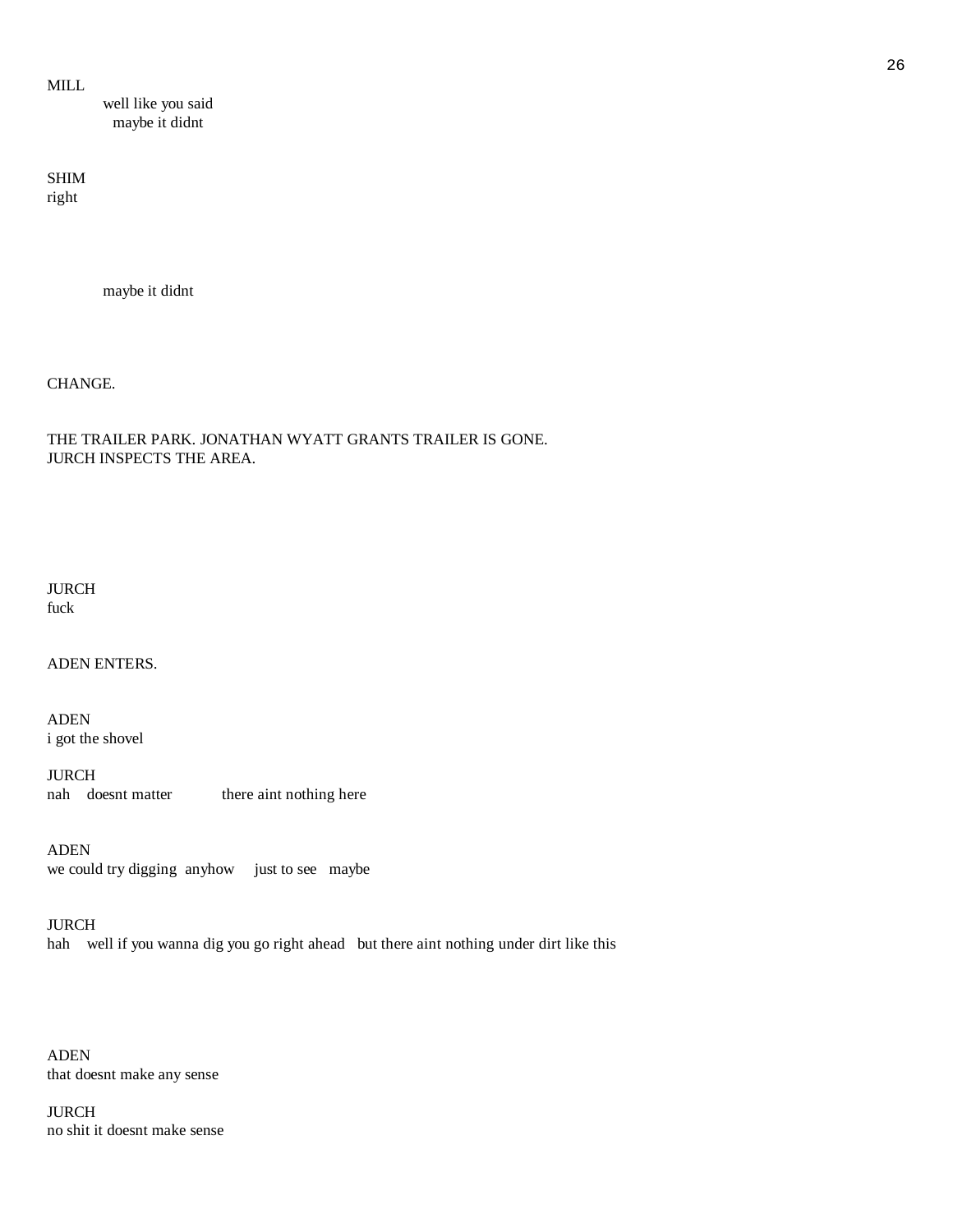MILL

 well like you said maybe it didnt

SHIM right

maybe it didnt

CHANGE.

THE TRAILER PARK. JONATHAN WYATT GRANTS TRAILER IS GONE. JURCH INSPECTS THE AREA.

JURCH fuck

ADEN ENTERS.

ADEN i got the shovel

JURCH nah doesnt matter there aint nothing here

ADEN we could try digging anyhow just to see maybe

JURCH hah well if you wanna dig you go right ahead but there aint nothing under dirt like this

ADEN that doesnt make any sense

JURCH no shit it doesnt make sense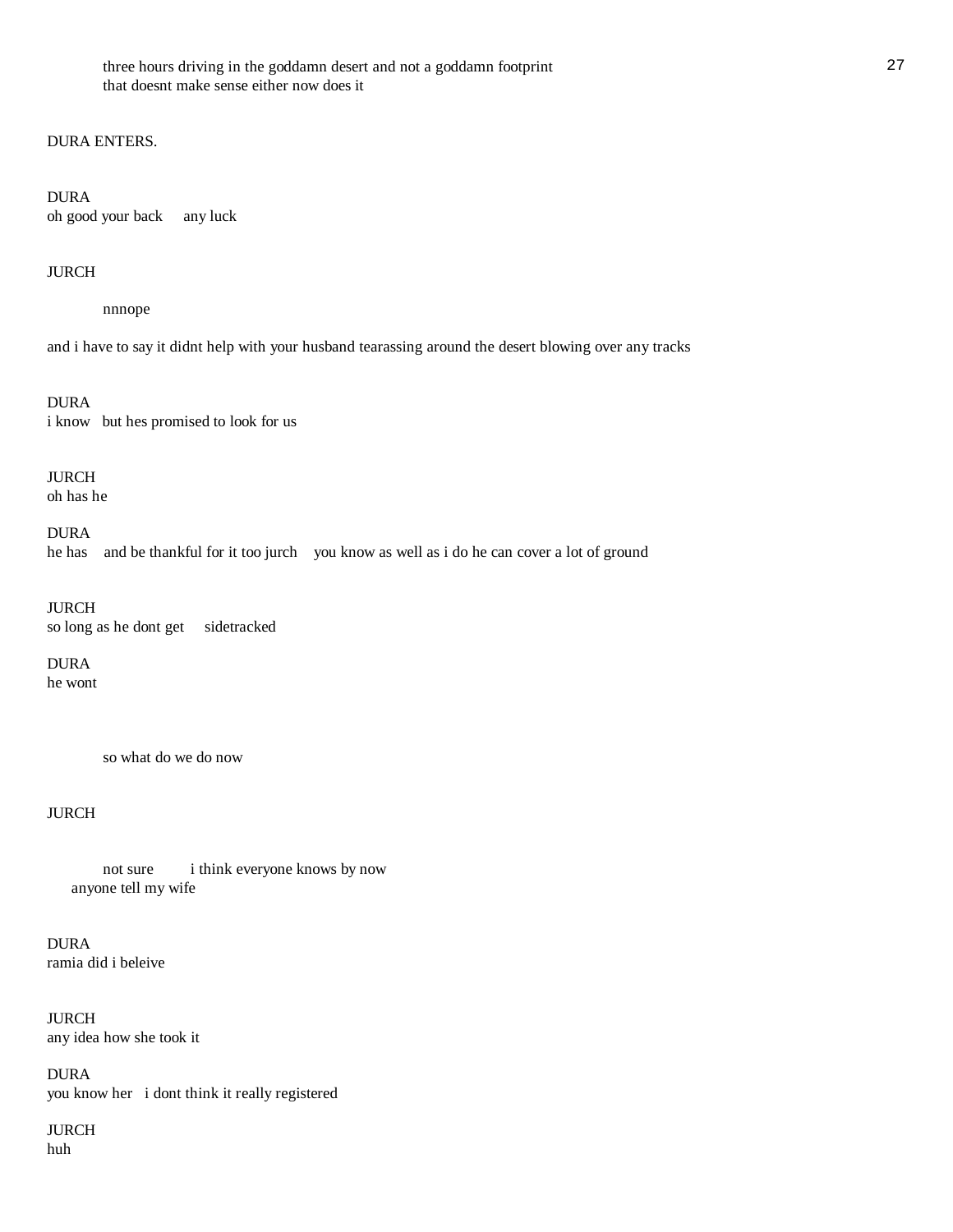### DURA ENTERS.

DURA oh good your back any luck

### JURCH

nnnope

and i have to say it didnt help with your husband tearassing around the desert blowing over any tracks

DURA i know but hes promised to look for us

JURCH oh has he

DURA

he has and be thankful for it too jurch you know as well as i do he can cover a lot of ground

JURCH so long as he dont get sidetracked

DURA he wont

so what do we do now

# JURCH

 not sure i think everyone knows by now anyone tell my wife

DURA ramia did i beleive

JURCH any idea how she took it

DURA you know her i dont think it really registered

JURCH huh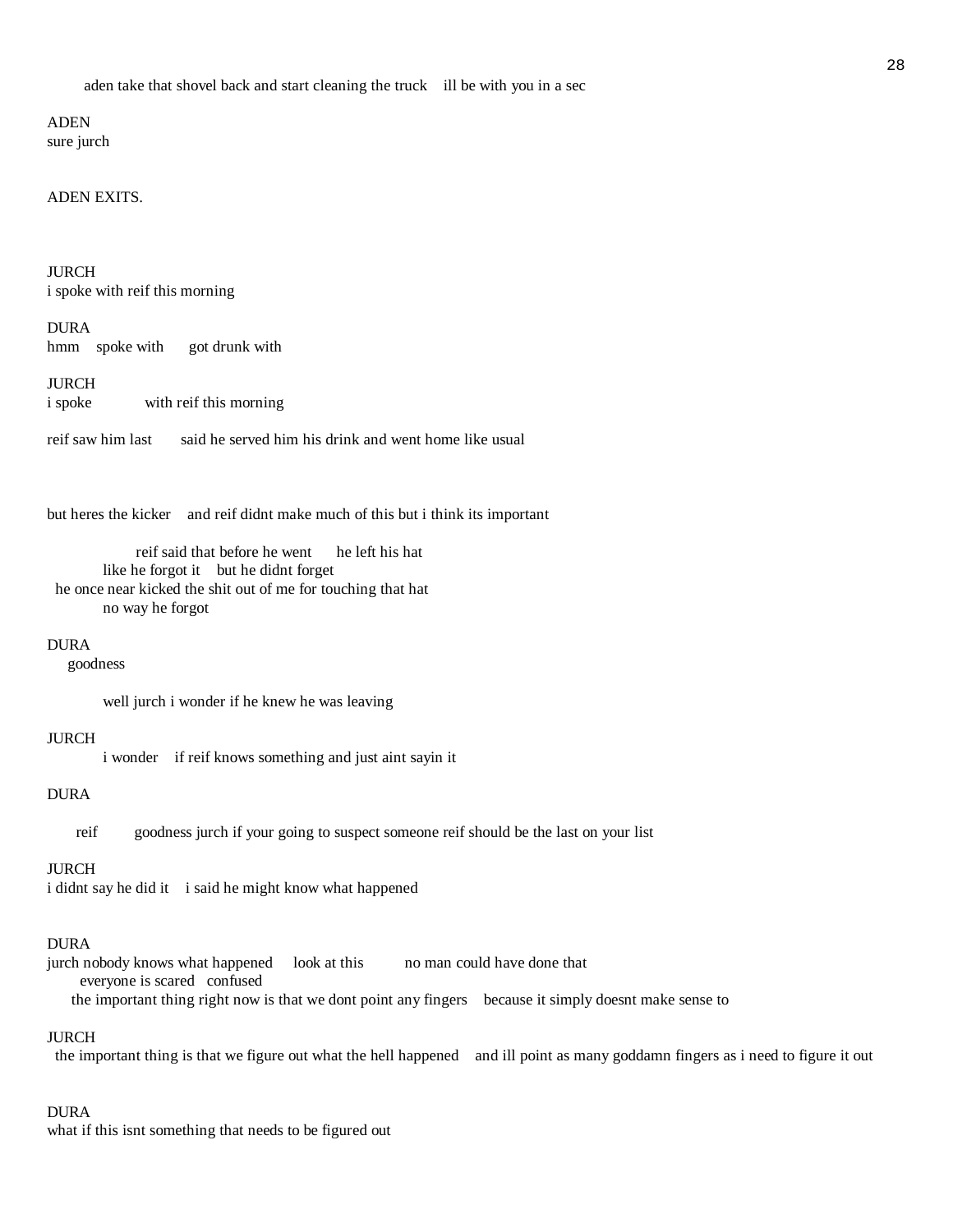ADEN sure jurch

#### ADEN EXITS.

JURCH i spoke with reif this morning

DURA hmm spoke with got drunk with

JURCH i spoke with reif this morning

reif saw him last said he served him his drink and went home like usual

but heres the kicker and reif didnt make much of this but i think its important

 reif said that before he went he left his hat like he forgot it but he didnt forget he once near kicked the shit out of me for touching that hat no way he forgot

#### DURA

goodness

well jurch i wonder if he knew he was leaving

#### JURCH

i wonder if reif knows something and just aint sayin it

### DURA

reif goodness jurch if your going to suspect someone reif should be the last on your list

#### JURCH

i didnt say he did it i said he might know what happened

#### DURA

jurch nobody knows what happened look at this no man could have done that everyone is scared confused the important thing right now is that we dont point any fingers because it simply doesnt make sense to

#### JURCH

the important thing is that we figure out what the hell happened and ill point as many goddamn fingers as i need to figure it out

### DURA

what if this isnt something that needs to be figured out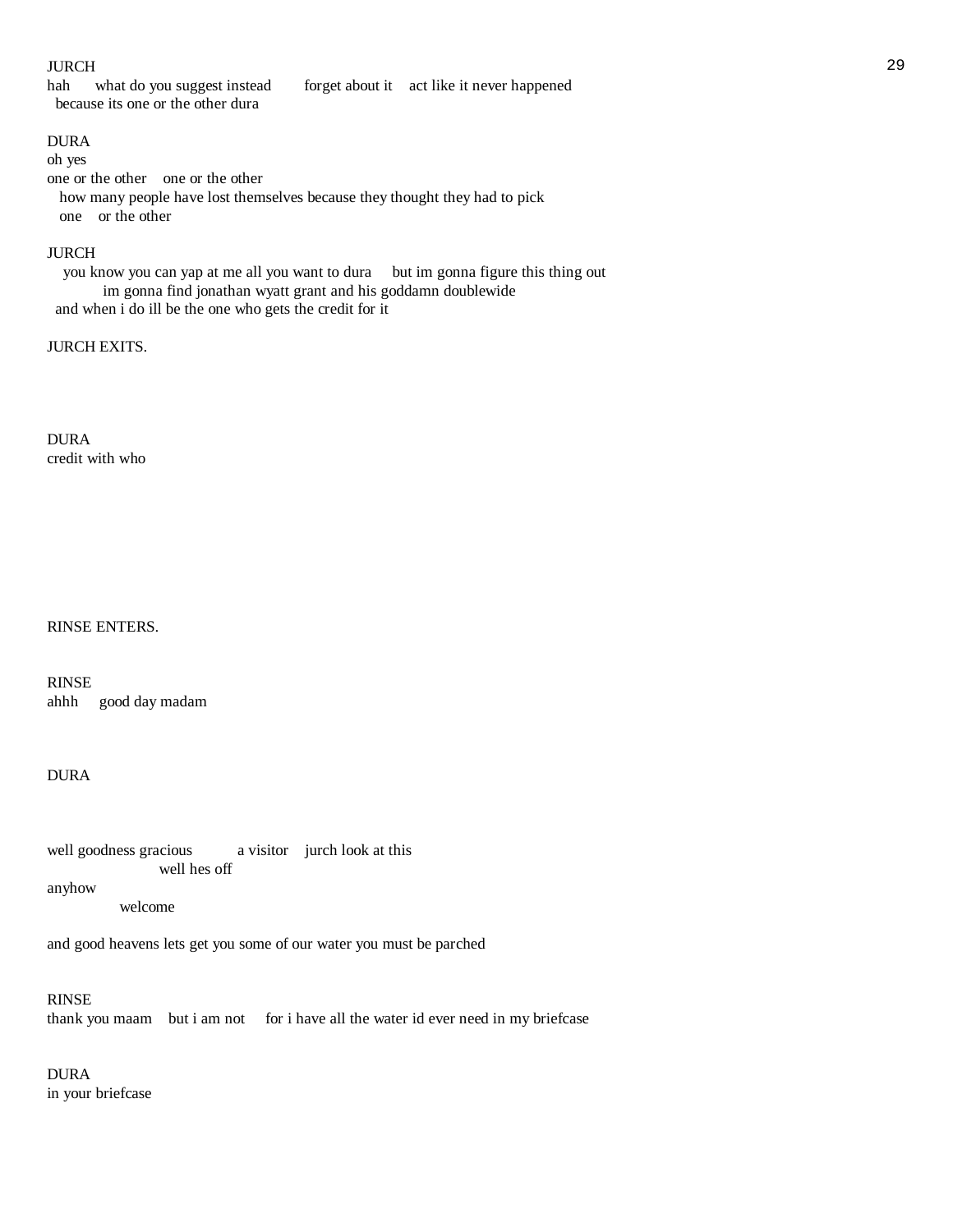### JURCH 29

hah what do you suggest instead forget about it act like it never happened because its one or the other dura

# DURA

### oh yes

one or the other one or the other how many people have lost themselves because they thought they had to pick one or the other

### JURCH

you know you can yap at me all you want to dura but im gonna figure this thing out im gonna find jonathan wyatt grant and his goddamn doublewide and when i do ill be the one who gets the credit for it

### JURCH EXITS.

DURA credit with who

# RINSE ENTERS.

RINSE ahhh good day madam

### DURA

well goodness gracious a visitor jurch look at this well hes off

anyhow

welcome

and good heavens lets get you some of our water you must be parched

### RINSE

thank you maam but i am not for i have all the water id ever need in my briefcase

### DURA in your briefcase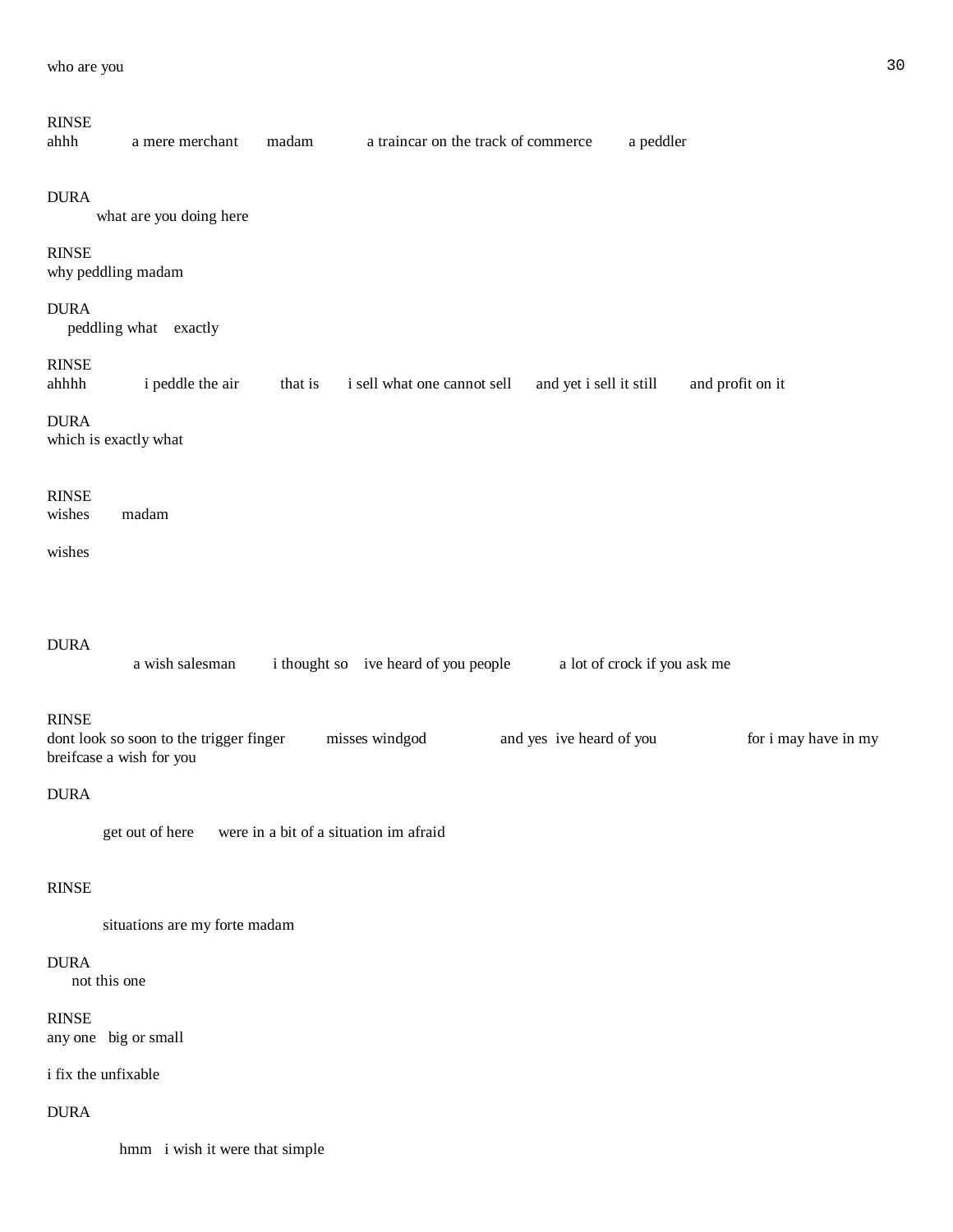### RINSE

| ahhh | a mere merchant | madam | a traincar on the track of commerce | a peddler |  |
|------|-----------------|-------|-------------------------------------|-----------|--|
|------|-----------------|-------|-------------------------------------|-----------|--|

#### DURA

what are you doing here

#### RINSE

why peddling madam

# DURA

peddling what exactly

### RINSE

ahhhh i peddle the air that is i sell what one cannot sell and yet i sell it still and profit on it

DURA

which is exactly what

#### RINSE

wishes madam

wishes

#### DURA

a wish salesman i thought so ive heard of you people a lot of crock if you ask me

### RINSE

dont look so soon to the trigger finger misses windgod and yes ive heard of you for i may have in my breifcase a wish for you

### DURA

get out of here were in a bit of a situation im afraid

### RINSE

situations are my forte madam

#### DURA

not this one

### RINSE

any one big or small

### i fix the unfixable

DURA

hmm i wish it were that simple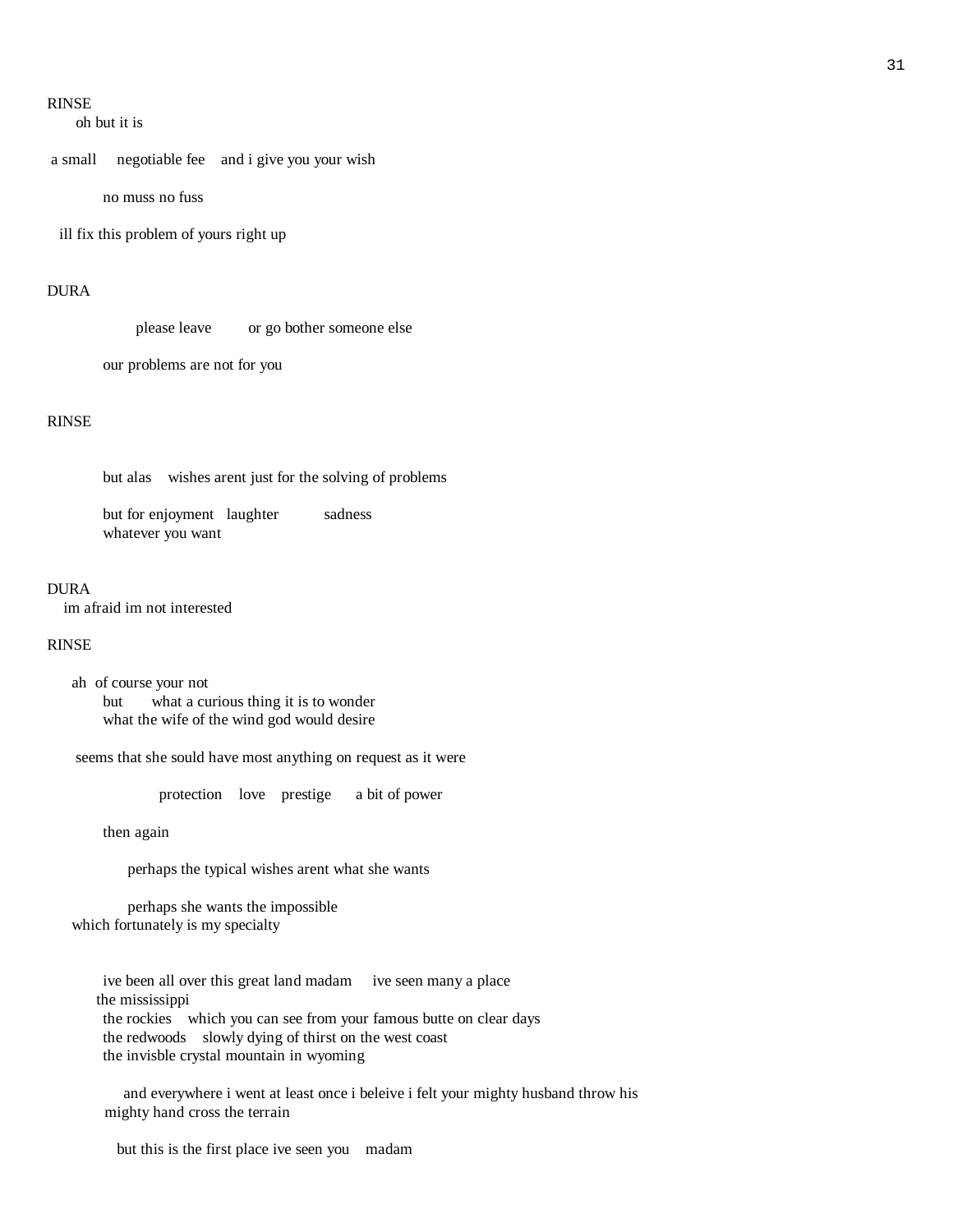### RINSE

oh but it is

a small negotiable fee and i give you your wish

no muss no fuss

ill fix this problem of yours right up

### DURA

please leave or go bother someone else

our problems are not for you

### RINSE

but alas wishes arent just for the solving of problems

but for enjoyment laughter sadness whatever you want

#### **DURA**

im afraid im not interested

#### RINSE

 ah of course your not but what a curious thing it is to wonder what the wife of the wind god would desire

seems that she sould have most anything on request as it were

protection love prestige a bit of power

then again

perhaps the typical wishes arent what she wants

 perhaps she wants the impossible which fortunately is my specialty

 ive been all over this great land madam ive seen many a place the mississippi the rockies which you can see from your famous butte on clear days the redwoods slowly dying of thirst on the west coast the invisble crystal mountain in wyoming

 and everywhere i went at least once i beleive i felt your mighty husband throw his mighty hand cross the terrain

but this is the first place ive seen you madam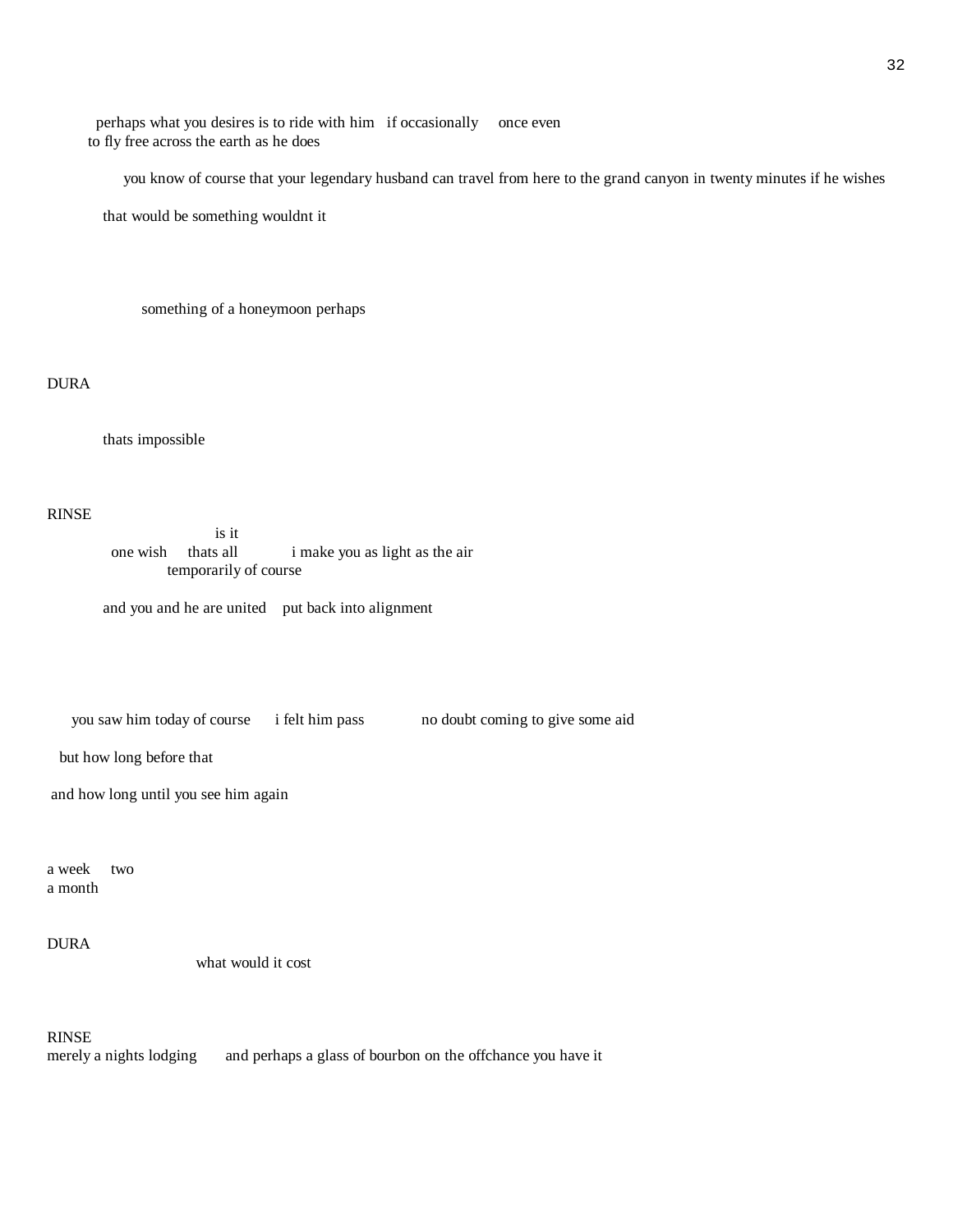perhaps what you desires is to ride with him if occasionally once even to fly free across the earth as he does

you know of course that your legendary husband can travel from here to the grand canyon in twenty minutes if he wishes

that would be something wouldnt it

something of a honeymoon perhaps

DURA

thats impossible

RINSE

 is it one wish thats all imake you as light as the air temporarily of course

and you and he are united put back into alignment

you saw him today of course i felt him pass no doubt coming to give some aid

but how long before that

and how long until you see him again

a week two a month

DURA

what would it cost

RINSE

merely a nights lodging and perhaps a glass of bourbon on the offchance you have it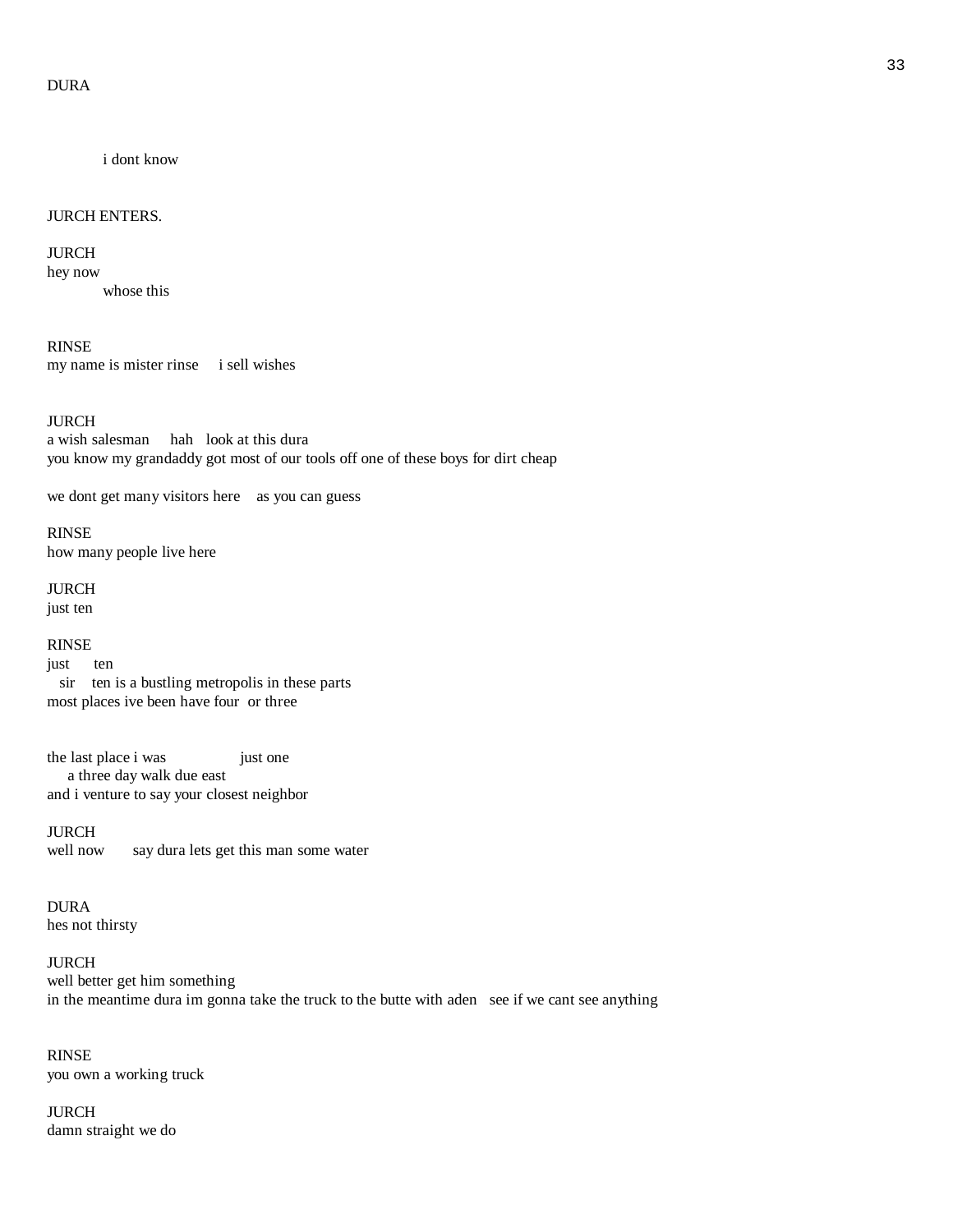i dont know

### JURCH ENTERS.

JURCH

hey now whose this

RINSE

my name is mister rinse i sell wishes

JURCH a wish salesman hah look at this dura you know my grandaddy got most of our tools off one of these boys for dirt cheap

we dont get many visitors here as you can guess

RINSE how many people live here

JURCH just ten

RINSE just ten sir ten is a bustling metropolis in these parts

most places ive been have four or three

the last place i was just one a three day walk due east and i venture to say your closest neighbor

JURCH well now say dura lets get this man some water

DURA hes not thirsty

JURCH well better get him something in the meantime dura im gonna take the truck to the butte with aden see if we cant see anything

RINSE you own a working truck

JURCH damn straight we do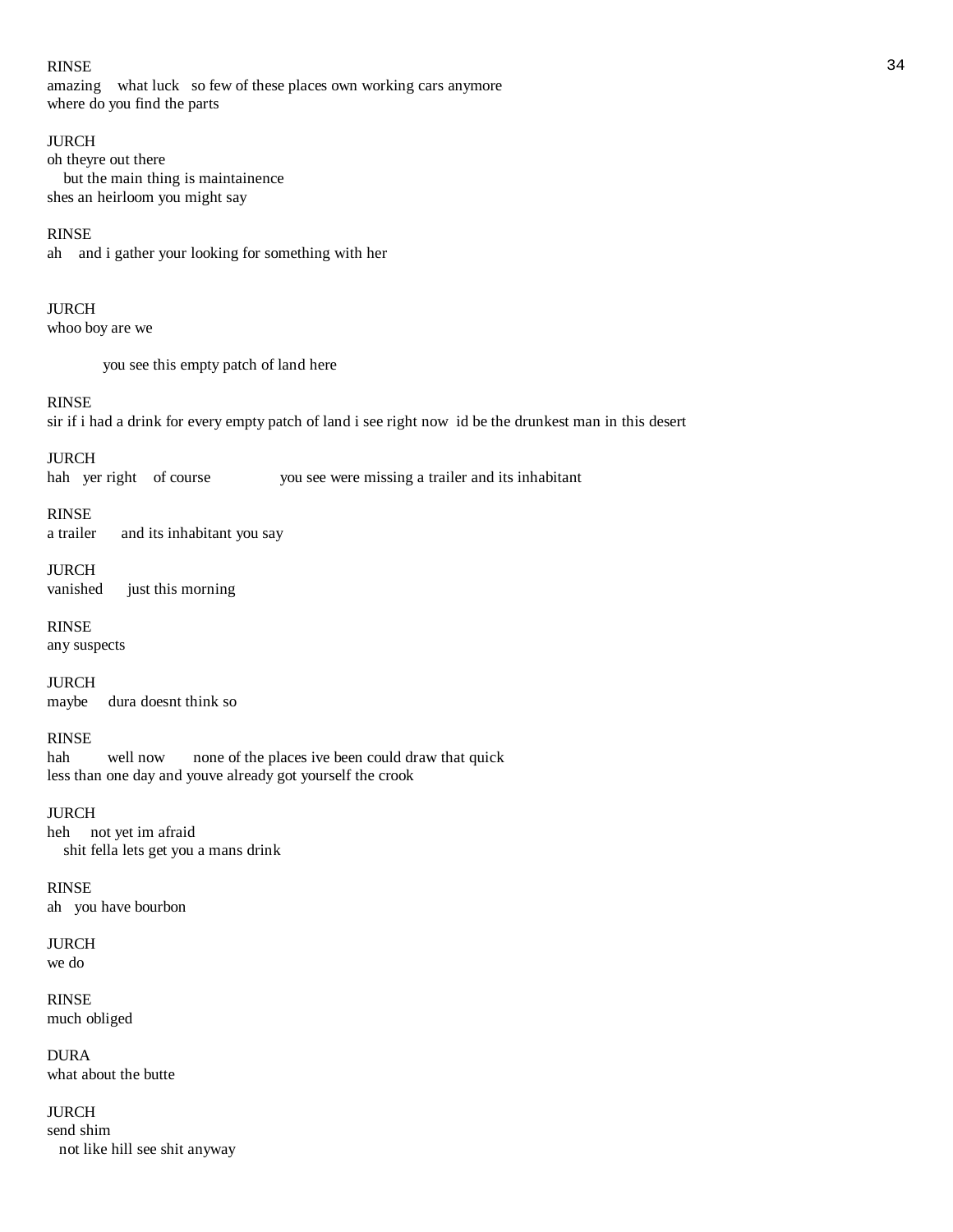### RINSE 34

amazing what luck so few of these places own working cars anymore where do you find the parts

### JURCH

oh theyre out there but the main thing is maintainence shes an heirloom you might say

### RINSE

ah and i gather your looking for something with her

### JURCH

whoo boy are we

you see this empty patch of land here

### RINSE

sir if i had a drink for every empty patch of land i see right now id be the drunkest man in this desert

### JURCH

hah yer right of course you see were missing a trailer and its inhabitant

### RINSE

a trailer and its inhabitant you say

# JURCH

vanished just this morning

### RINSE

any suspects

JURCH maybe dura doesnt think so

# RINSE<br>hah

well now none of the places ive been could draw that quick less than one day and youve already got yourself the crook

### JURCH

heh not yet im afraid shit fella lets get you a mans drink

RINSE ah you have bourbon

#### JURCH we do

RINSE much obliged

DURA what about the butte

JURCH send shim not like hill see shit anyway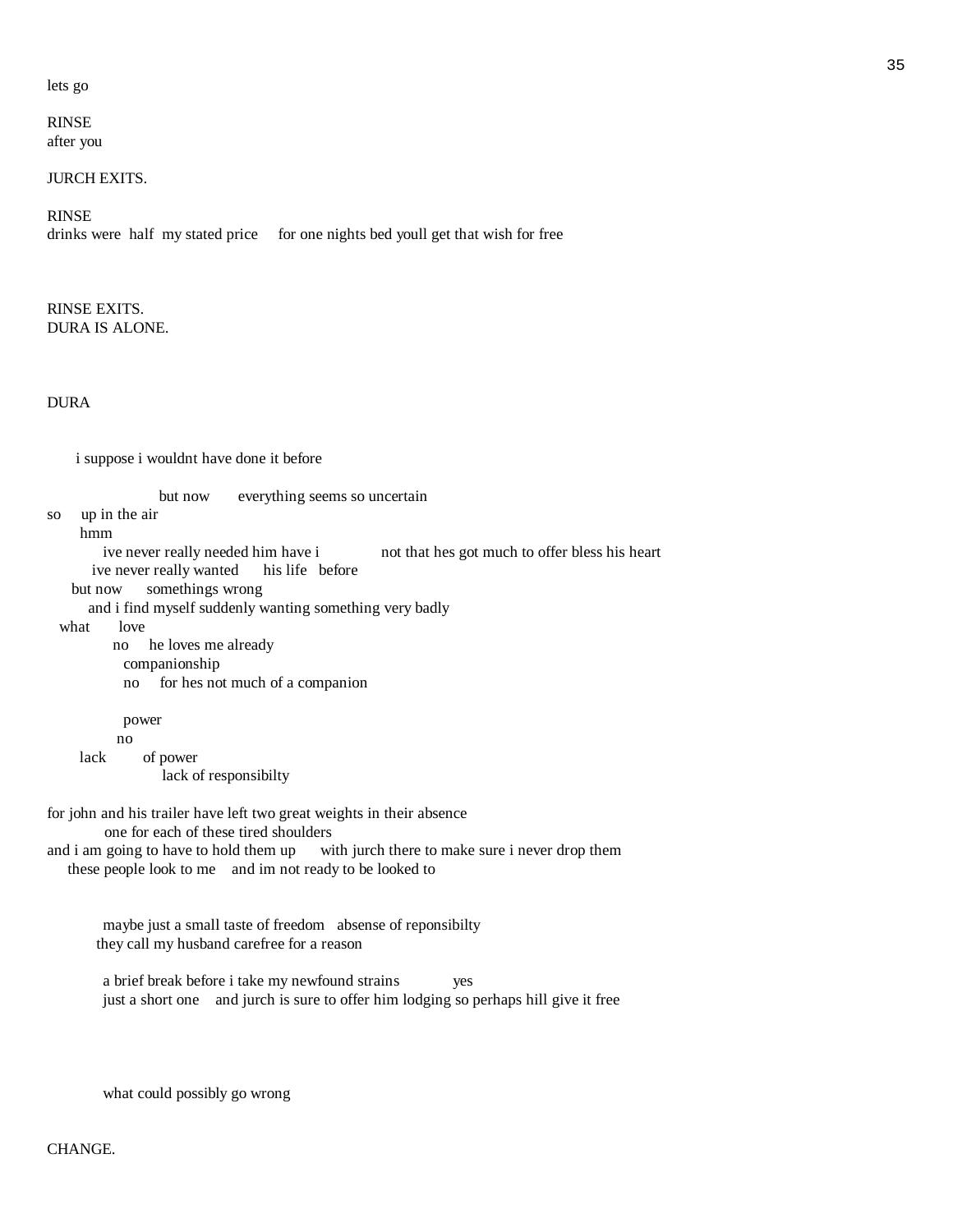#### lets go

### RINSE after you

# JURCH EXITS.

# RINSE

drinks were half my stated price for one nights bed youll get that wish for free

### RINSE EXITS. DURA IS ALONE.

### DURA

i suppose i wouldnt have done it before

but now everything seems so uncertain

so up in the air

 hmm ive never really needed him have i not that hes got much to offer bless his heart ive never really wanted his life before but now somethings wrong and i find myself suddenly wanting something very badly what love no he loves me already companionship no for hes not much of a companion power no lack of power lack of responsibilty

for john and his trailer have left two great weights in their absence

 one for each of these tired shoulders and i am going to have to hold them up with jurch there to make sure i never drop them

these people look to me and im not ready to be looked to

 maybe just a small taste of freedom absense of reponsibilty they call my husband carefree for a reason

 a brief break before i take my newfound strains yes just a short one and jurch is sure to offer him lodging so perhaps hill give it free

what could possibly go wrong

# CHANGE.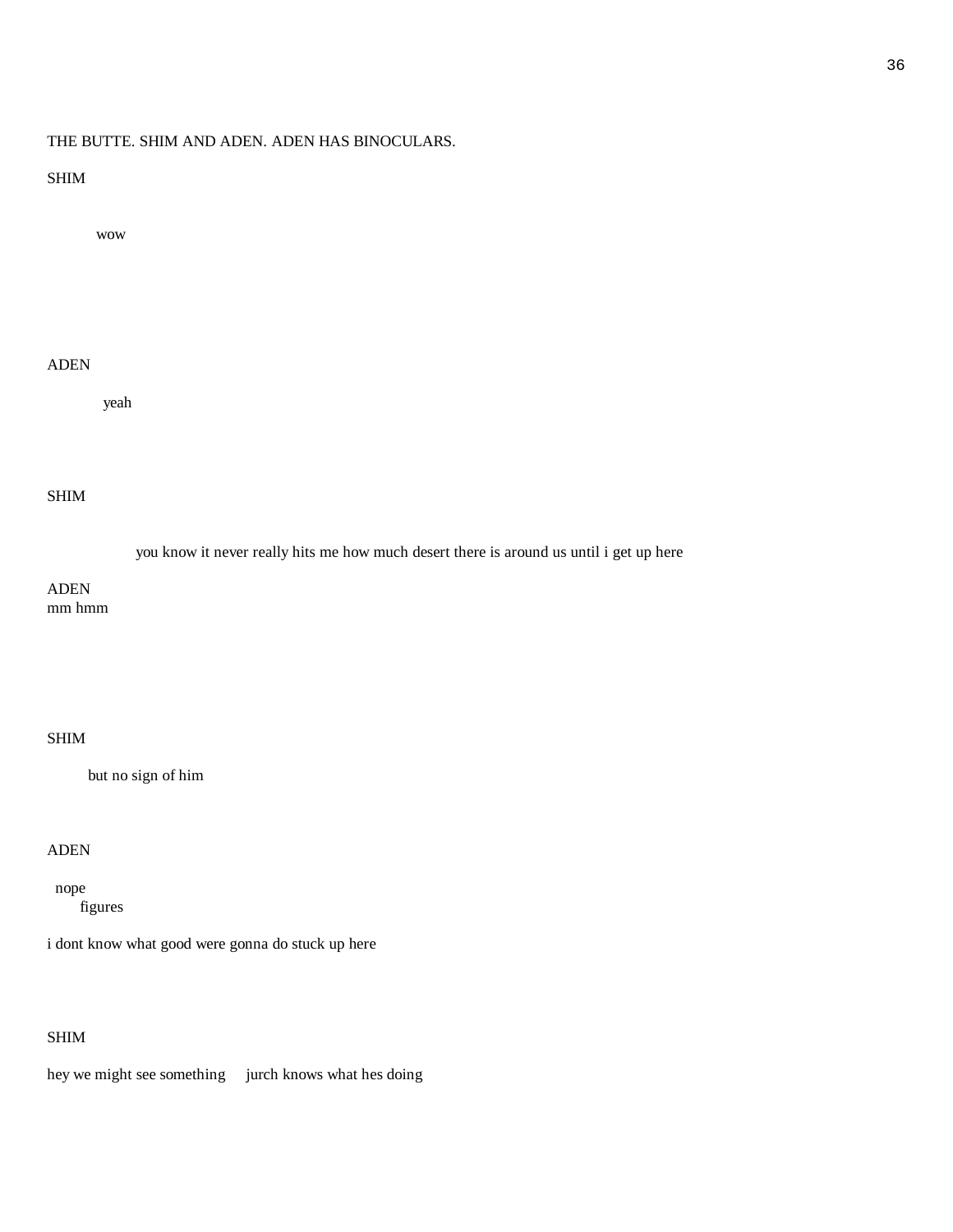# THE BUTTE. SHIM AND ADEN. ADEN HAS BINOCULARS.

### SHIM

wow

# ADEN

yeah

# SHIM

you know it never really hits me how much desert there is around us until i get up here

ADEN mm hmm

# SHIM

but no sign of him

# ADEN

 nope figures

i dont know what good were gonna do stuck up here

# SHIM

hey we might see something jurch knows what hes doing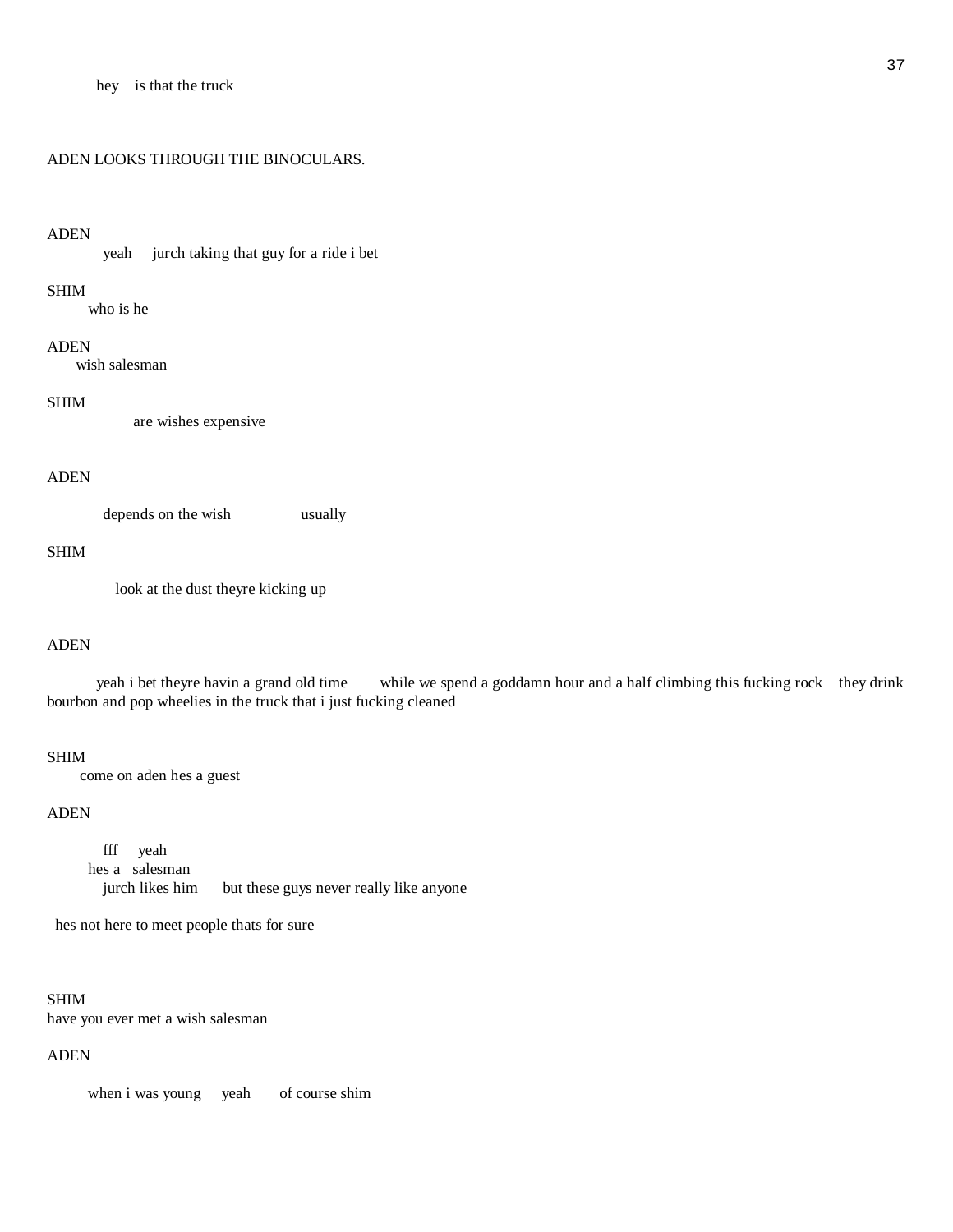#### ADEN LOOKS THROUGH THE BINOCULARS.

#### ADEN

yeah jurch taking that guy for a ride i bet

#### SHIM

who is he

#### ADEN

wish salesman

#### SHIM

are wishes expensive

#### ADEN

depends on the wish usually

#### SHIM

look at the dust theyre kicking up

#### ADEN

 yeah i bet theyre havin a grand old time while we spend a goddamn hour and a half climbing this fucking rock they drink bourbon and pop wheelies in the truck that i just fucking cleaned

#### SHIM

come on aden hes a guest

# ADEN

 fff yeah hes a salesman jurch likes him but these guys never really like anyone

hes not here to meet people thats for sure

# SHIM have you ever met a wish salesman

#### ADEN

when i was young yeah of course shim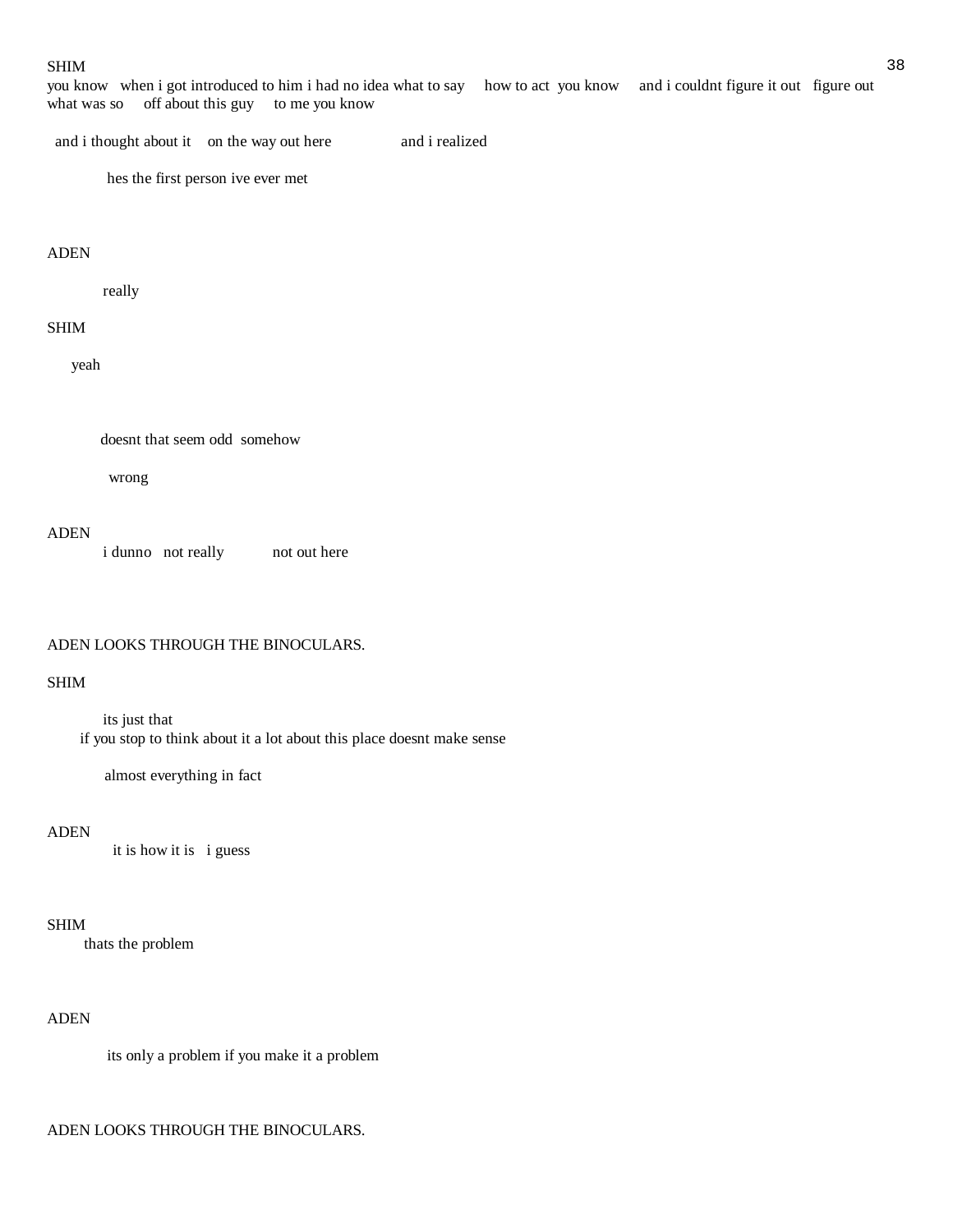#### $SHIM$

you know when i got introduced to him i had no idea what to say how to act you know and i couldnt figure it out figure out what was so off about this guy to me you know

and i thought about it on the way out here and i realized

hes the first person ive ever met

#### ADEN

really

#### SHIM

yeah

doesnt that seem odd somehow

wrong

# ADEN

i dunno not really not out here

#### ADEN LOOKS THROUGH THE BINOCULARS.

#### SHIM

 its just that if you stop to think about it a lot about this place doesnt make sense

almost everything in fact

# ADEN

it is how it is i guess

#### SHIM

thats the problem

# ADEN

its only a problem if you make it a problem

#### ADEN LOOKS THROUGH THE BINOCULARS.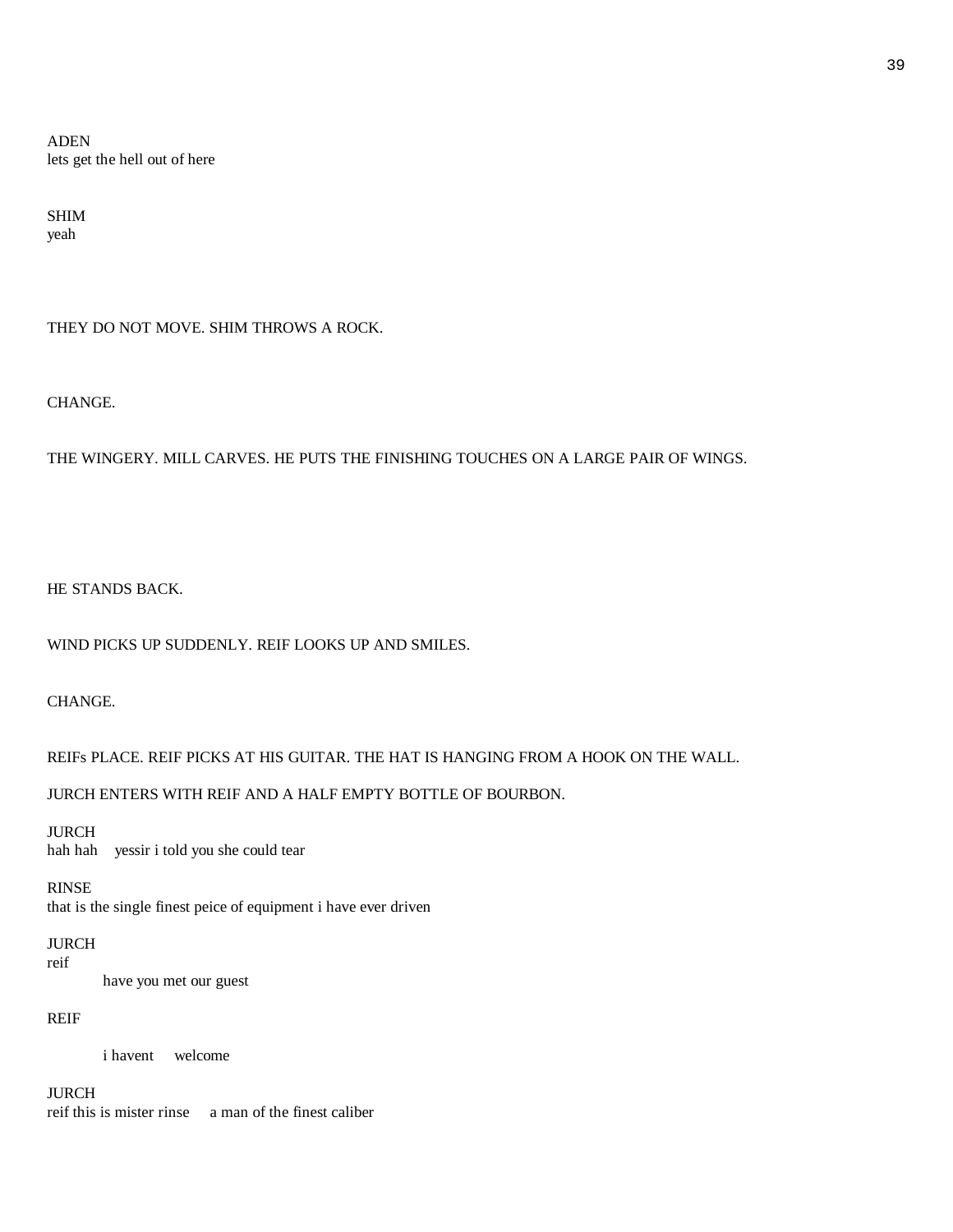ADEN lets get the hell out of here

SHIM yeah

THEY DO NOT MOVE. SHIM THROWS A ROCK.

CHANGE.

THE WINGERY. MILL CARVES. HE PUTS THE FINISHING TOUCHES ON A LARGE PAIR OF WINGS.

HE STANDS BACK.

WIND PICKS UP SUDDENLY. REIF LOOKS UP AND SMILES.

CHANGE.

REIFs PLACE. REIF PICKS AT HIS GUITAR. THE HAT IS HANGING FROM A HOOK ON THE WALL.

JURCH ENTERS WITH REIF AND A HALF EMPTY BOTTLE OF BOURBON.

JURCH hah hah yessir i told you she could tear

RINSE

that is the single finest peice of equipment i have ever driven

JURCH

reif

have you met our guest

# REIF

i havent welcome

JURCH reif this is mister rinse a man of the finest caliber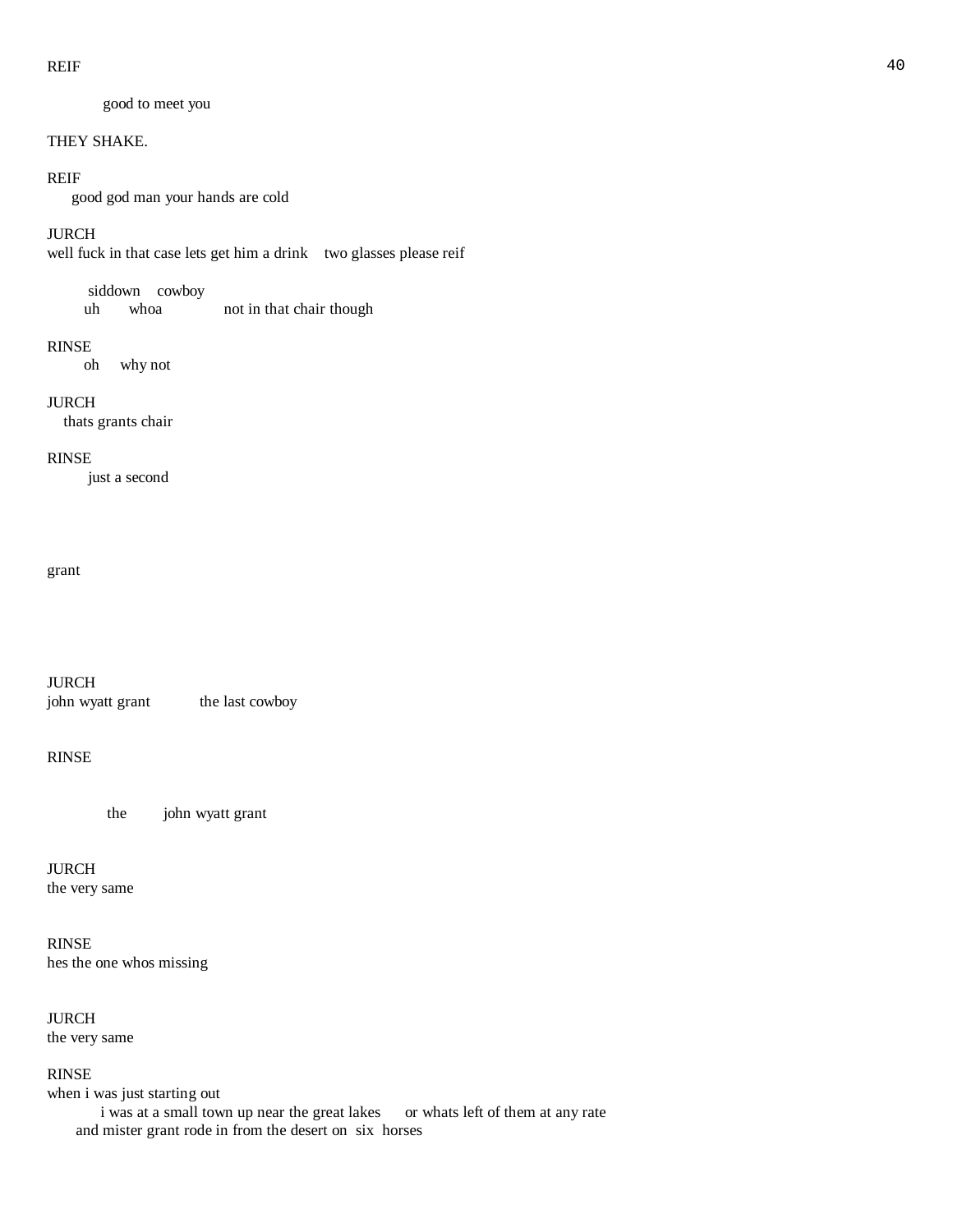good to meet you

#### THEY SHAKE.

#### REIF

good god man your hands are cold

# JURCH

well fuck in that case lets get him a drink two glasses please reif

#### siddown cowboy

uh whoa not in that chair though

#### RINSE

oh why not

#### JURCH

thats grants chair

#### RINSE

just a second

#### grant

JURCH john wyatt grant the last cowboy

#### RINSE

the johnwyatt grant

# JURCH the very same

# RINSE hes the one whos missing

JURCH

the very same

#### RINSE

when i was just starting out i was at a small town up near the great lakes or whats left of them at any rate and mister grant rode in from the desert on six horses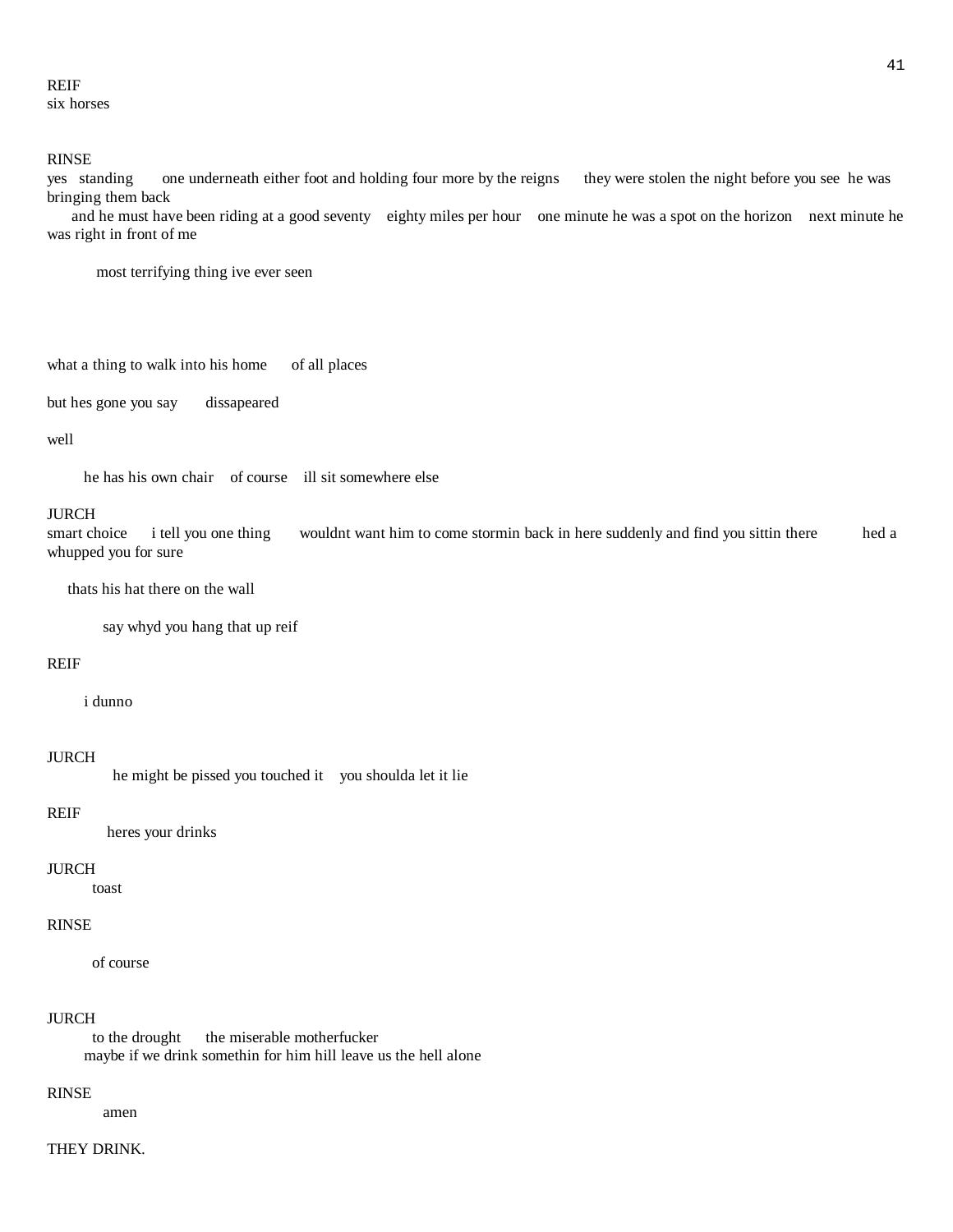# REIF six horses

#### RINSE

yes standing one underneath either foot and holding four more by the reigns they were stolen the night before you see he was bringing them back

 and he must have been riding at a good seventy eighty miles per hour one minute he was a spot on the horizon next minute he was right in front of me

most terrifying thing ive ever seen

```
what a thing to walk into his home of all places
```
but hes gone you say dissapeared

#### well

he has his own chair of course ill sit somewhere else

#### JURCH

smart choice i tell you one thing wouldnt want him to come stormin back in here suddenly and find you sittin there hed a whupped you for sure

thats his hat there on the wall

say whyd you hang that up reif

#### REIF

i dunno

#### JURCH

he might be pissed you touched it you shoulda let it lie

#### REIF

heres your drinks

#### JURCH

toast

### RINSE

of course

#### JURCH

to the drought the miserable motherfucker maybe if we drink somethin for him hill leave us the hell alone

#### RINSE

amen

# THEY DRINK.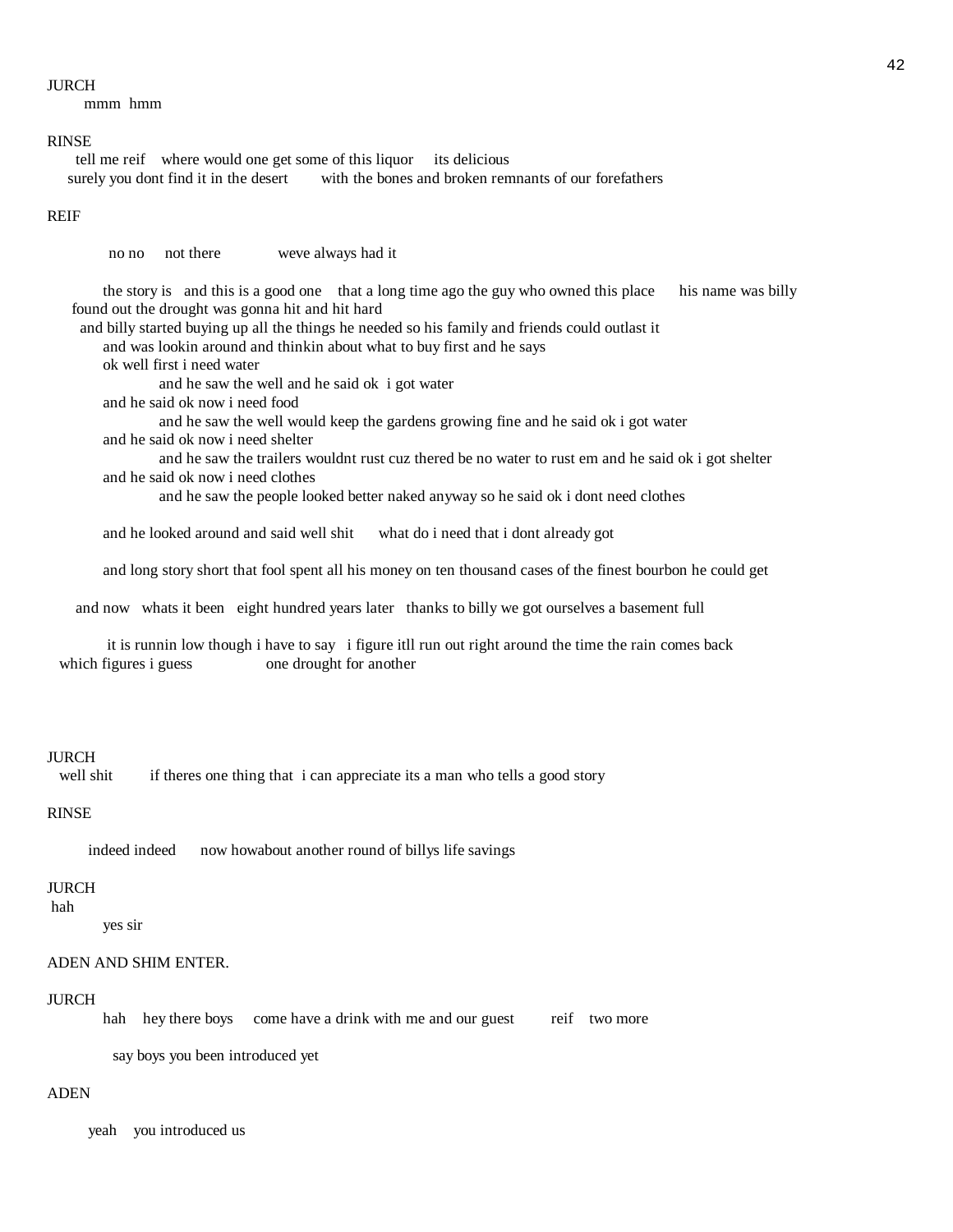#### JURCH

mmm hmm

#### RINSE

 tell me reif where would one get some of this liquor its delicious surely you dont find it in the desert with the bones and broken remnants of our forefathers

#### REIF

no no not there weve always had it

 the story is and this is a good one that a long time ago the guy who owned this place his name was billy found out the drought was gonna hit and hit hard

and billy started buying up all the things he needed so his family and friends could outlast it

and was lookin around and thinkin about what to buy first and he says

ok well first i need water

and he saw the well and he said ok igot water

and he said ok now i need food

 and he saw the well would keep the gardens growing fine and he said ok i got water and he said ok now i need shelter

 and he saw the trailers wouldnt rust cuz thered be no water to rust em and he said ok i got shelter and he said ok now i need clothes

and he saw the people looked better naked anyway so he said ok i dont need clothes

and he looked around and said well shit what do i need that i dont already got

and long story short that fool spent all his money on ten thousand cases of the finest bourbon he could get

and now whats it been eight hundred years later thanks to billy we got ourselves a basement full

 it is runnin low though i have to say i figure itll run out right around the time the rain comes back which figures i guess one drought for another

#### **IURCH**

well shit if theres one thing that i can appreciate its a man who tells a good story

#### RINSE

indeed indeed now howabout another round of billys life savings

#### JURCH

hah

yes sir

### ADEN AND SHIM ENTER.

#### JURCH

hah hey there boys come have a drink with me and our guest reif two more

say boys you been introduced yet

#### ADEN

yeah you introduced us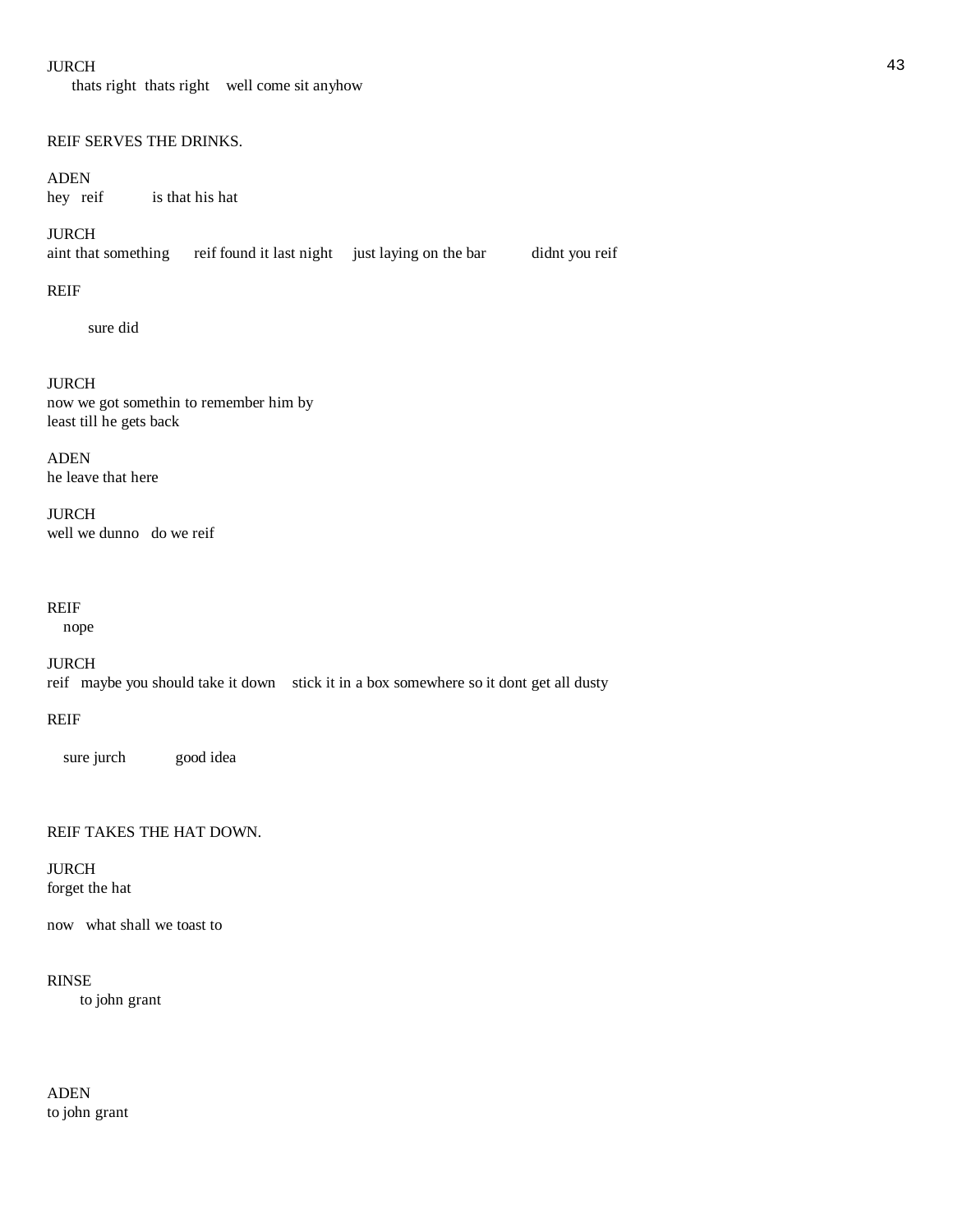#### $JURCH$  and the set of the set of the set of the set of the set of the set of the set of the set of the set of the set of the set of the set of the set of the set of the set of the set of the set of the set of the set of th

thats right thats right well come sit anyhow

#### REIF SERVES THE DRINKS.

ADEN<br>hey reif is that his hat

### JURCH

aint that something reif found it last night just laying on the bar didnt you reif

#### REIF

sure did

#### JURCH

now we got somethin to remember him by least till he gets back

ADEN he leave that here

JURCH well we dunno do we reif

# REIF

nope

JURCH reif maybe you should take it down stick it in a box somewhere so it dont get all dusty

# REIF

sure jurch good idea

# REIF TAKES THE HAT DOWN.

JURCH forget the hat

now what shall we toast to

### RINSE

to john grant

ADEN to john grant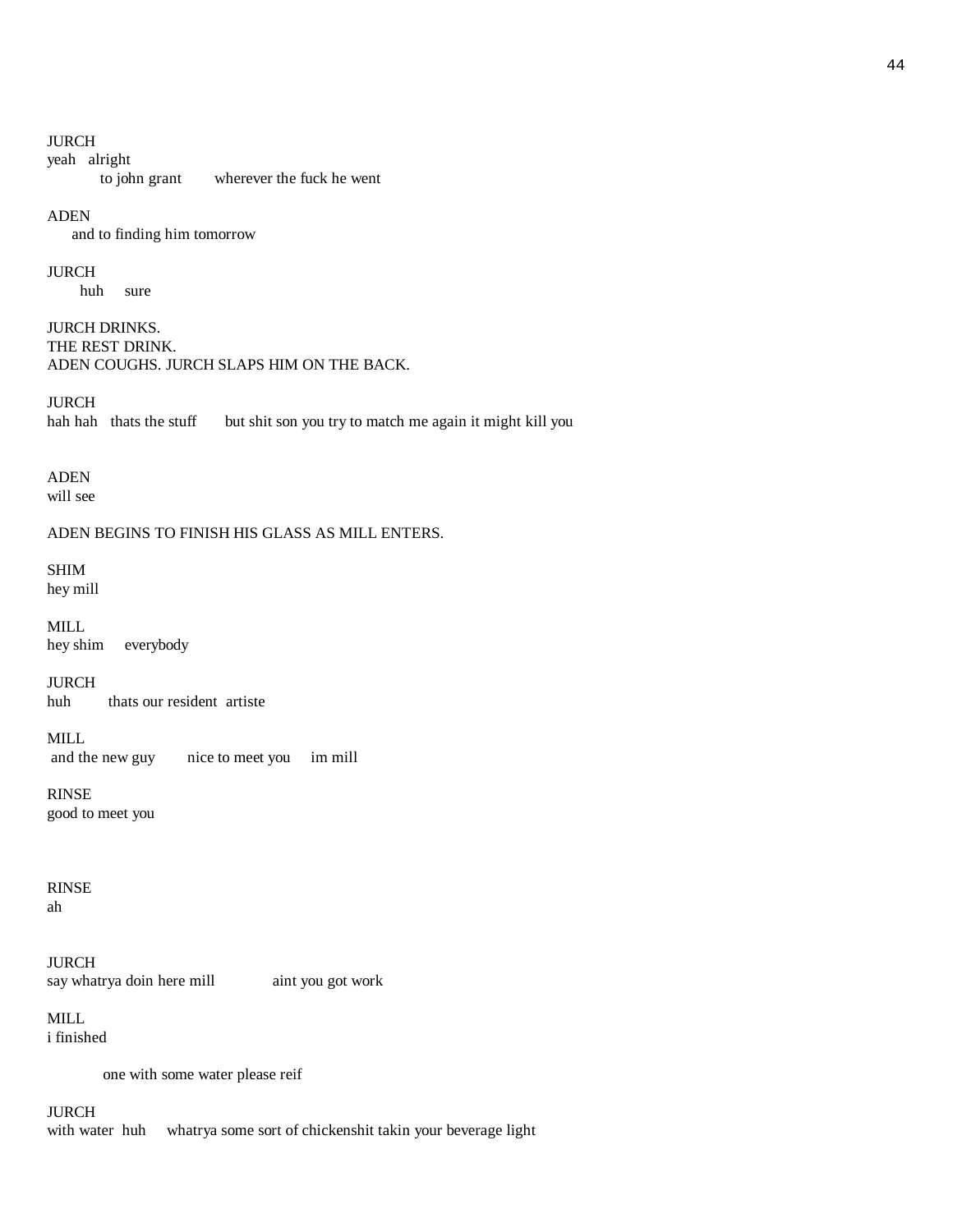#### JURCH

yeah alright

to john grant wherever the fuck he went

#### ADEN

and to finding him tomorrow

#### JURCH

huh sure

JURCH DRINKS. THE REST DRINK. ADEN COUGHS. JURCH SLAPS HIM ON THE BACK.

JURCH<br>hah hah thats the stuff but shit son you try to match me again it might kill you

# ADEN

will see

# ADEN BEGINS TO FINISH HIS GLASS AS MILL ENTERS.

# SHIM

hey mill

MILL hey shim everybody

JURCH huh thats our resident artiste

MILL and the new guy nice to meet you im mill

RINSE good to meet you

RINSE ah

JURCH say whatrya doin here mill aint you got work

MILL i finished

one with some water please reif

JURCH

with water huh whatrya some sort of chickenshit takin your beverage light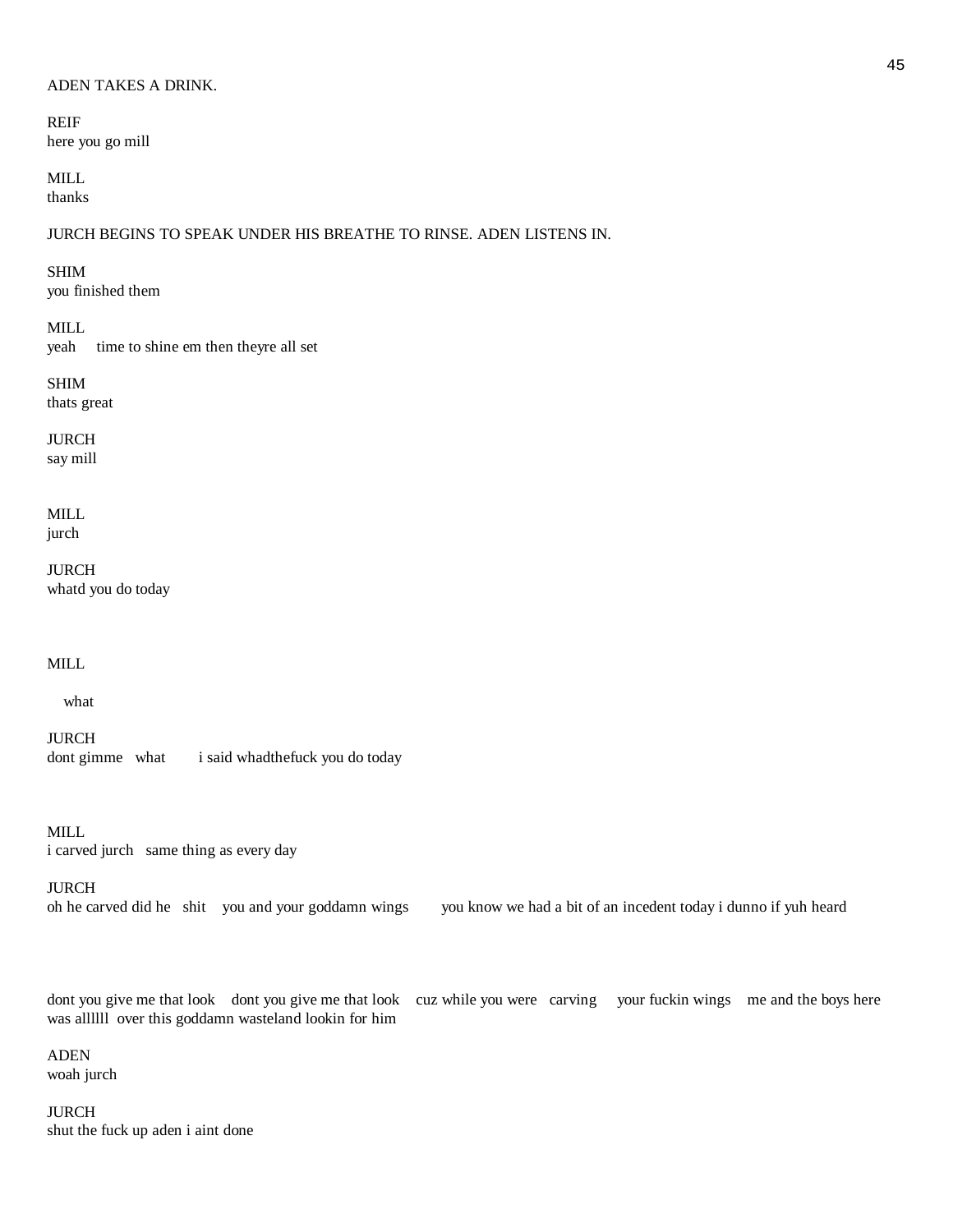#### ADEN TAKES A DRINK.

REIF here you go mill

MILL thanks

JURCH BEGINS TO SPEAK UNDER HIS BREATHE TO RINSE. ADEN LISTENS IN.

#### SHIM

you finished them

MILL

yeah time to shine em then theyre all set

# SHIM

thats great

JURCH

say mill

MILL jurch

JURCH whatd you do today

# MILL

what

JURCH dont gimme what i said whadthefuck you do today

MILL i carved jurch same thing as every day

#### JURCH

oh he carved did he shit you and your goddamn wings you know we had a bit of an incedent today i dunno if yuh heard

dont you give me that look dont you give me that look cuz while you were carving your fuckin wings me and the boys here was allllll over this goddamn wasteland lookin for him

ADEN woah jurch

JURCH shut the fuck up aden i aint done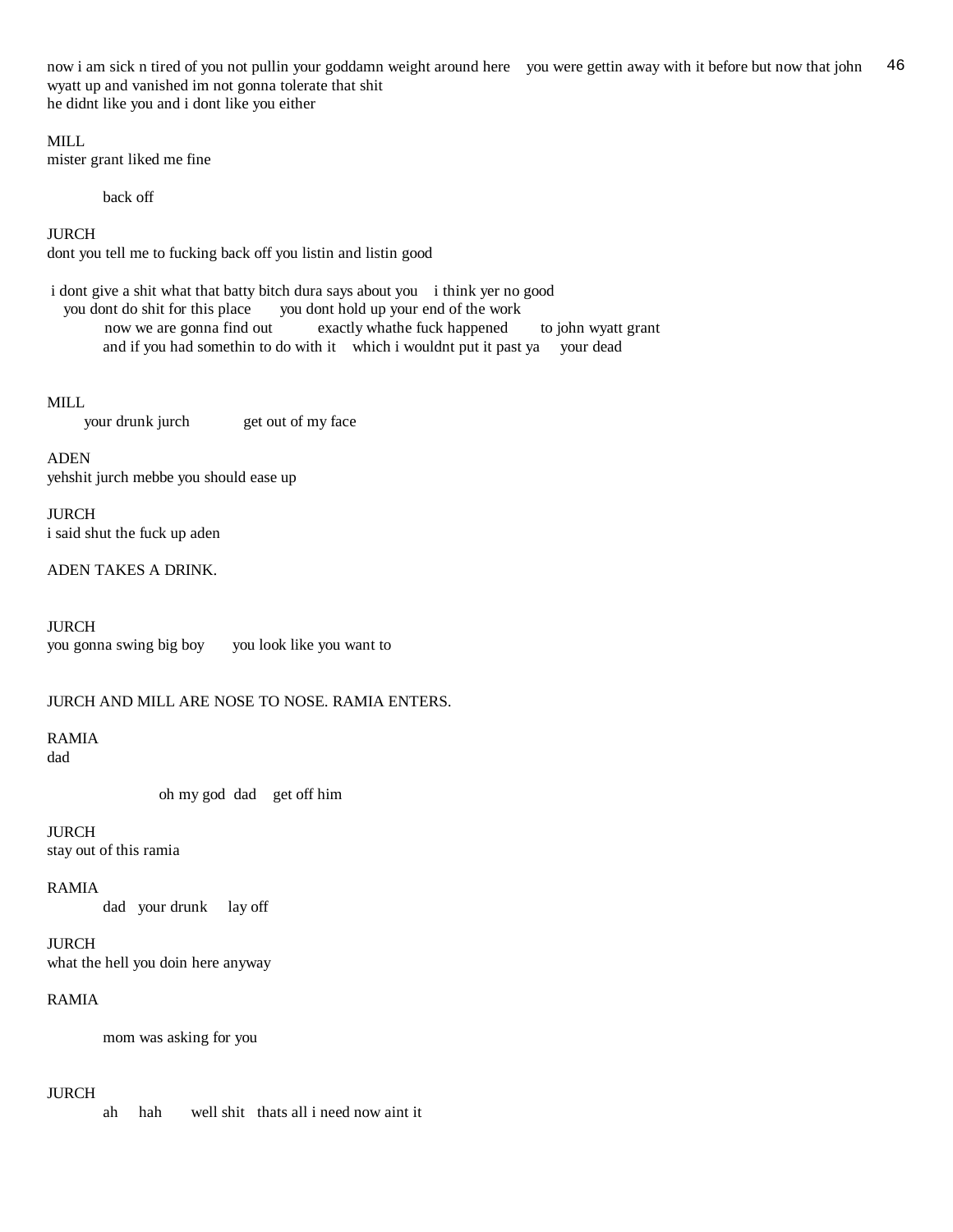now i am sick n tired of you not pullin your goddamn weight around here you were gettin away with it before but now that john 46 wyatt up and vanished im not gonna tolerate that shit he didnt like you and i dont like you either

MILL.

mister grant liked me fine

back off

JURCH

dont you tell me to fucking back off you listin and listin good

 i dont give a shit what that batty bitch dura says about you i think yer no good you dont do shit for this place you dont hold up your end of the work now we are gonna find out exactly whathe fuck happened to john wyatt grant and if you had somethin to do with it which i wouldnt put it past ya your dead

MILL

your drunk jurch get out of my face

ADEN yehshit jurch mebbe you should ease up

JURCH i said shut the fuck up aden

ADEN TAKES A DRINK.

JURCH you gonna swing big boy you look like you want to

# JURCH AND MILL ARE NOSE TO NOSE. RAMIA ENTERS.

RAMIA dad

oh my god dad get off him

JURCH stay out of this ramia

RAMIA

dad your drunk lay off

JURCH what the hell you doin here anyway

### RAMIA

mom was asking for you

#### JURCH

ah hah well shit thats all i need now aint it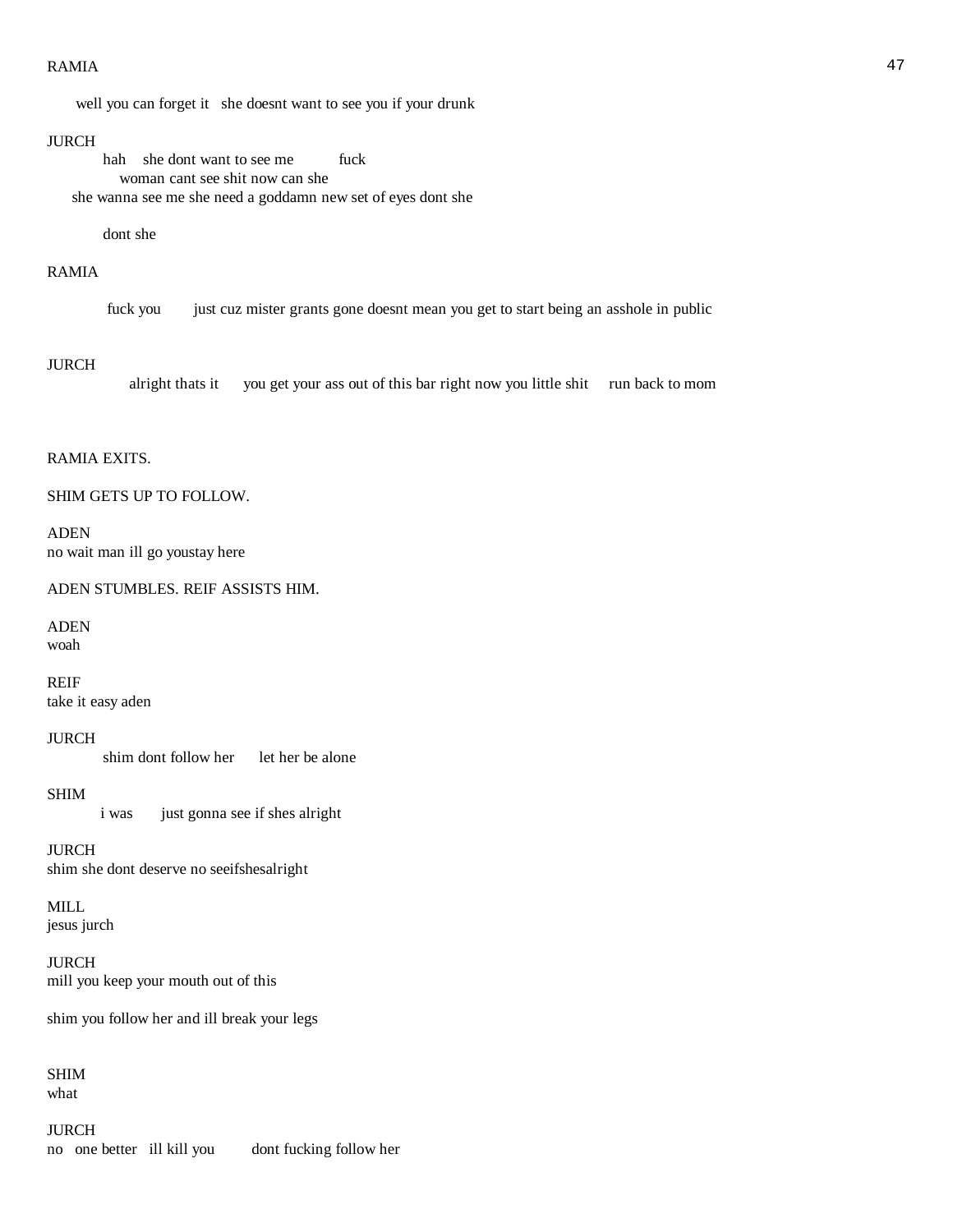#### $RAMIA$  and the contract of the contract of the contract of the contract of the contract of the contract of the contract of the contract of the contract of the contract of the contract of the contract of the contract of the

well you can forget it she doesnt want to see you if your drunk

#### JURCH

hah she dont want to see me fuck woman cant see shit now can she she wanna see me she need a goddamn new set of eyes dont she

dont she

## RAMIA

fuck you just cuz mister grants gone doesnt mean you get to start being an asshole in public

#### JURCH

alright thats it you get your ass out of this bar right now you little shit run back to mom

### RAMIA EXITS.

#### SHIM GETS UP TO FOLLOW.

ADEN no wait man ill go youstay here

ADEN STUMBLES. REIF ASSISTS HIM.

# ADEN

woah

REIF take it easy aden

#### JURCH

shim dont follow her let her be alone

#### SHIM

i was just gonna see if shes alright

# JURCH

shim she dont deserve no seeifshesalright

# MILL

jesus jurch

# JURCH mill you keep your mouth out of this

shim you follow her and ill break your legs

# SHIM what

JURCH no one better ill kill you dont fucking follow her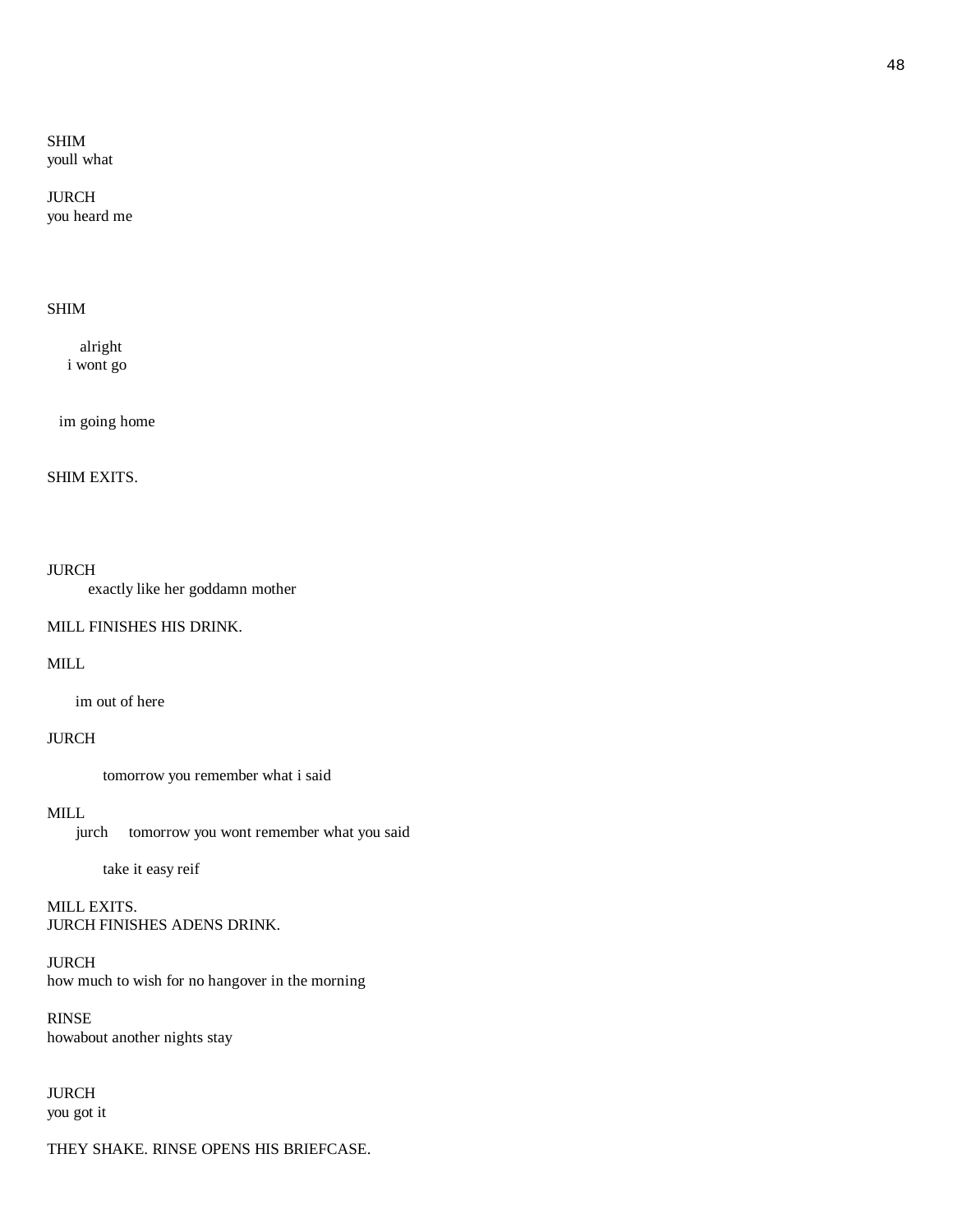# SHIM youll what

# JURCH you heard me

# SHIM

 alright i wont go

im going home

#### SHIM EXITS.

#### JURCH

exactly like her goddamn mother

# MILL FINISHES HIS DRINK.

# MILL

im out of here

# JURCH

tomorrow you remember what i said

# MILL

jurch tomorrow you wont remember what you said

take it easy reif

# MILL EXITS. JURCH FINISHES ADENS DRINK.

# JURCH how much to wish for no hangover in the morning

# RINSE howabout another nights stay

# JURCH you got it

THEY SHAKE. RINSE OPENS HIS BRIEFCASE.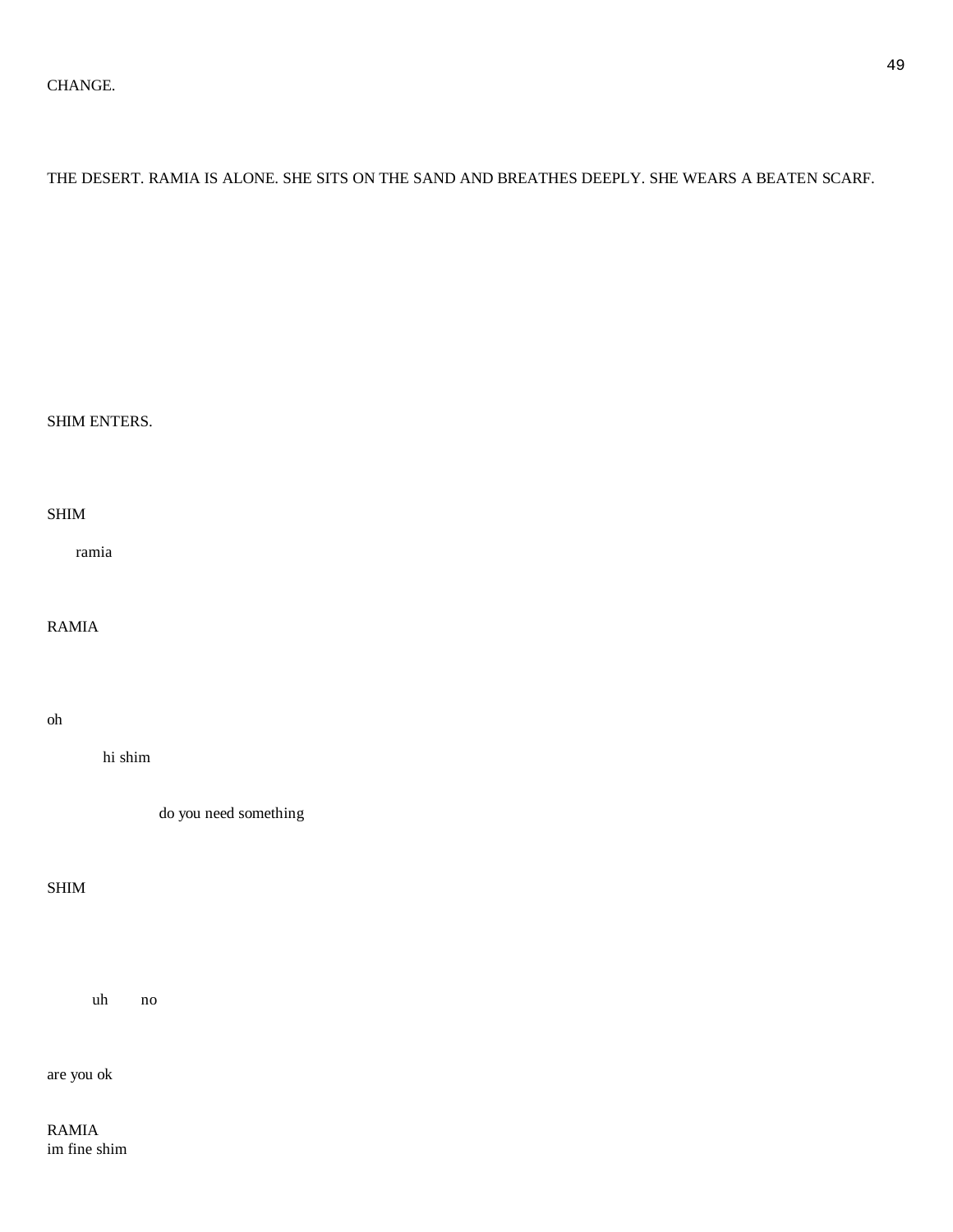# THE DESERT. RAMIA IS ALONE. SHE SITS ON THE SAND AND BREATHES DEEPLY. SHE WEARS A BEATEN SCARF.

# SHIM ENTERS.

# SHIM

ramia

# RAMIA

# oh

hi shim

do you need something

### SHIM

uh no

are you ok

RAMIA im fine shim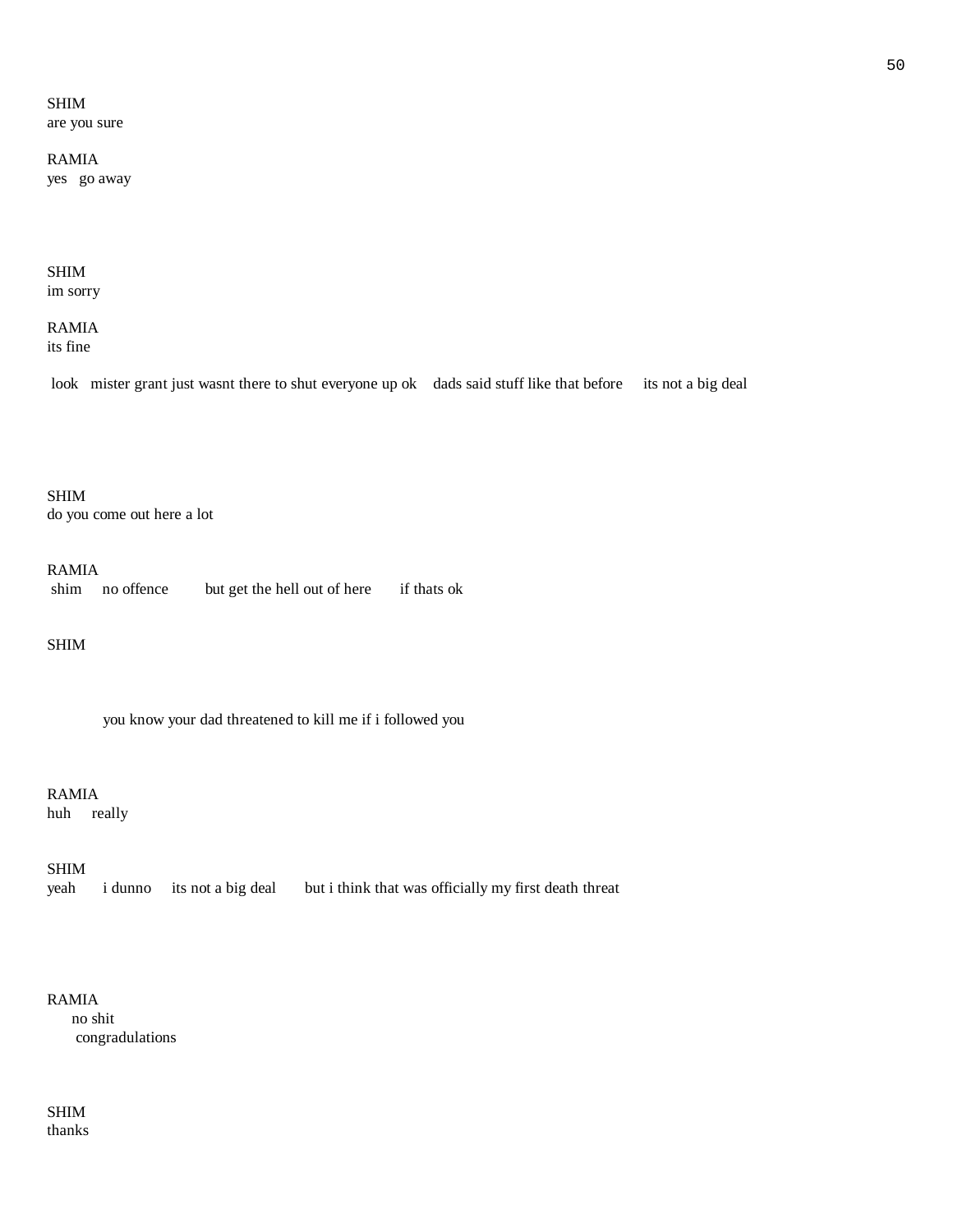SHIM are you sure

RAMIA yes go away

# SHIM im sorry

RAMIA its fine

look mister grant just wasnt there to shut everyone up ok dads said stuff like that before its not a big deal

SHIM do you come out here a lot

RAMIA

shim no offence but get the hell out of here if thats ok

SHIM

you know your dad threatened to kill me if i followed you

RAMIA

huh really

SHIM

yeah i dunno its not a big deal but i think that was officially my first death threat

# RAMIA no shit congradulations

SHIM thanks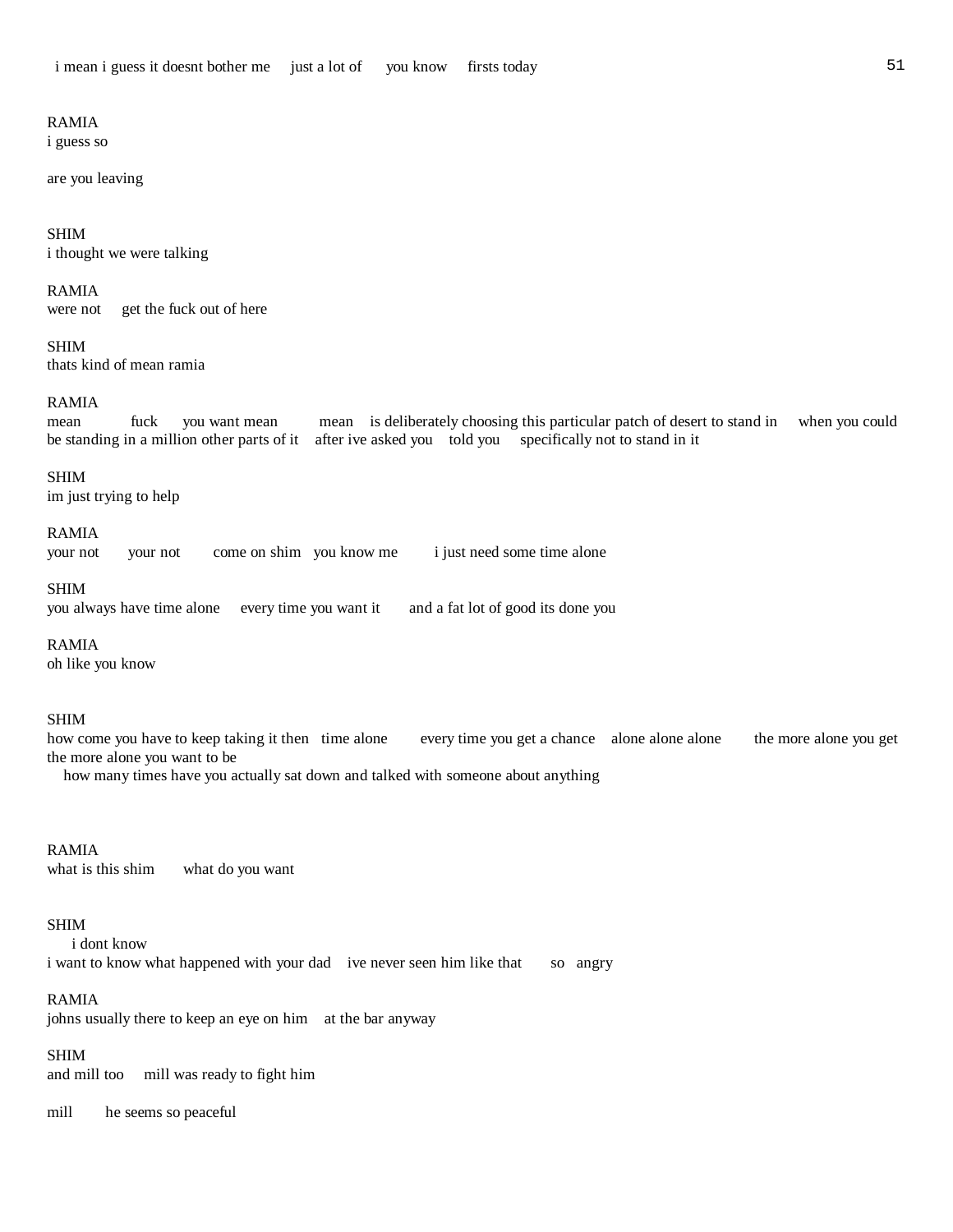#### RAMIA

i guess so

are you leaving

SHIM i thought we were talking

#### RAMIA

were not get the fuck out of here

SHIM thats kind of mean ramia

### RAMIA

mean fuck you want mean mean is deliberately choosing this particular patch of desert to stand in when you could be standing in a million other parts of it after ive asked you told you specifically not to stand in it

#### SHIM

im just trying to help

#### RAMIA

your not your not come on shim you know me i just need some time alone

#### SHIM

you always have time alone every time you want it and a fat lot of good its done you

RAMIA

oh like you know

#### SHIM

how come you have to keep taking it then time alone every time you get a chance alone alone alone the more alone you get the more alone you want to be

how many times have you actually sat down and talked with someone about anything

#### RAMIA

what is this shim what do you want

#### SHIM

 i dont know i want to know what happened with your dad ive never seen him like that so angry

### RAMIA

johns usually there to keep an eye on him at the bar anyway

#### SHIM

and mill too mill was ready to fight him

mill he seems so peaceful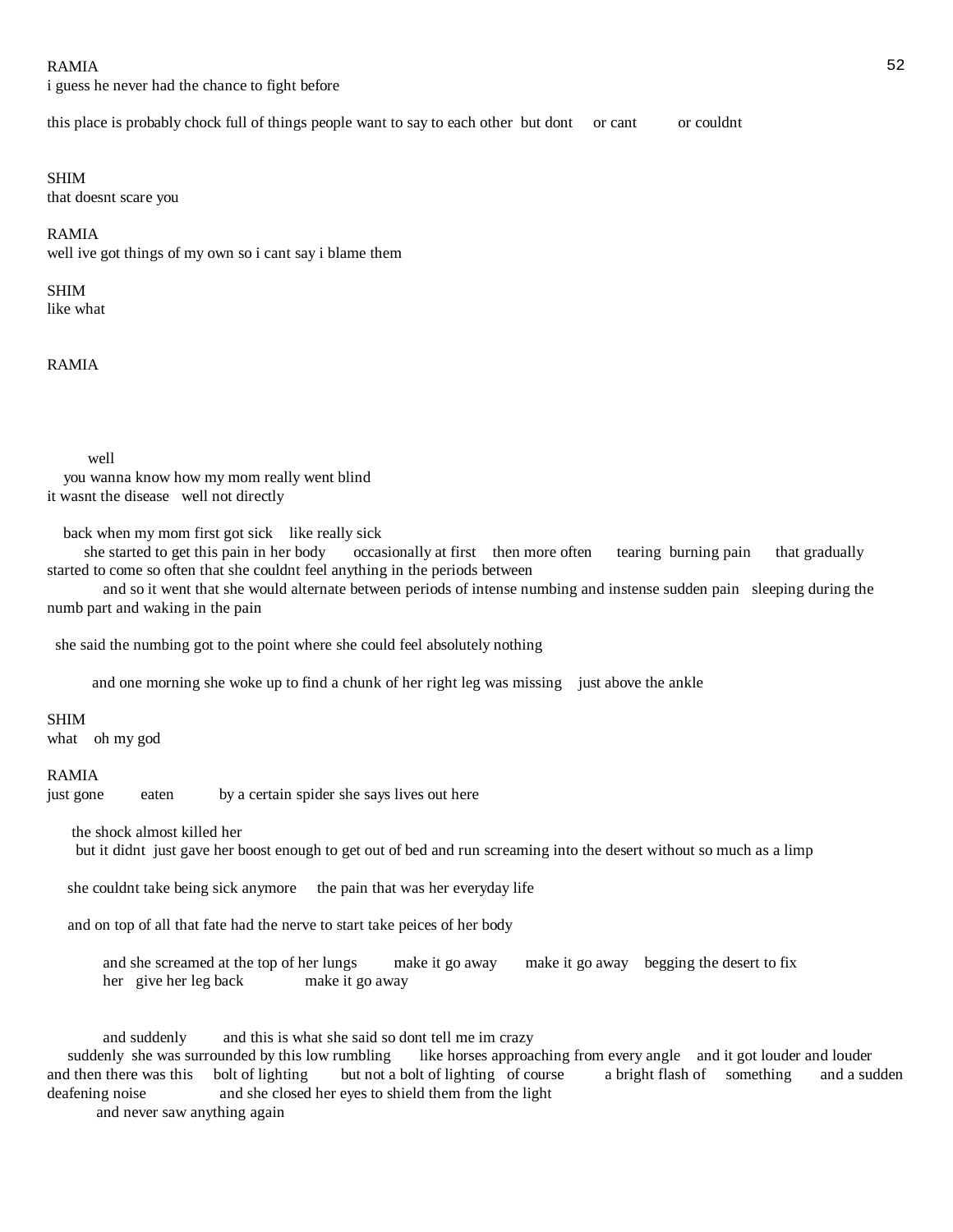#### $RAMIA$  52

i guess he never had the chance to fight before

this place is probably chock full of things people want to say to each other but dont or cant or couldnt

#### SHIM

that doesnt scare you

#### RAMIA

well ive got things of my own so i cant say i blame them

# SHIM

like what

RAMIA

#### well

 you wanna know how my mom really went blind it wasnt the disease well not directly

back when my mom first got sick like really sick

 she started to get this pain in her body occasionally at first then more often tearing burning pain that gradually started to come so often that she couldnt feel anything in the periods between

 and so it went that she would alternate between periods of intense numbing and instense sudden pain sleeping during the numb part and waking in the pain

she said the numbing got to the point where she could feel absolutely nothing

and one morning she woke up to find a chunk of her right leg was missing just above the ankle

#### SHIM

what oh my god

#### RAMIA

just gone eaten by a certain spider she says lives out here

the shock almost killed her

but it didnt just gave her boost enough to get out of bed and run screaming into the desert without so much as a limp

she couldnt take being sick anymore the pain that was her everyday life

and on top of all that fate had the nerve to start take peices of her body

 and she screamed at the top of her lungs make it go away make it go away begging the desert to fix her give her leg back make it go away

 and suddenly and this is what she said so dont tell me im crazy suddenly she was surrounded by this low rumbling like horses approaching from every angle and it got louder and louder and then there was this bolt of lighting but not a bolt of lighting of course a bright flash of something and a sudden deafening noise and she closed her eyes to shield them from the light and never saw anything again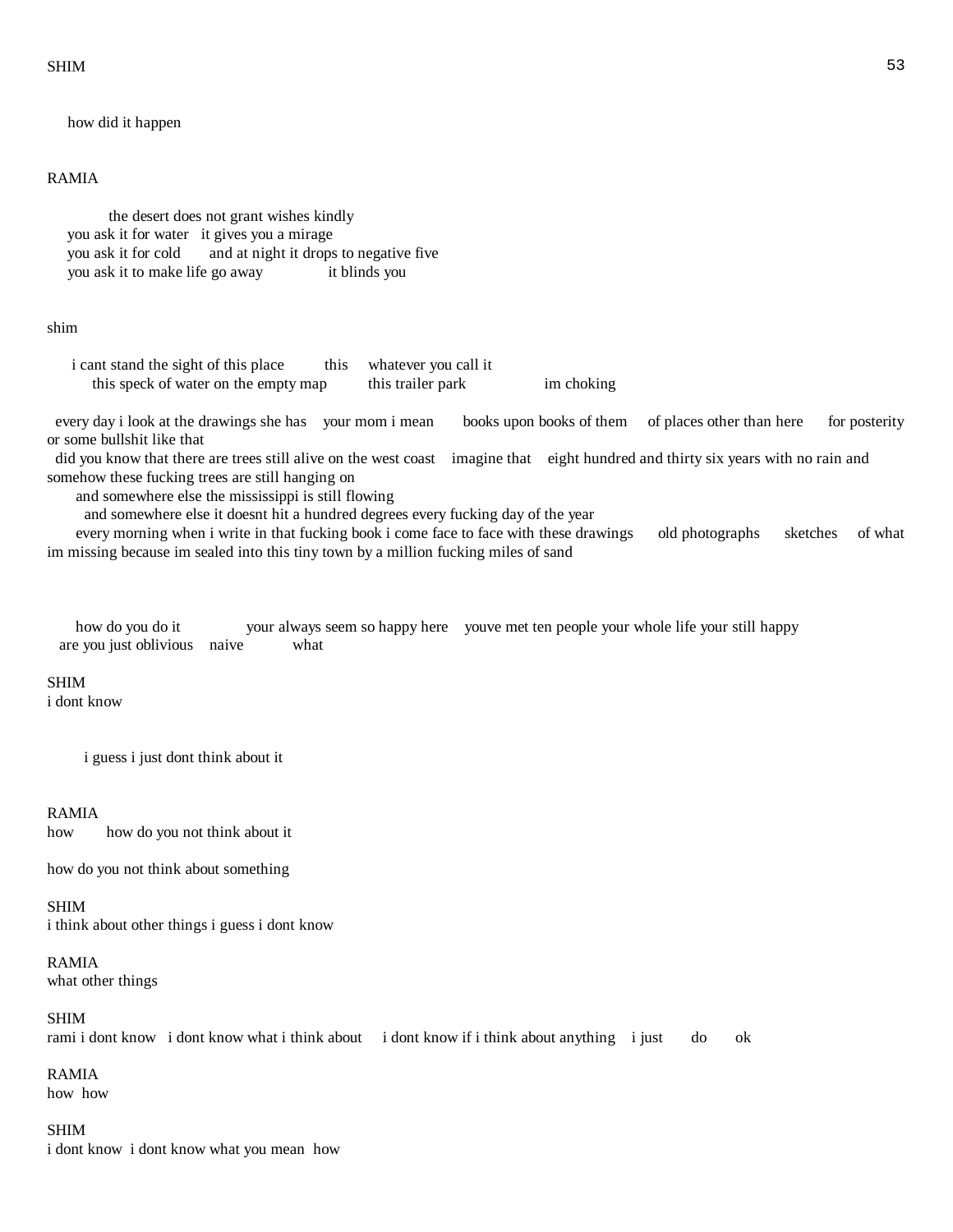$SHIM$ 

how did it happen

### RAMIA

 the desert does not grant wishes kindly you ask it for water it gives you a mirage you ask it for cold and at night it drops to negative five you ask it to make life go away it blinds you

#### shim

i cant stand the sight of this place this whatever you call it this speck of water on the empty map this trailer park im choking

 every day i look at the drawings she has your mom i mean books upon books of them of places other than here for posterity or some bullshit like that

 did you know that there are trees still alive on the west coast imagine that eight hundred and thirty six years with no rain and somehow these fucking trees are still hanging on

and somewhere else the mississippi is still flowing

and somewhere else it doesnt hit a hundred degrees every fucking day of the year

 every morning when i write in that fucking book i come face to face with these drawings old photographs sketches of what im missing because im sealed into this tiny town by a million fucking miles of sand

| how do you do it                  |  | your always seem so happy here youve met ten people your whole life your still happy |
|-----------------------------------|--|--------------------------------------------------------------------------------------|
| are you just oblivious naive what |  |                                                                                      |

#### SHIM

i dont know

i guess i just dont think about it

#### RAMIA

how how do you not think about it

how do you not think about something

SHIM i think about other things i guess i dont know

RAMIA what other things

SHIM rami i dont know i dont know what i think about i dont know if i think about anything i just do ok

RAMIA how how

SHIM i dont know i dont know what you mean how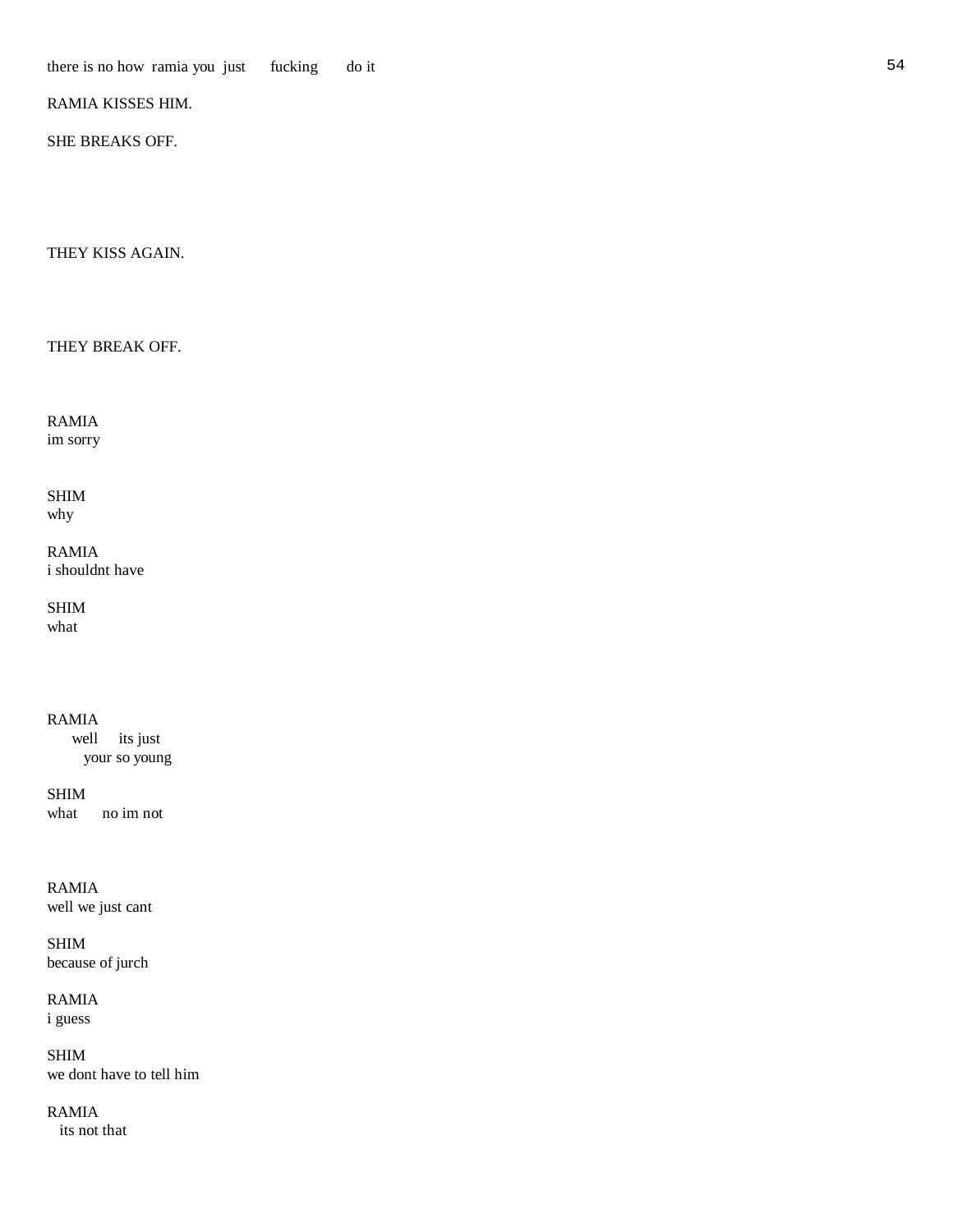# RAMIA KISSES HIM.

SHE BREAKS OFF.

THEY KISS AGAIN.

THEY BREAK OFF.

RAMIA im sorry

SHIM why

RAMIA i shouldnt have

SHIM what

RAMIA well its just your so young

SHIM what no im not

RAMIA well we just cant

SHIM because of jurch

RAMIA i guess

SHIM we dont have to tell him

RAMIA its not that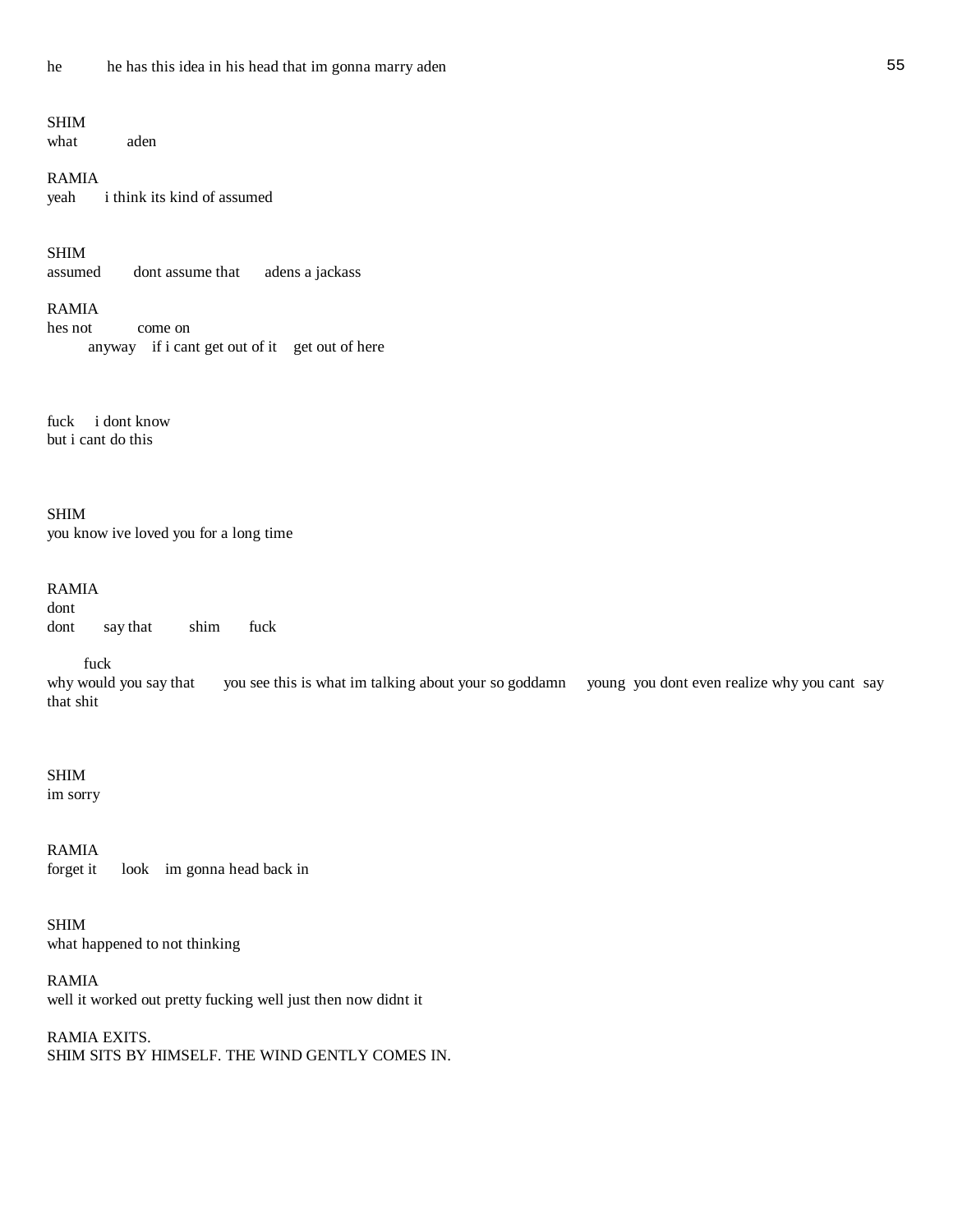# SHIM

what aden

### RAMIA

yeah i think its kind of assumed

# SHIM

assumed dont assume that adens a jackass

# RAMIA

hes not come on anyway if i cant get out of it get out of here

fuck i dont know but i cant do this

SHIM you know ive loved you for a long time

# RAMIA dont dont say that shim fuck

fuck

why would you say that you see this is what im talking about your so goddamn young you dont even realize why you cant say that shit

#### SHIM im sorry

RAMIA forget it look im gonna head back in

SHIM what happened to not thinking

RAMIA well it worked out pretty fucking well just then now didnt it

RAMIA EXITS. SHIM SITS BY HIMSELF. THE WIND GENTLY COMES IN.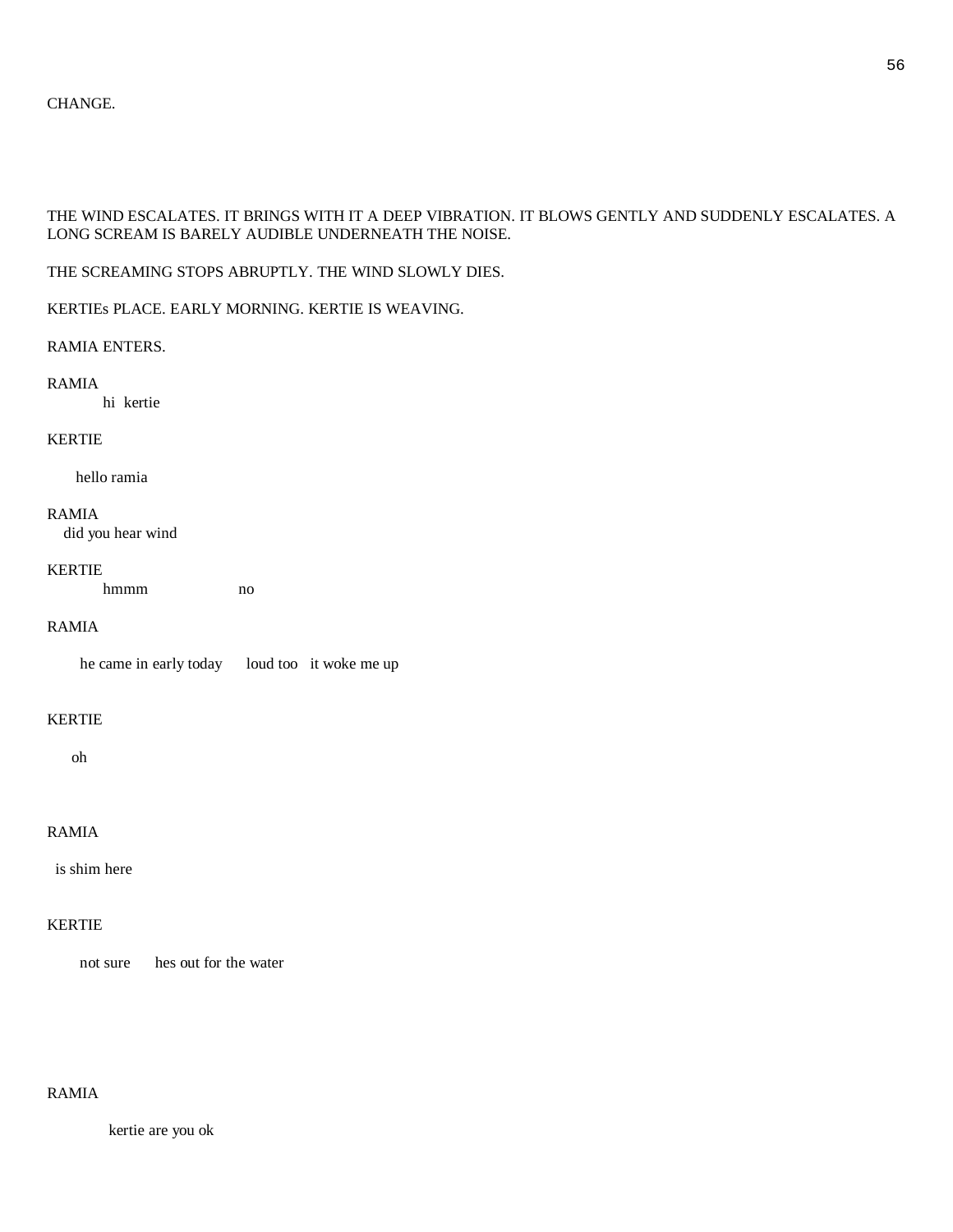# CHANGE.

# THE WIND ESCALATES. IT BRINGS WITH IT A DEEP VIBRATION. IT BLOWS GENTLY AND SUDDENLY ESCALATES. A LONG SCREAM IS BARELY AUDIBLE UNDERNEATH THE NOISE.

# THE SCREAMING STOPS ABRUPTLY. THE WIND SLOWLY DIES.

# KERTIEs PLACE. EARLY MORNING. KERTIE IS WEAVING.

# RAMIA ENTERS.

# RAMIA

hi kertie

# KERTIE

hello ramia

# RAMIA

did you hear wind

#### KERTIE

hmmm no

# RAMIA

he came in early today loud too it woke me up

# KERTIE

oh

# RAMIA

is shim here

# KERTIE

not sure hes out for the water

# RAMIA

kertie are you ok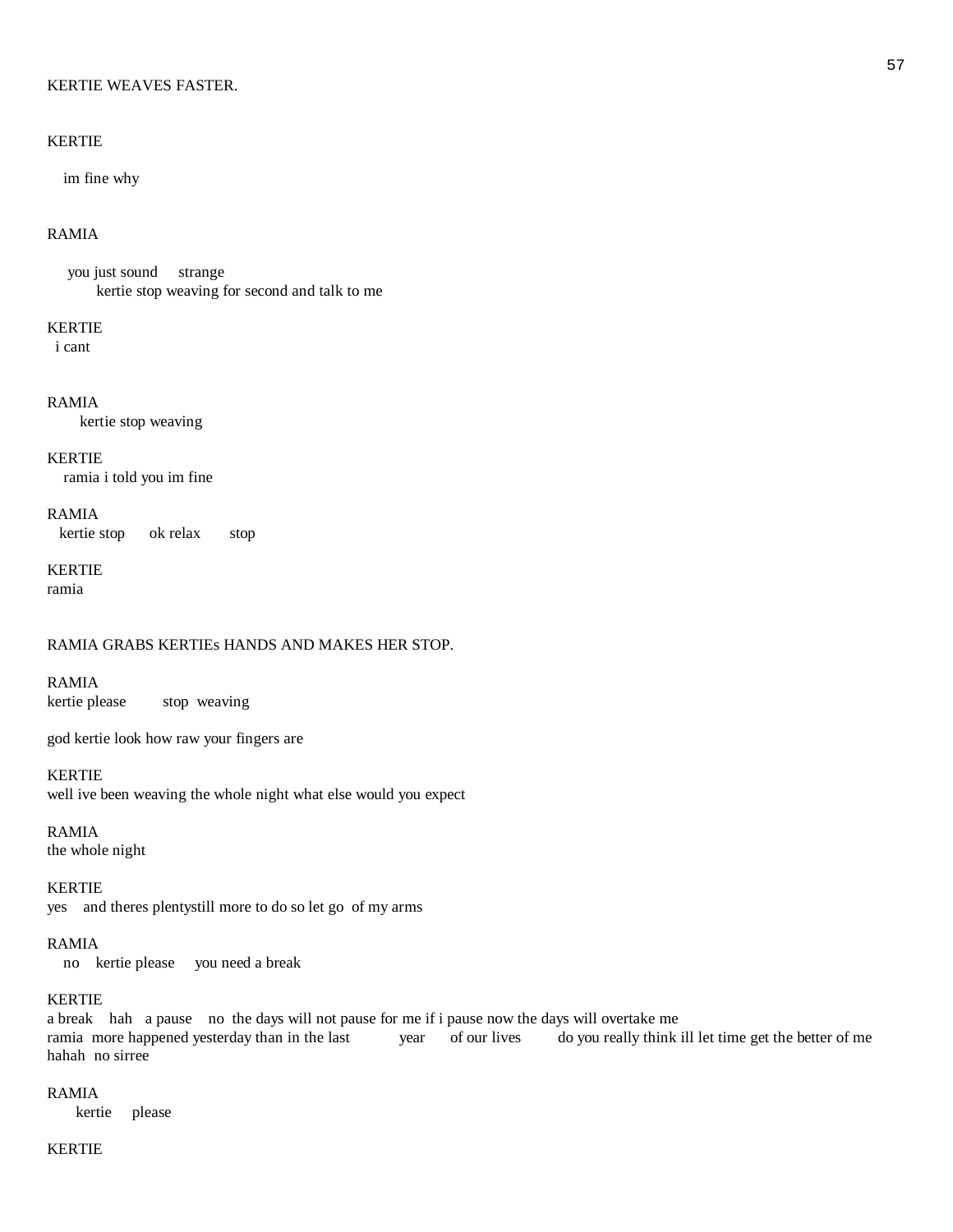#### KERTIE WEAVES FASTER.

### KERTIE

im fine why

# RAMIA

 you just sound strange kertie stop weaving for second and talk to me

#### KERTIE

i cant

# RAMIA

kertie stop weaving

#### KERTIE

ramia i told you im fine

# RAMIA kertie stop ok relax stop

# KERTIE

ramia

# RAMIA GRABS KERTIEs HANDS AND MAKES HER STOP.

RAMIA kertie please stop weaving

god kertie look how raw your fingers are

#### KERTIE

well ive been weaving the whole night what else would you expect

RAMIA the whole night

KERTIE yes and theres plentystill more to do so let go of my arms

# RAMIA

no kertie please you need a break

# KERTIE

a break hah a pause no the days will not pause for me if i pause now the days will overtake me ramia more happened yesterday than in the last year of our lives do you really think ill let time get the better of me hahah no sirree

# RAMIA

kertie please

# KERTIE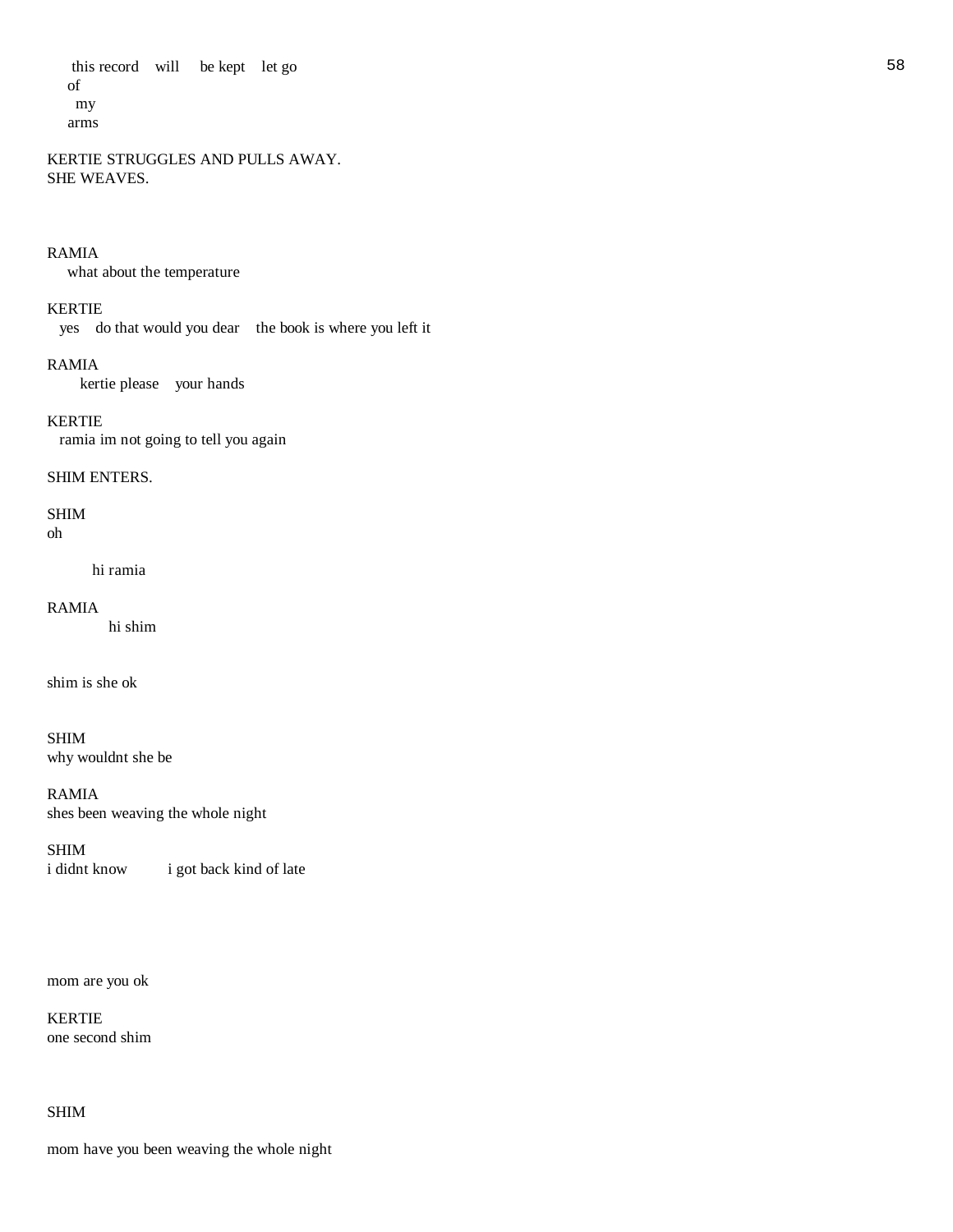this record will be kept let go 58 of my arms

KERTIE STRUGGLES AND PULLS AWAY. SHE WEAVES.

#### RAMIA

what about the temperature

# KERTIE

yes do that would you dear the book is where you left it

#### RAMIA

kertie please your hands

# KERTIE

ramia im not going to tell you again

#### SHIM ENTERS.

# SHIM

oh

#### hi ramia

#### RAMIA

hi shim

shim is she ok

# SHIM why wouldnt she be

RAMIA shes been weaving the whole night

# SHIM

i didnt know i got back kind of late

mom are you ok

# KERTIE one second shim

# SHIM

mom have you been weaving the whole night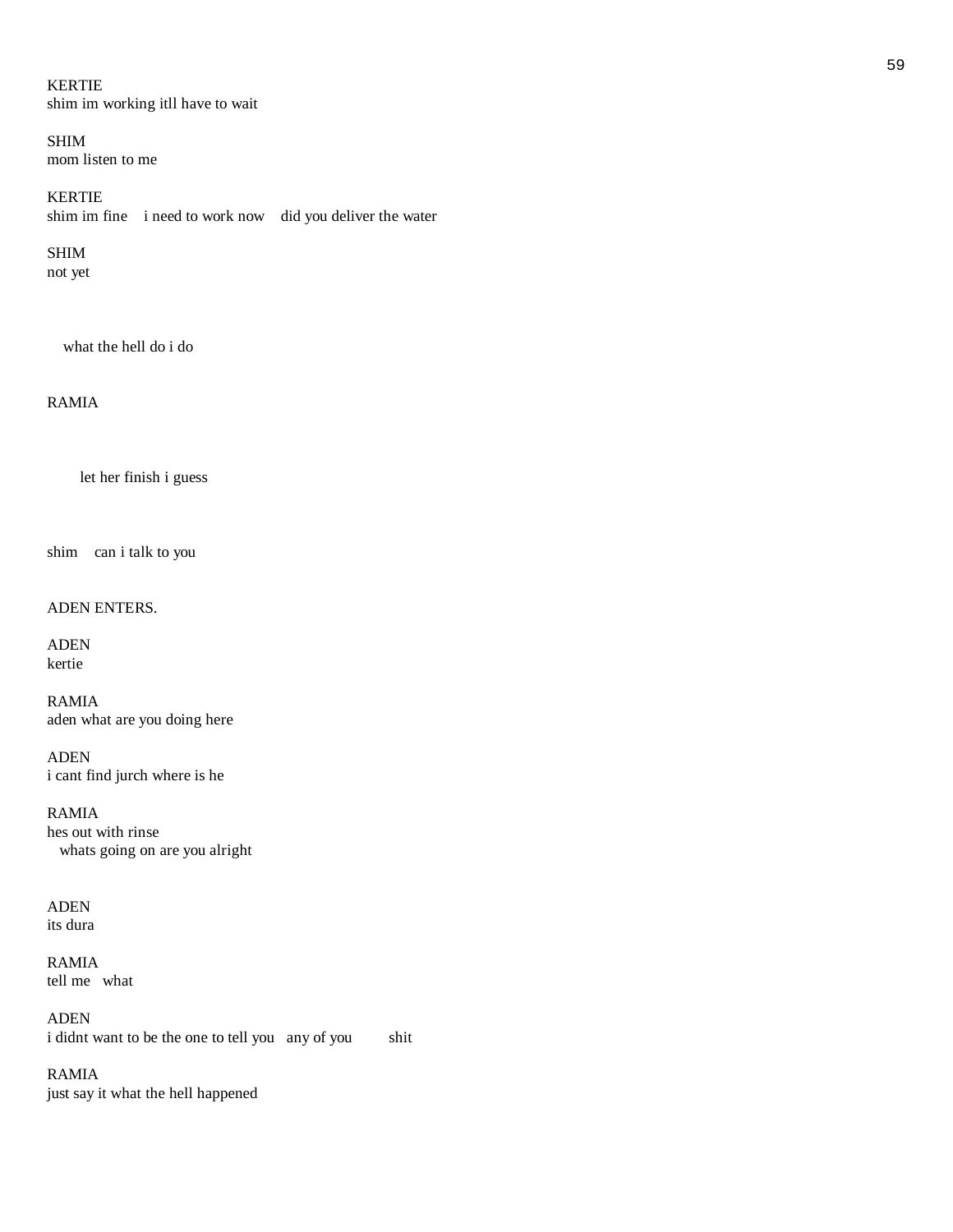# KERTIE shim im working itll have to wait

SHIM mom listen to me

KERTIE shim im fine i need to work now did you deliver the water

# SHIM

not yet

what the hell do i do

# RAMIA

let her finish i guess

shim can i talk to you

# ADEN ENTERS.

ADEN kertie

RAMIA aden what are you doing here

ADEN i cant find jurch where is he

RAMIA hes out with rinse whats going on are you alright

ADEN its dura

RAMIA tell me what

ADEN i didnt want to be the one to tell you any of you shit

RAMIA just say it what the hell happened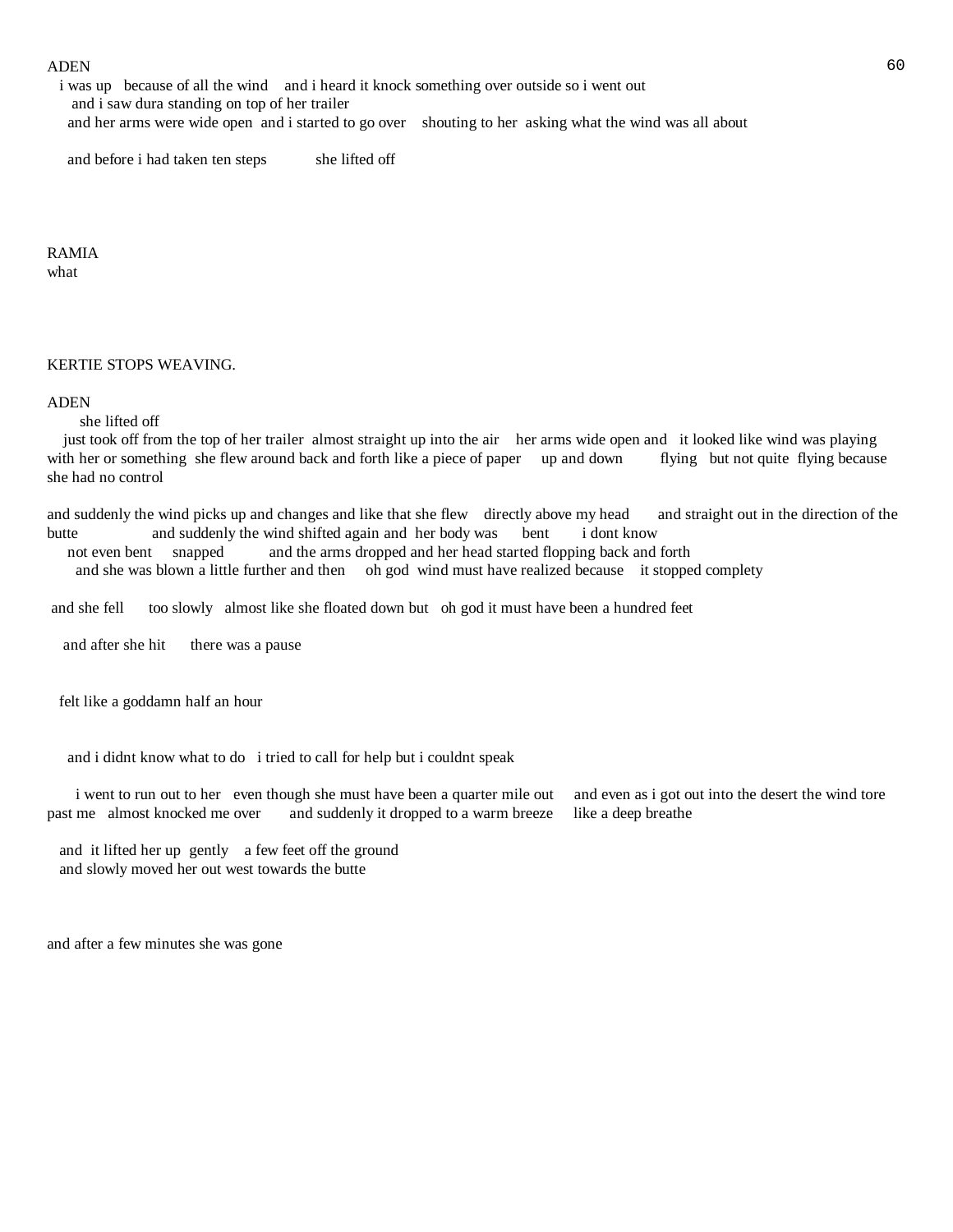#### $ADEN$  60

 i was up because of all the wind and i heard it knock something over outside so i went out and i saw dura standing on top of her trailer and her arms were wide open and i started to go over shouting to her asking what the wind was all about

and before i had taken ten steps she lifted off

RAMIA what

KERTIE STOPS WEAVING.

#### ADEN

she lifted off

 just took off from the top of her trailer almost straight up into the air her arms wide open and it looked like wind was playing with her or something she flew around back and forth like a piece of paper up and down flying but not quite flying because she had no control

and suddenly the wind picks up and changes and like that she flew directly above my head and straight out in the direction of the butte and suddenly the wind shifted again and her body was bent i dont know

 not even bent snapped and the arms dropped and her head started flopping back and forth and she was blown a little further and then oh god wind must have realized because it stopped complety

and she fell too slowly almost like she floated down but oh god it must have been a hundred feet

and after she hit there was a pause

felt like a goddamn half an hour

and i didnt know what to do i tried to call for help but i couldnt speak

i went to run out to her even though she must have been a quarter mile out and even as i got out into the desert the wind tore past me almost knocked me over and suddenly it dropped to a warm breeze like a deep breathe

 and it lifted her up gently a few feet off the ground and slowly moved her out west towards the butte

and after a few minutes she was gone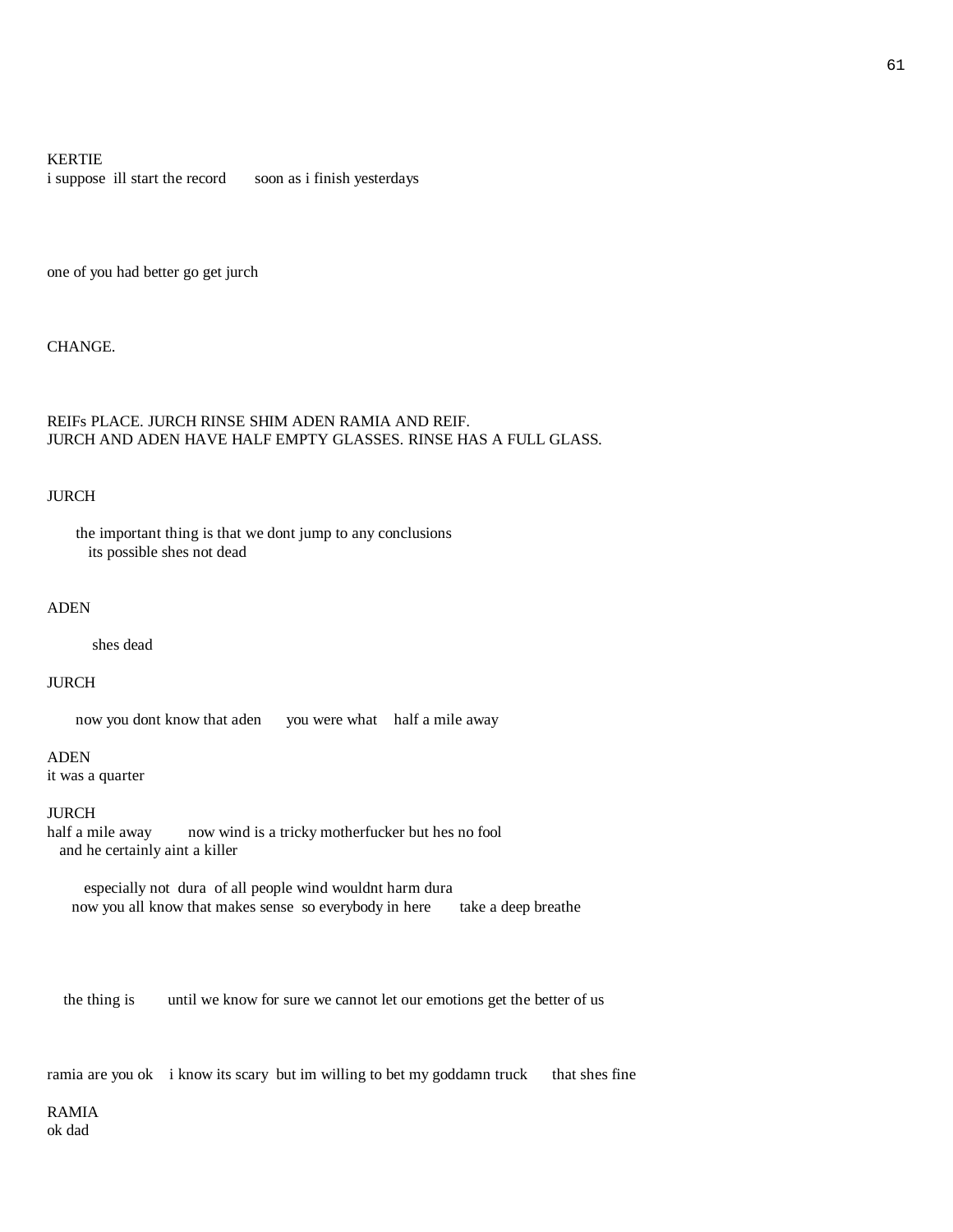#### KERTIE

i suppose ill start the record soon as i finish yesterdays

one of you had better go get jurch

CHANGE.

# REIFs PLACE. JURCH RINSE SHIM ADEN RAMIA AND REIF. JURCH AND ADEN HAVE HALF EMPTY GLASSES. RINSE HAS A FULL GLASS.

#### JURCH

 the important thing is that we dont jump to any conclusions its possible shes not dead

#### ADEN

shes dead

#### JURCH

now you dont know that aden you were what half a mile away

ADEN

it was a quarter

#### JURCH

half a mile away now wind is a tricky motherfucker but hes no fool and he certainly aint a killer

 especially not dura of all people wind wouldnt harm dura now you all know that makes sense so everybody in here take a deep breathe

the thing is until we know for sure we cannot let our emotions get the better of us

ramia are you ok i know its scary but im willing to bet my goddamn truck that shes fine

RAMIA ok dad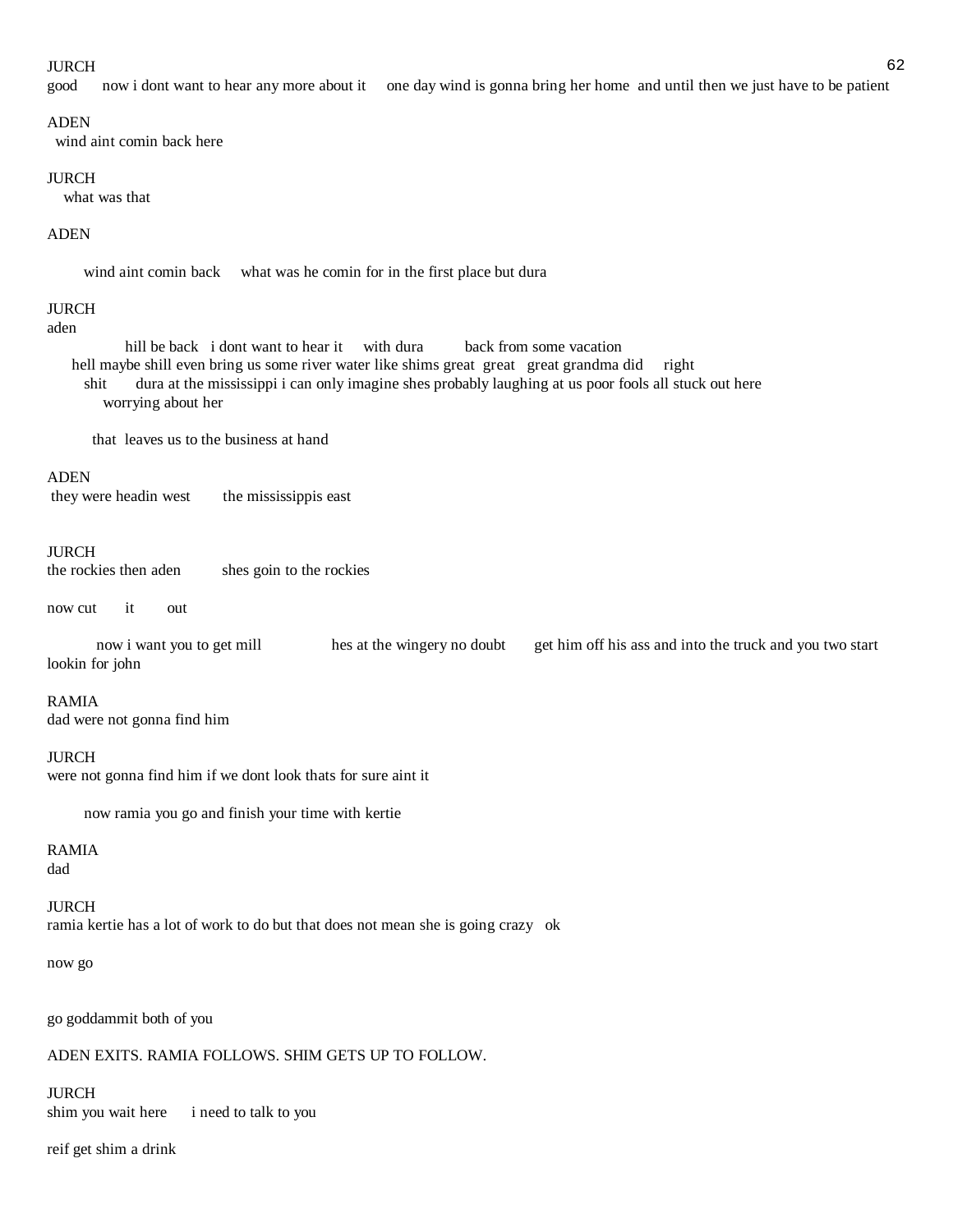#### $JURCH$  62

good now i dont want to hear any more about it one day wind is gonna bring her home and until then we just have to be patient

#### ADEN

wind aint comin back here

#### JURCH

what was that

#### ADEN

wind aint comin back what was he comin for in the first place but dura

#### JURCH

#### aden

hill be back i dont want to hear it with dura back from some vacation hell maybe shill even bring us some river water like shims great great great grandma did right shit dura at the mississippi i can only imagine shes probably laughing at us poor fools all stuck out here worrying about her

that leaves us to the business at hand

#### ADEN

they were headin west the mississippis east

#### JURCH

the rockies then aden shes goin to the rockies

now cut it out

 now i want you to get mill hes at the wingery no doubt get him off his ass and into the truck and you two start lookin for john

#### RAMIA

dad were not gonna find him

#### **IURCH**

were not gonna find him if we dont look thats for sure aint it

now ramia you go and finish your time with kertie

# RAMIA

dad

# JURCH

ramia kertie has a lot of work to do but that does not mean she is going crazy ok

#### now go

go goddammit both of you

#### ADEN EXITS. RAMIA FOLLOWS. SHIM GETS UP TO FOLLOW.

# JURCH

shim you wait here i need to talk to you

reif get shim a drink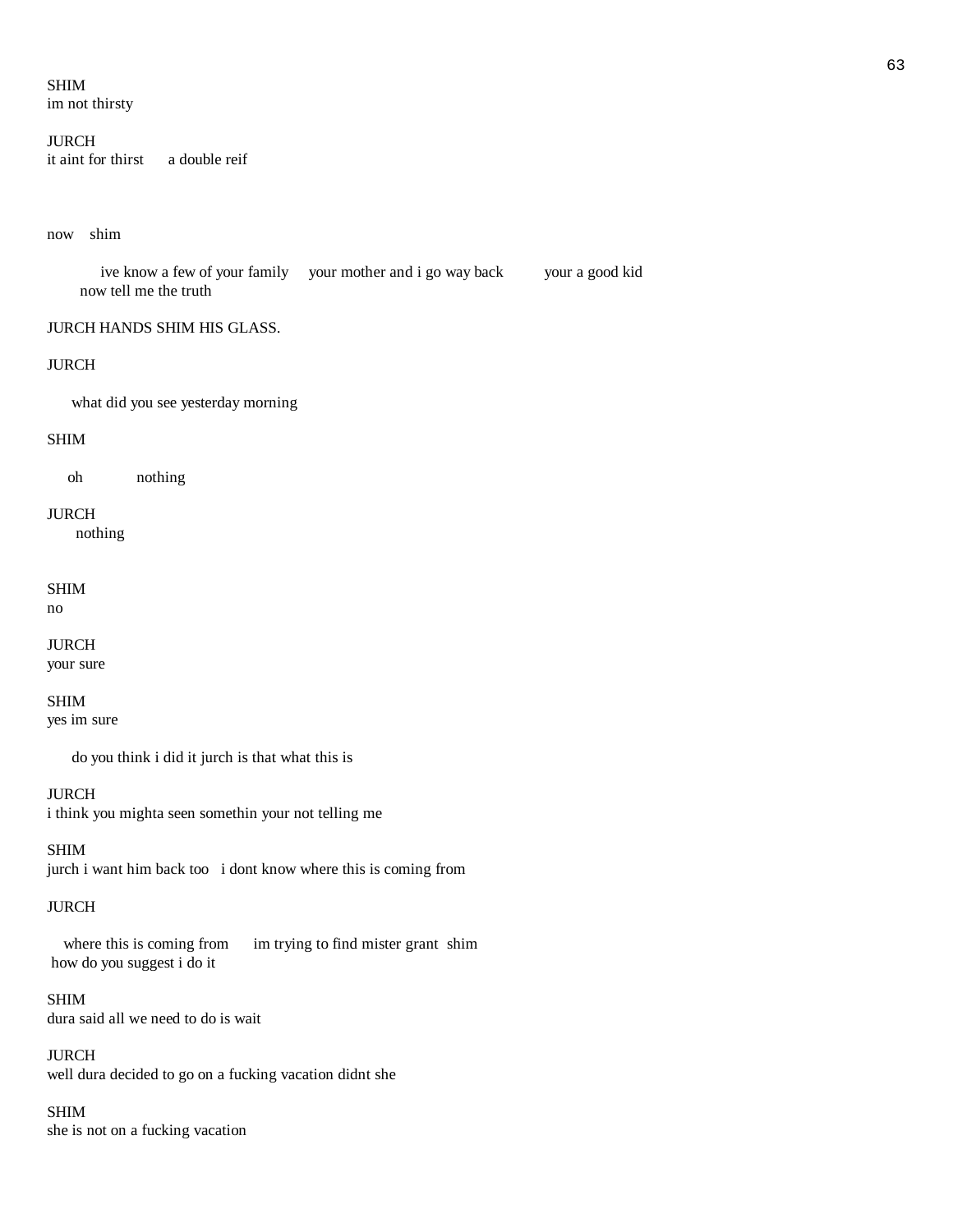# SHIM

im not thirsty

# JURCH

it aint for thirst a double reif

#### now shim

 ive know a few of your family your mother and i go way back your a good kid now tell me the truth

# JURCH HANDS SHIM HIS GLASS.

#### JURCH

what did you see yesterday morning

# SHIM

oh nothing

# JURCH

nothing

# SHIM

no

# JURCH

your sure

# SHIM

yes im sure

do you think i did it jurch is that what this is

# JURCH

i think you mighta seen somethin your not telling me

# SHIM

jurch i want him back too i dont know where this is coming from

# JURCH

where this is coming from im trying to find mister grant shim how do you suggest i do it

# SHIM

dura said all we need to do is wait

# JURCH

well dura decided to go on a fucking vacation didnt she

# SHIM

she is not on a fucking vacation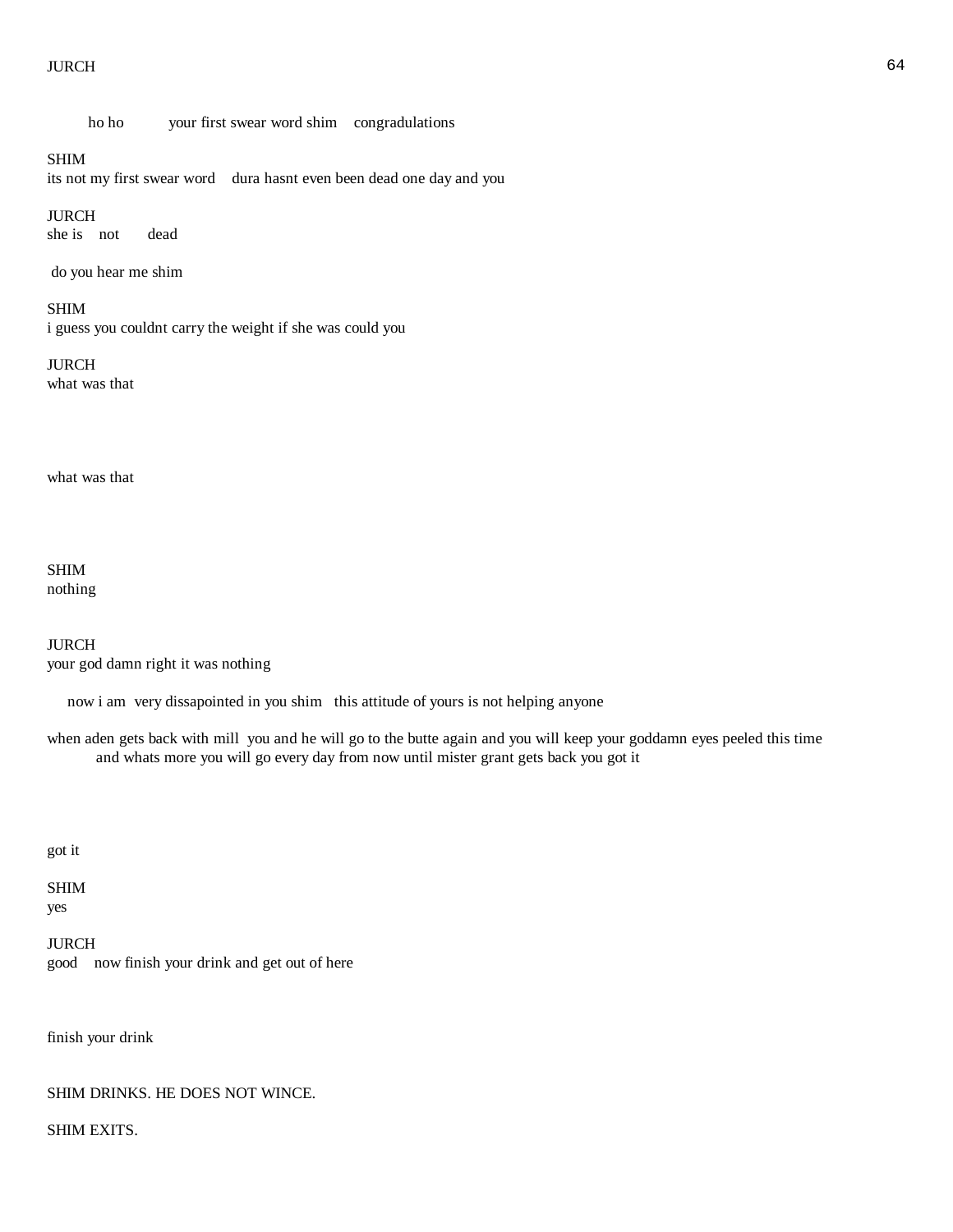#### $JURCH$  64

ho ho your first swear word shim congradulations

# SHIM

its not my first swear word dura hasnt even been dead one day and you

JURCH

she is not dead

do you hear me shim

### SHIM

i guess you couldnt carry the weight if she was could you

#### JURCH

what was that

what was that

SHIM nothing

JURCH your god damn right it was nothing

now i am very dissapointed in you shim this attitude of yours is not helping anyone

when aden gets back with mill you and he will go to the butte again and you will keep your goddamn eyes peeled this time and whats more you will go every day from now until mister grant gets back you got it

got it

SHIM yes

JURCH good now finish your drink and get out of here

finish your drink

# SHIM DRINKS. HE DOES NOT WINCE.

SHIM EXITS.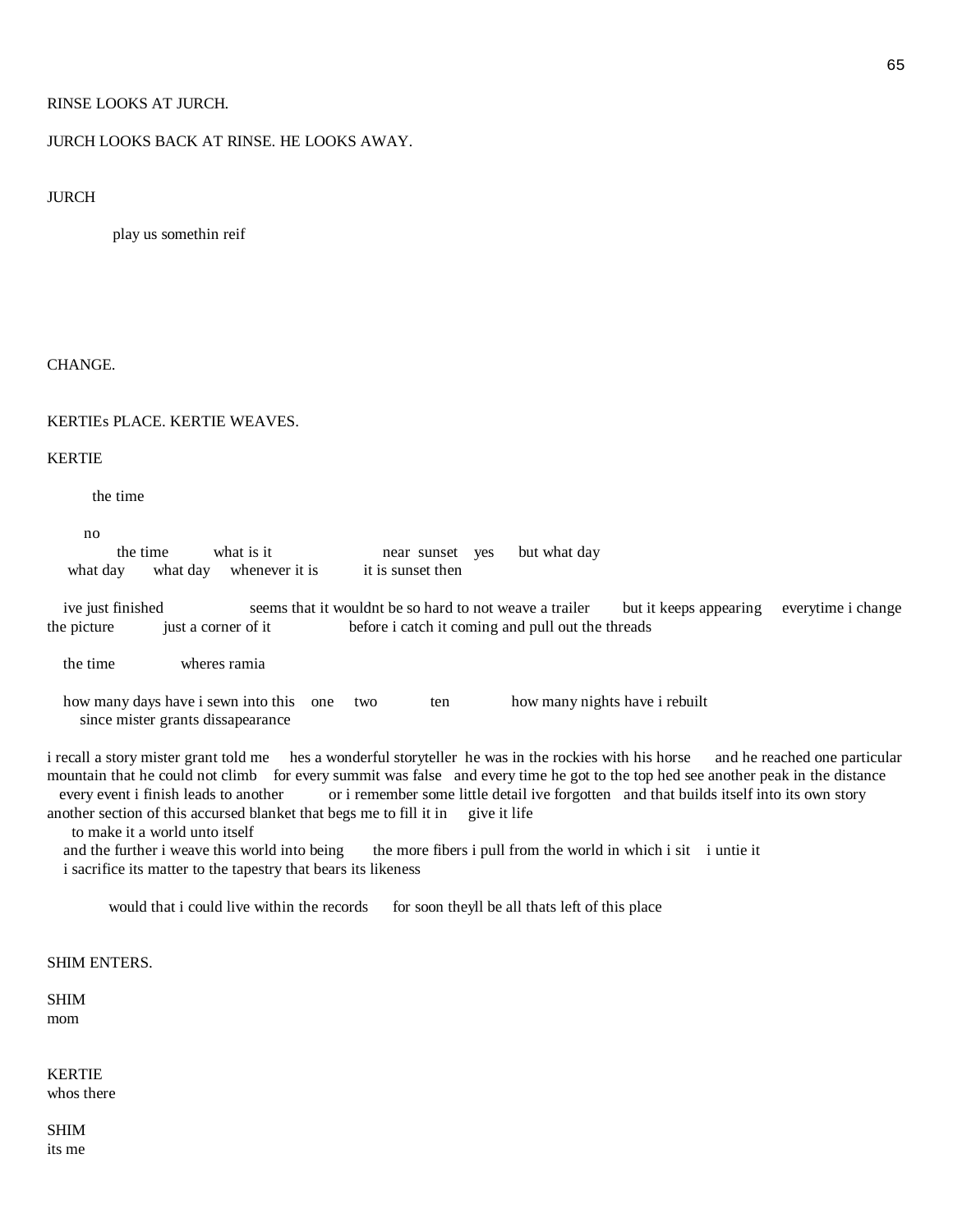# RINSE LOOKS AT JURCH.

# JURCH LOOKS BACK AT RINSE. HE LOOKS AWAY.

#### JURCH

play us somethin reif

#### CHANGE.

#### KERTIEs PLACE. KERTIE WEAVES.

#### KERTIE

the time

no

the time what is it near sunset yes but what day what day what day whenever it is it is sunset then

 ive just finished seems that it wouldnt be so hard to not weave a trailer but it keeps appearing everytime i change the picture just a corner of it before i catch it coming and pull out the threads

the time wheres ramia

how many days have i sewn into this one two ten how many nights have i rebuilt since mister grants dissapearance

i recall a story mister grant told me hes a wonderful storyteller he was in the rockies with his horse and he reached one particular mountain that he could not climb for every summit was false and every time he got to the top hed see another peak in the distance every event i finish leads to another or i remember some little detail ive forgotten and that builds itself into its own story another section of this accursed blanket that begs me to fill it in give it life

to make it a world unto itself

and the further i weave this world into being the more fibers i pull from the world in which i sit i untie it i sacrifice its matter to the tapestry that bears its likeness

would that i could live within the records for soon theyll be all thats left of this place

# SHIM ENTERS.

# SHIM mom

KERTIE

whos there

SHIM its me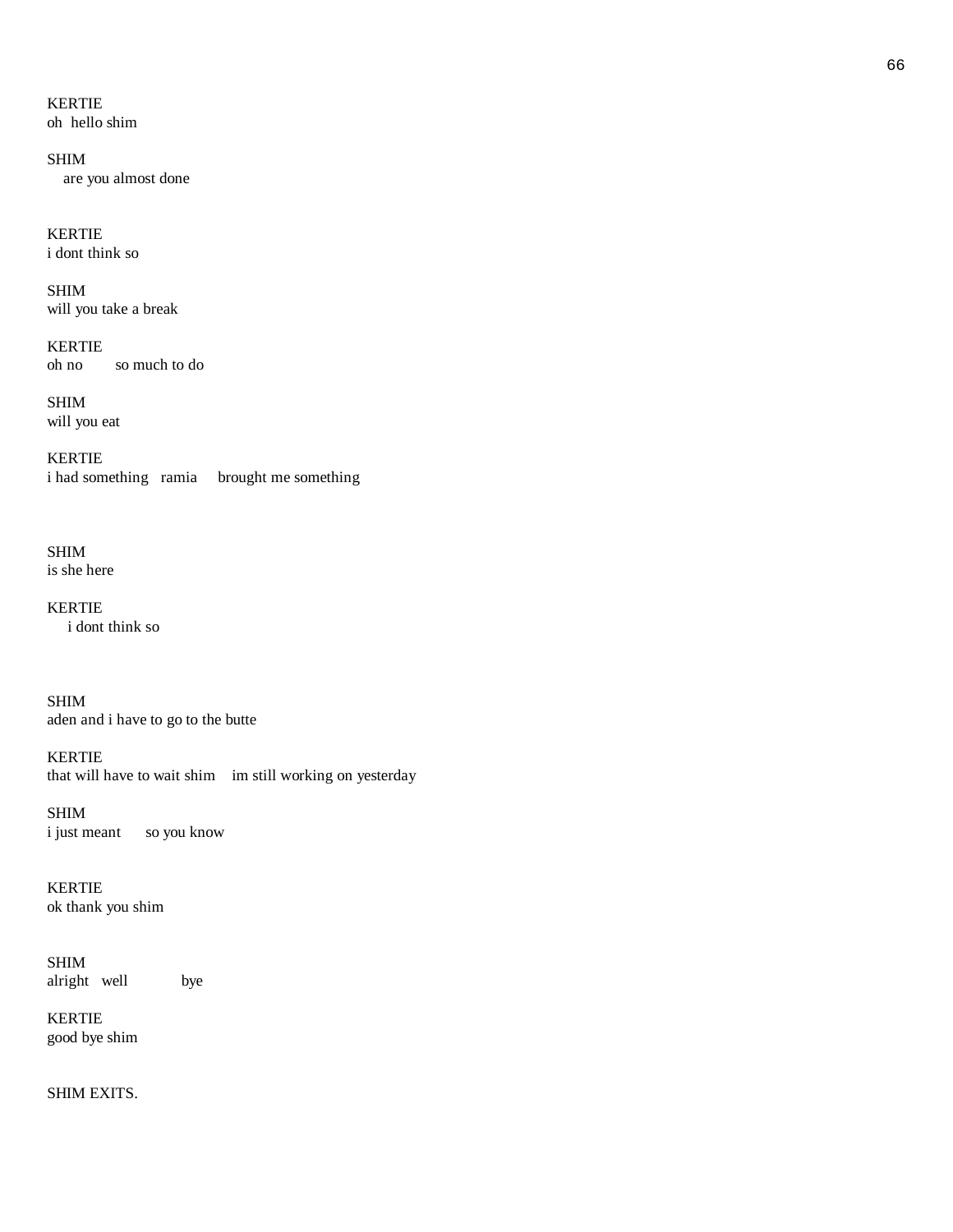KERTIE

oh hello shim

SHIM are you almost done

KERTIE i dont think so

SHIM will you take a break

KERTIE oh no so much to do

SHIM will you eat

KERTIE i had something ramia brought me something

SHIM is she here

KERTIE i dont think so

SHIM aden and i have to go to the butte

KERTIE that will have to wait shim im still working on yesterday

SHIM<br>i just meant so you know

KERTIE ok thank you shim

SHIM alright well bye

KERTIE good bye shim

SHIM EXITS.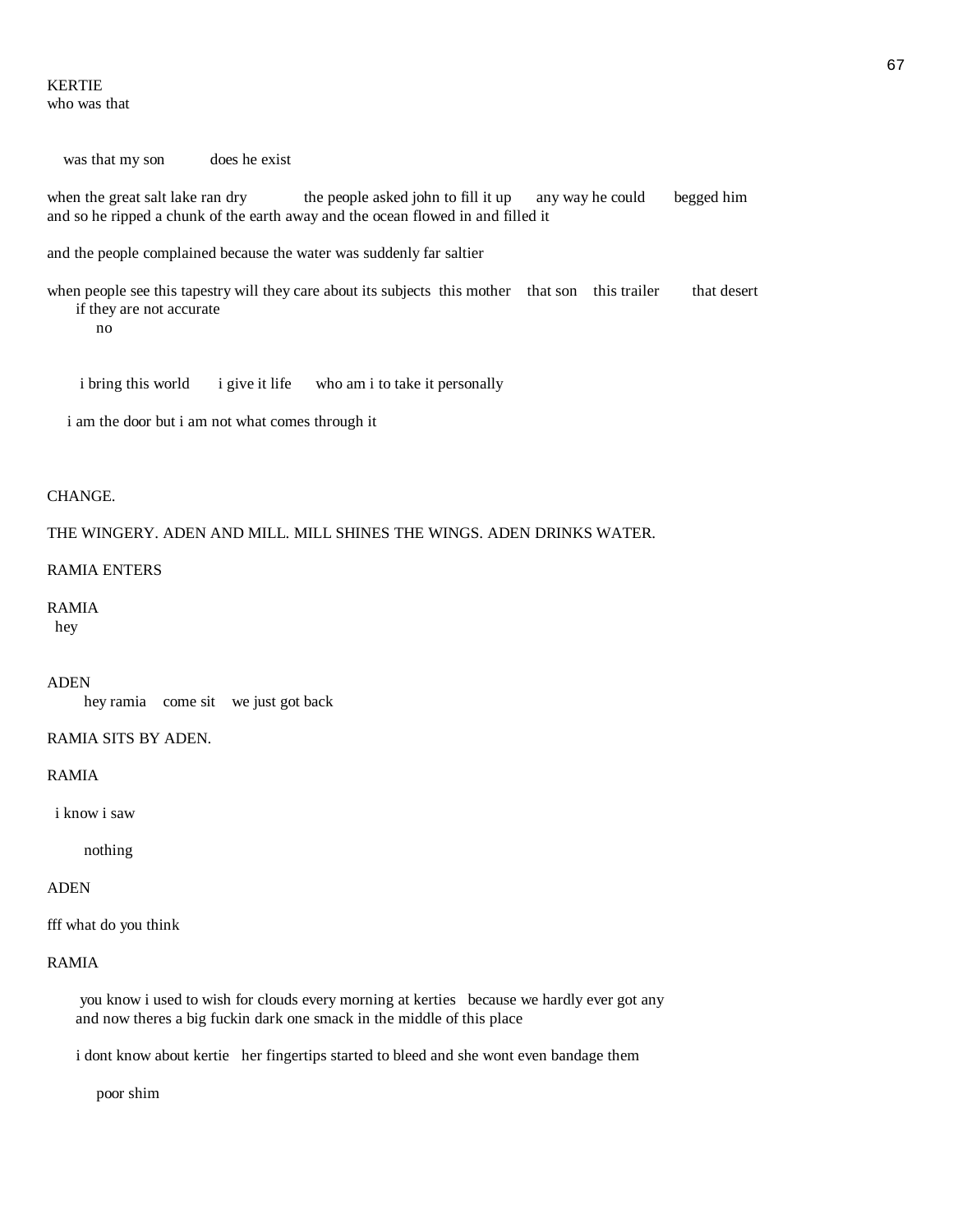#### KERTIE who was that

was that my son does he exist

when the great salt lake ran dry the people asked john to fill it up any way he could begged him and so he ripped a chunk of the earth away and the ocean flowed in and filled it

and the people complained because the water was suddenly far saltier

when people see this tapestry will they care about its subjects this mother that son this trailer that desert if they are not accurate

no

i bring this world i give it life who am i to take it personally

i am the door but i am not what comes through it

#### CHANGE.

THE WINGERY. ADEN AND MILL. MILL SHINES THE WINGS. ADEN DRINKS WATER.

#### RAMIA ENTERS

#### RAMIA

hey

#### ADEN

hey ramia come sit we just got back

#### RAMIA SITS BY ADEN.

#### RAMIA

i know i saw

nothing

#### ADEN

fff what do you think

### RAMIA

 you know i used to wish for clouds every morning at kerties because we hardly ever got any and now theres a big fuckin dark one smack in the middle of this place

i dont know about kertie her fingertips started to bleed and she wont even bandage them

poor shim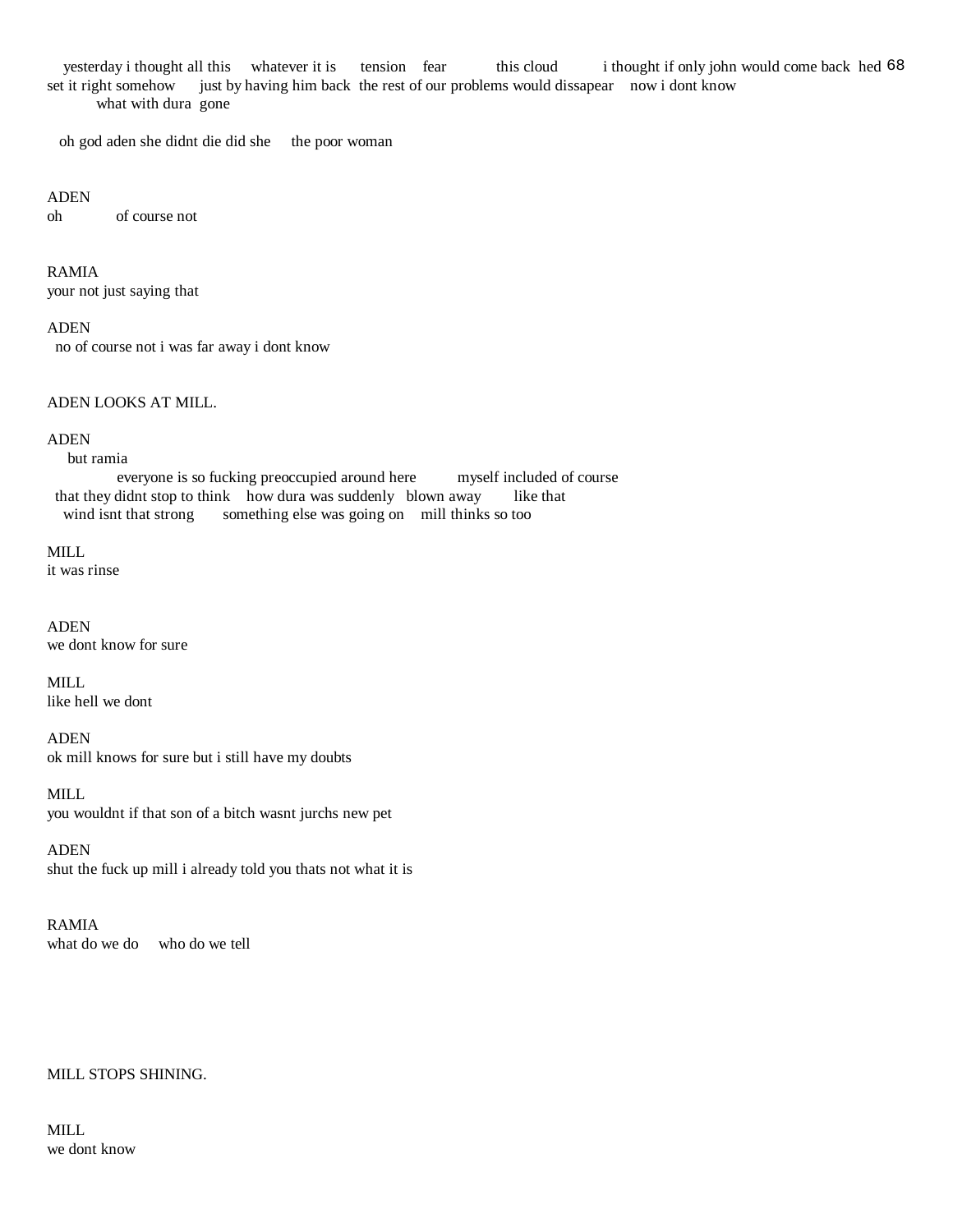yesterday i thought all this whatever it is tension fear this cloud i thought if only john would come back hed 68 set it right somehow just by having him back the rest of our problems would dissapear now i dont know what with dura gone

oh god aden she didnt die did she the poor woman

#### ADEN

oh of course not

RAMIA your not just saying that

#### ADEN

no of course not i was far away i dont know

# ADEN LOOKS AT MILL.

# ADEN

#### but ramia

 everyone is so fucking preoccupied around here myself included of course that they didnt stop to think how dura was suddenly blown away like that wind isnt that strong something else was going on mill thinks so too

#### MILL

it was rinse

ADEN we dont know for sure

MILL like hell we dont

ADEN ok mill knows for sure but i still have my doubts

MILL you wouldnt if that son of a bitch wasnt jurchs new pet

ADEN shut the fuck up mill i already told you thats not what it is

### RAMIA what do we do who do we tell

# MILL STOPS SHINING.

MILL we dont know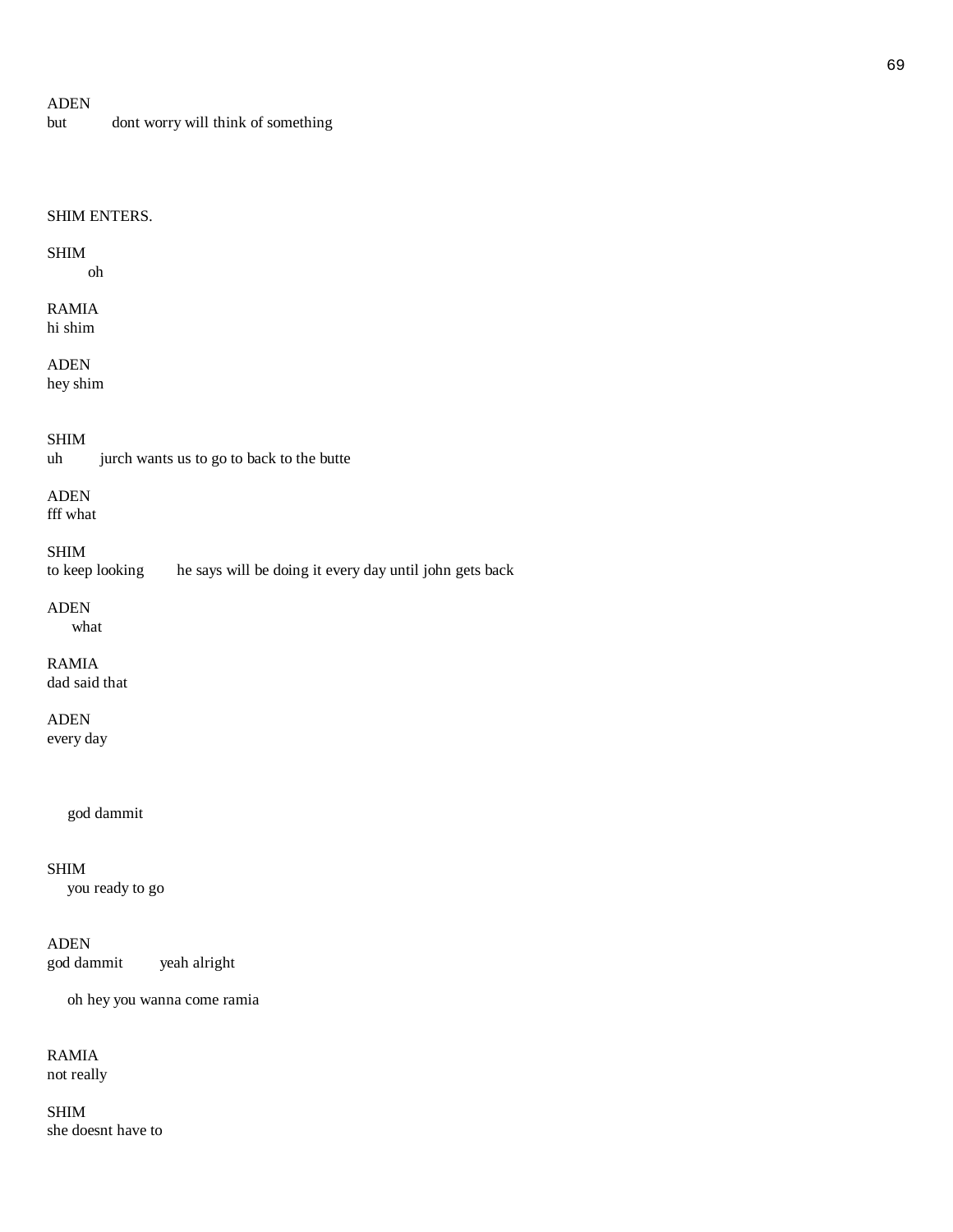# ADEN

but dont worry will think of something

### SHIM ENTERS.

#### SHIM

oh

#### RAMIA hi shim

ADEN

hey shim

# SHIM

uh jurch wants us to go to back to the butte

# ADEN

fff what

SHIM

to keep looking he says will be doing it every day until john gets back

# ADEN

what

# RAMIA

dad said that

# ADEN

every day

god dammit

# SHIM

you ready to go

# ADEN

god dammit yeah alright

oh hey you wanna come ramia

# RAMIA not really

SHIM she doesnt have to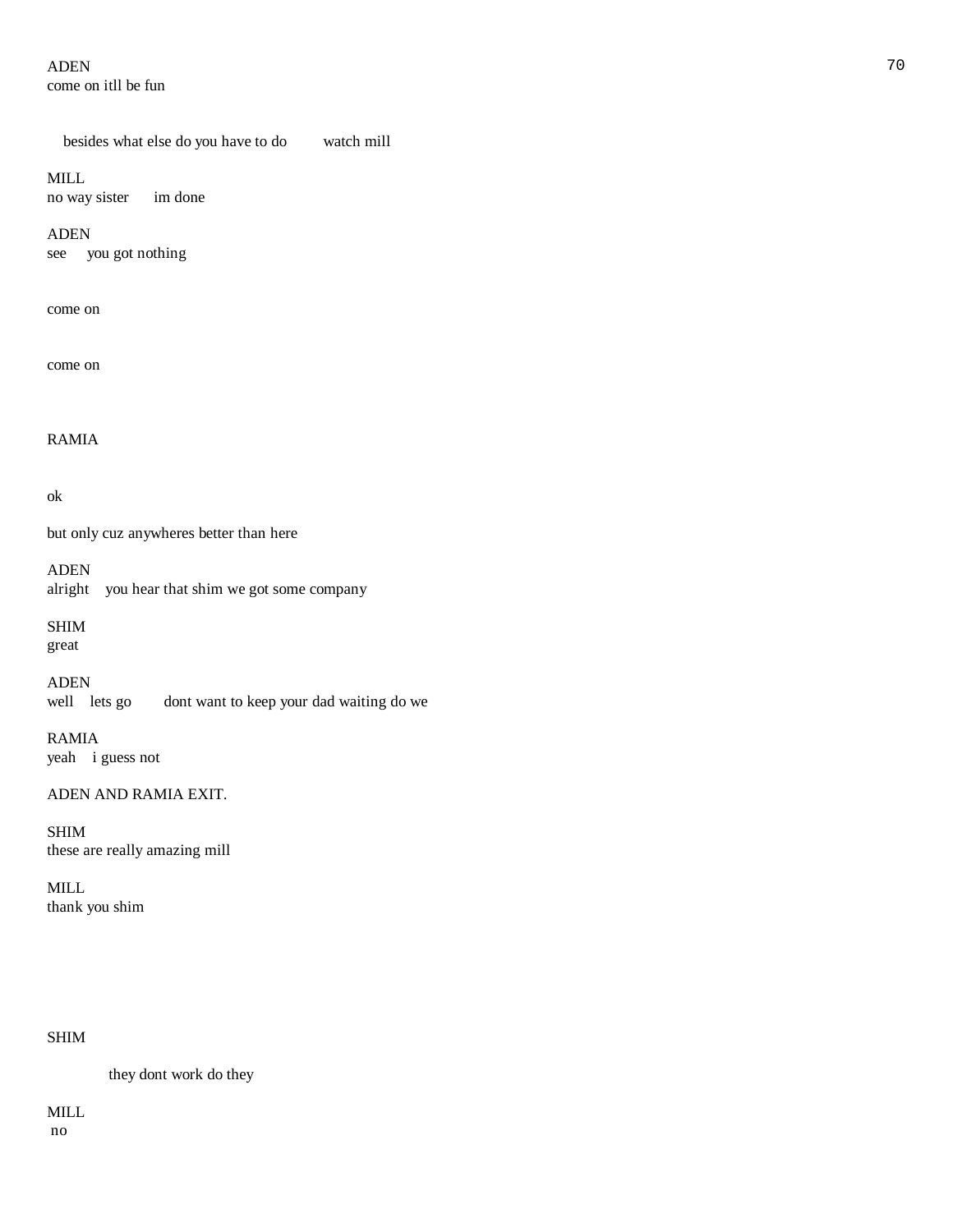# ADEN 70 come on itll be fun

besides what else do you have to do watch mill

### MILL

no way sister im done

# ADEN

see you got nothing

# come on

come on

# RAMIA

# ok

but only cuz anywheres better than here

ADEN alright you hear that shim we got some company

SHIM

great

# ADEN

well lets go dont want to keep your dad waiting do we

RAMIA yeah i guess not

# ADEN AND RAMIA EXIT.

SHIM these are really amazing mill

MILL thank you shim

# SHIM

they dont work do they

# MILL

no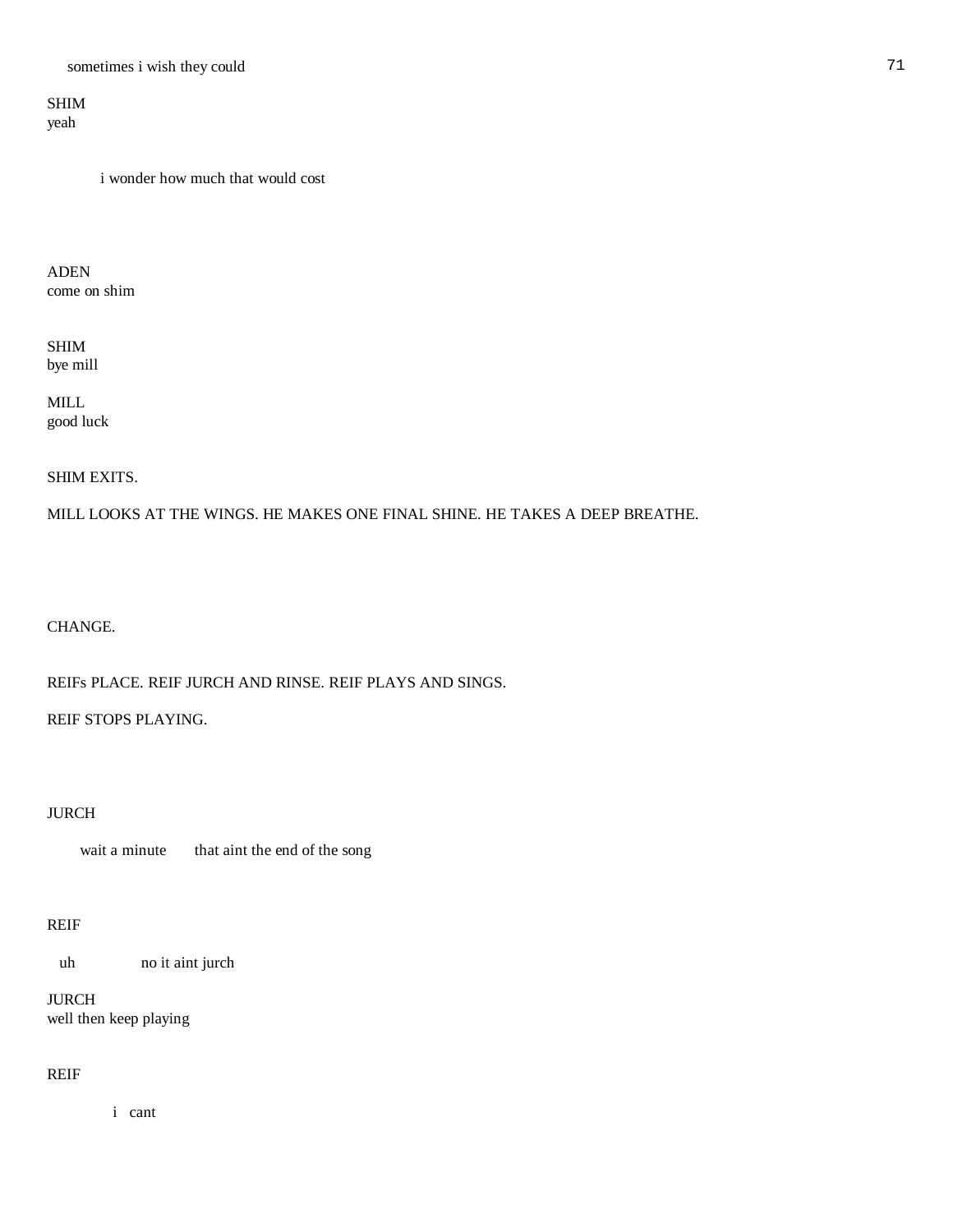# SHIM yeah

i wonder how much that would cost

ADEN come on shim

SHIM bye mill

MILL good luck

SHIM EXITS.

MILL LOOKS AT THE WINGS. HE MAKES ONE FINAL SHINE. HE TAKES A DEEP BREATHE.

CHANGE.

REIFs PLACE. REIF JURCH AND RINSE. REIF PLAYS AND SINGS.

REIF STOPS PLAYING.

# JURCH

wait a minute that aint the end of the song

# REIF

uh no it aint jurch

JURCH well then keep playing

# REIF

i cant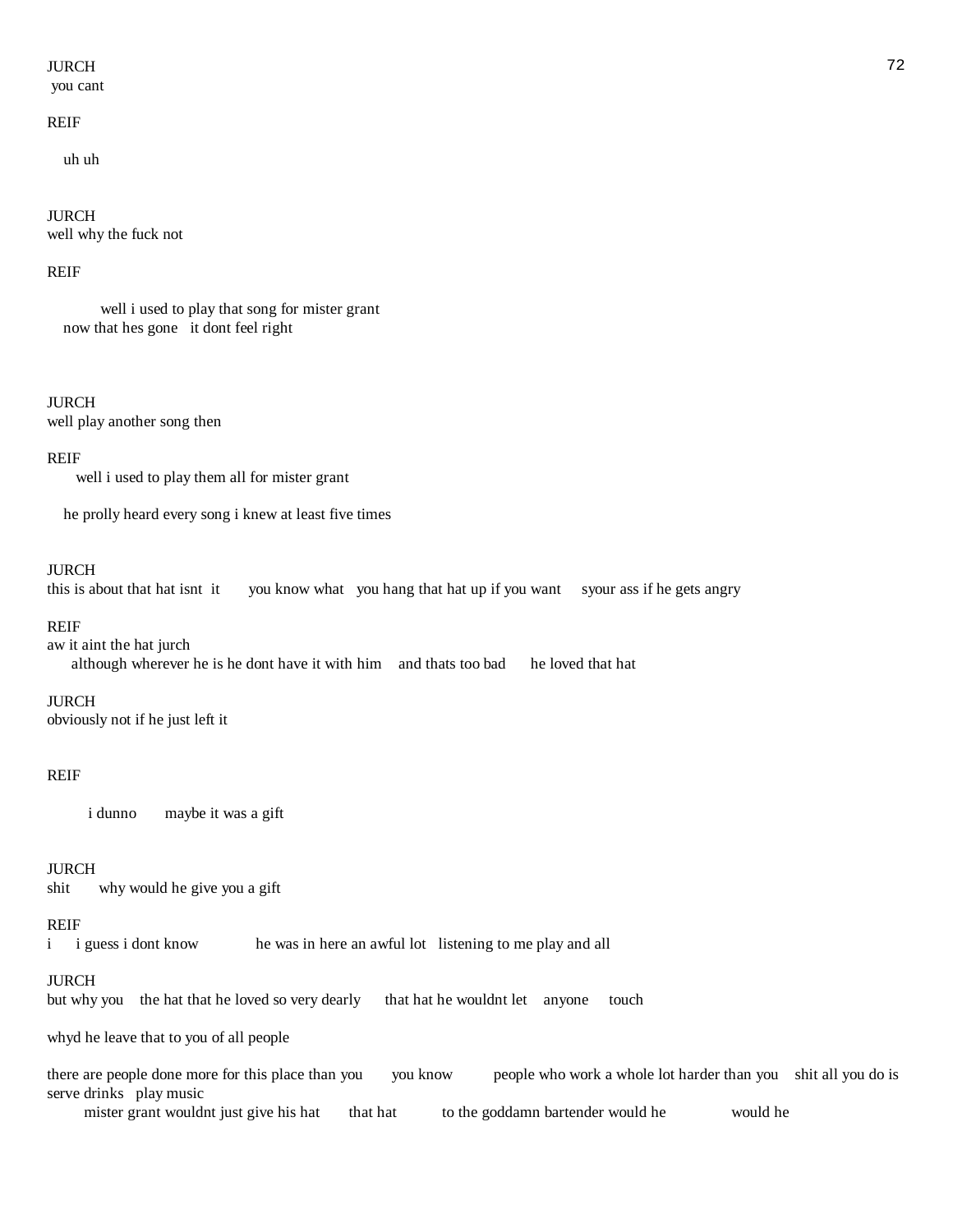# JURCH 22 No. 2014 12:30 12:30 No. 2014 12:30 12:30 No. 2014 12:30 12:30 No. 2014 12:30 12:30 12:30 12:30 12:30

you cant

#### REIF

uh uh

JURCH well why the fuck not

### REIF

 well i used to play that song for mister grant now that hes gone it dont feel right

JURCH well play another song then

#### REIF

well i used to play them all for mister grant

he prolly heard every song i knew at least five times

#### JURCH

this is about that hat isnt it you know what you hang that hat up if you want syour ass if he gets angry

#### REIF

aw it aint the hat jurch although wherever he is he dont have it with him and thats too bad he loved that hat

#### JURCH

obviously not if he just left it

# REIF

i dunno maybe it was a gift

# JURCH

shit why would he give you a gift

#### REIF

i i guess i dont know he was in here an awful lot listening to me play and all

#### JURCH

but why you the hat that he loved so very dearly that hat he wouldnt let anyone touch

whyd he leave that to you of all people

there are people done more for this place than you you know people who work a whole lot harder than you shit all you do is serve drinks play music

mister grant wouldnt just give his hat that hat to the goddamn bartender would he would he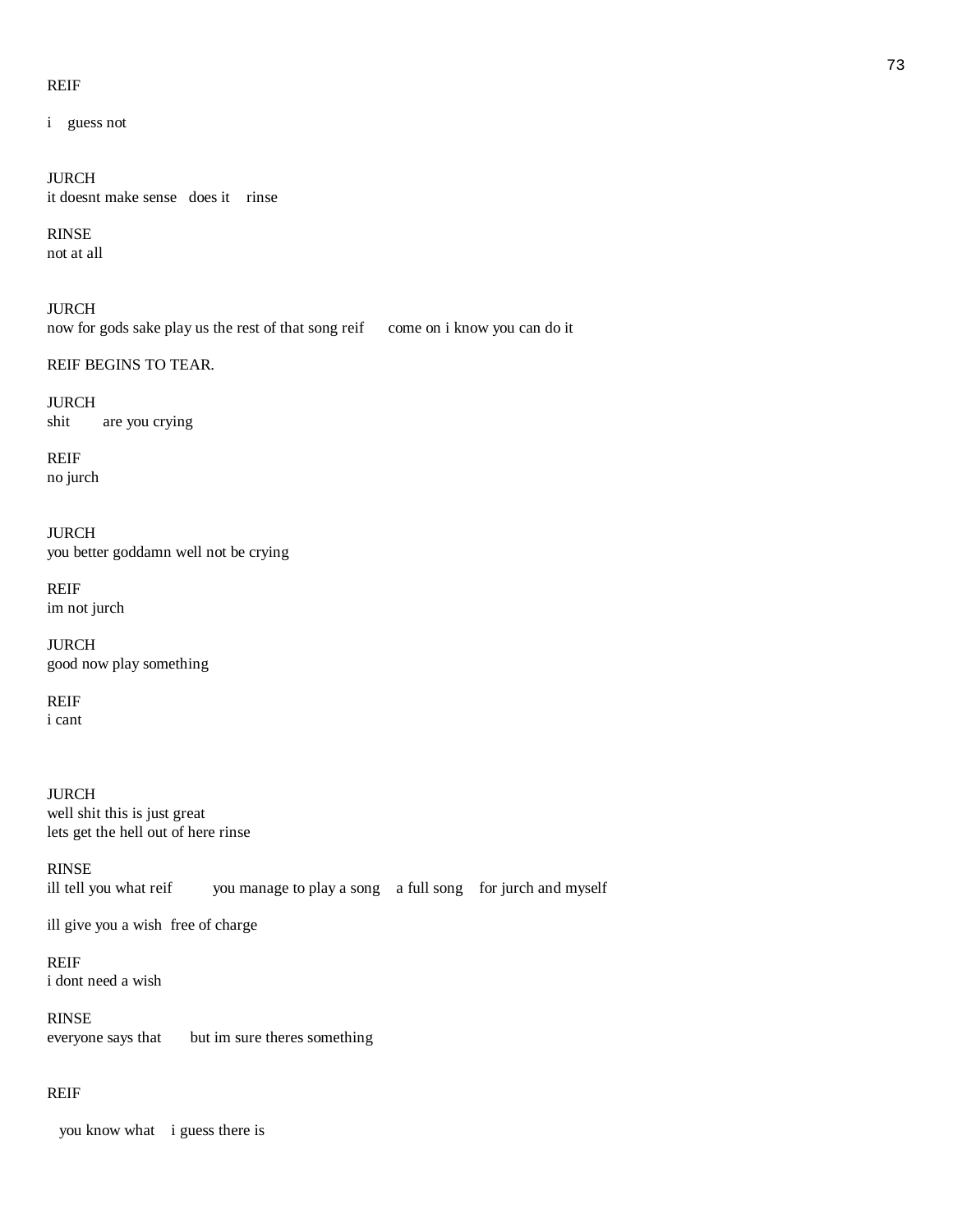#### REIF

i guess not

JURCH it doesnt make sense does it rinse

# RINSE

not at all

JURCH now for gods sake play us the rest of that song reif come on i know you can do it

REIF BEGINS TO TEAR.

JURCH shit are you crying

REIF no jurch

JURCH you better goddamn well not be crying

REIF im not jurch

JURCH good now play something

REIF i cant

JURCH well shit this is just great lets get the hell out of here rinse

RINSE ill tell you what reif you manage to play a song a full song for jurch and myself

ill give you a wish free of charge

REIF i dont need a wish

RINSE everyone says that but im sure theres something

# REIF

you know what i guess there is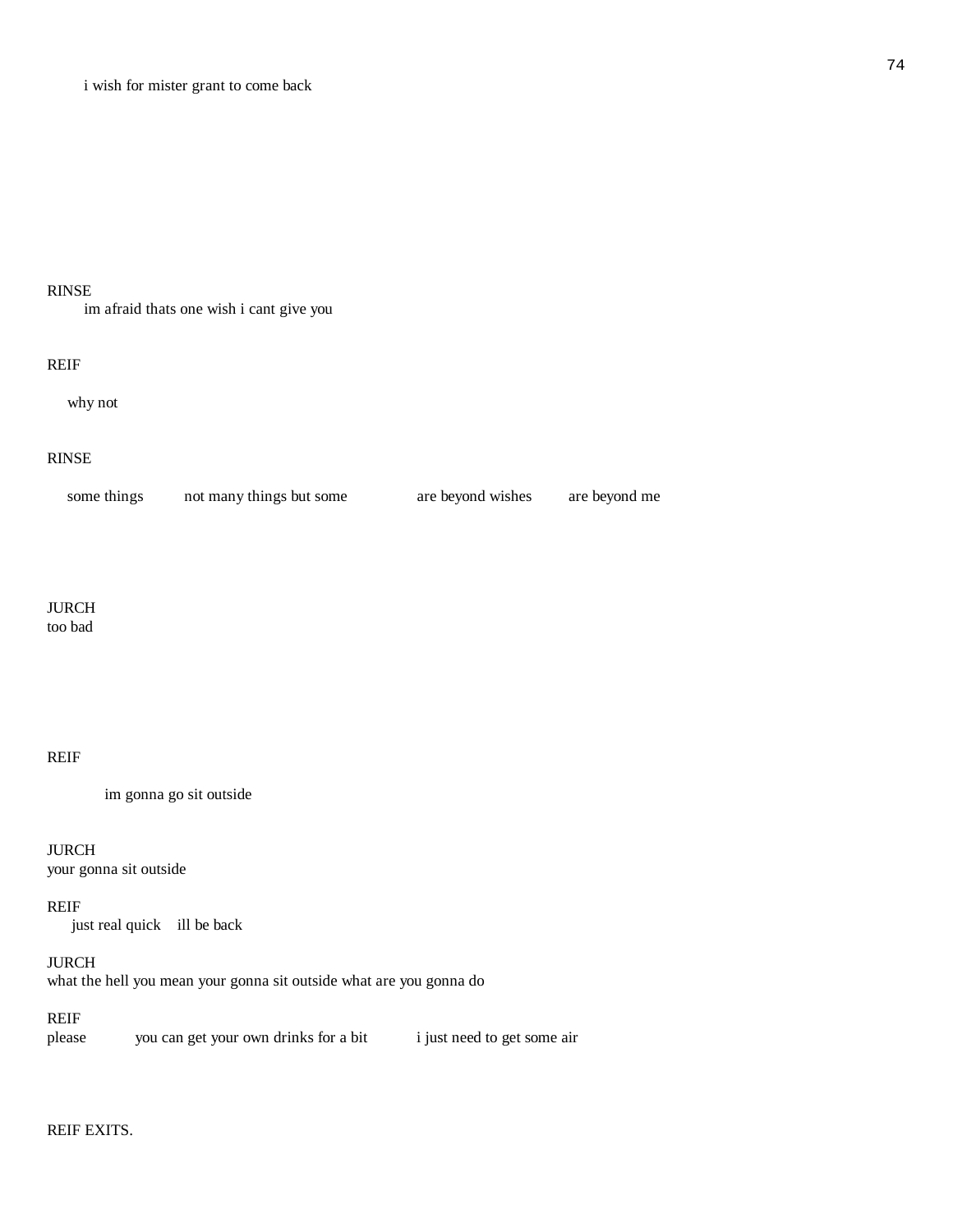#### RINSE

im afraid thats one wish i cant give you

#### REIF

why not

# RINSE

| some things | not many things but some | are beyond wishes | are bevond me |
|-------------|--------------------------|-------------------|---------------|
|             |                          |                   |               |

# JURCH

too bad

# REIF

im gonna go sit outside

# JURCH

your gonna sit outside

# REIF

just real quick ill be back

# JURCH

what the hell you mean your gonna sit outside what are you gonna do

# REIF

please you can get your own drinks for a bit i just need to get some air

# REIF EXITS.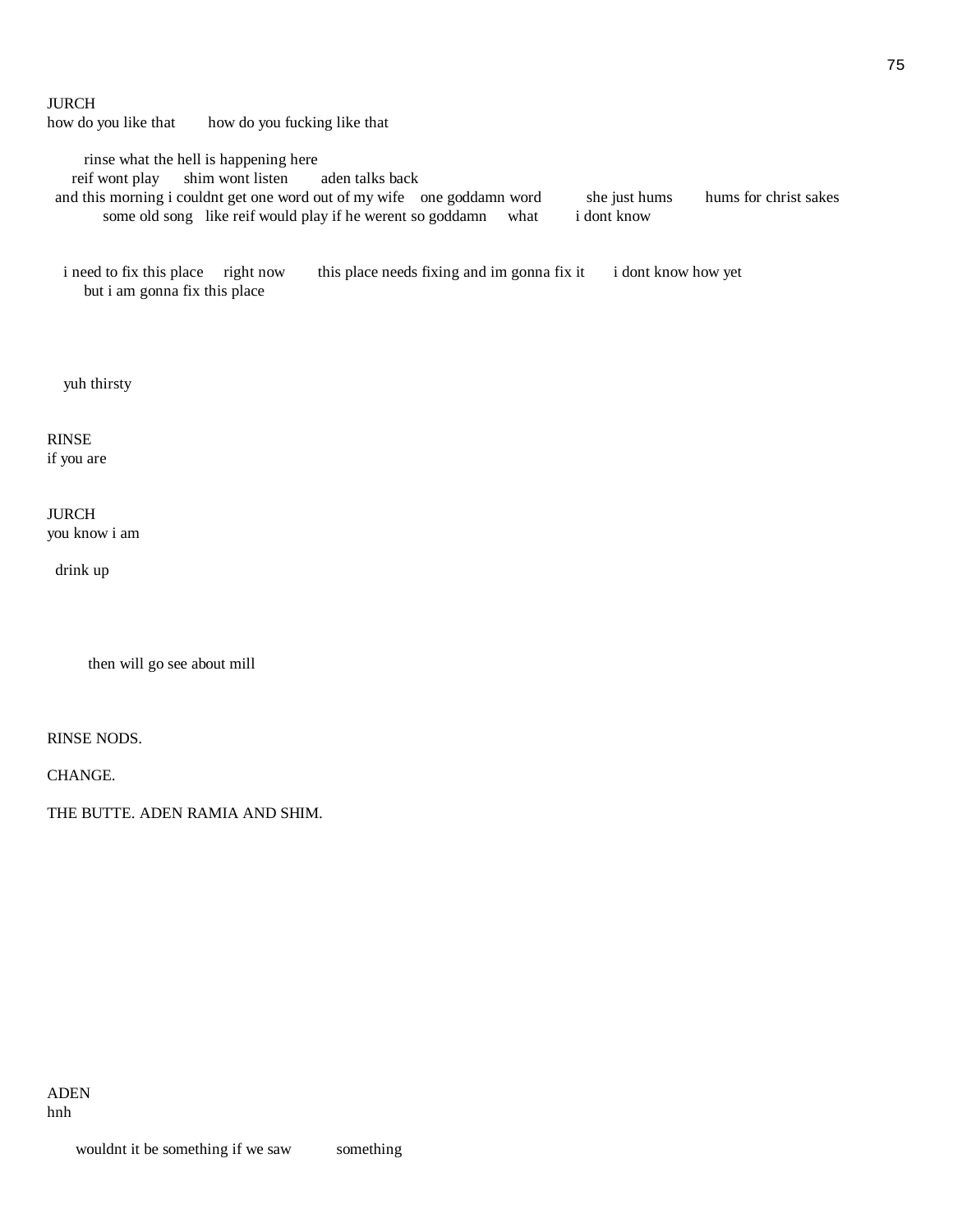#### JURCH

how do you like that how do you fucking like that

rinse what the hell is happening here<br>eif wont play shim wont listen aden talks back reif wont play shim wont listen

and this morning i couldnt get one word out of my wife one goddamn word she just hums hums for christ sakes some old song like reif would play if he werent so goddamn what i dont know some old song like reif would play if he werent so goddamn what

i need to fix this place right now this place needs fixing and im gonna fix it i dont know how yet but i am gonna fix this place

yuh thirsty

# RINSE if you are

JURCH you know i am

drink up

then will go see about mill

RINSE NODS.

CHANGE.

THE BUTTE. ADEN RAMIA AND SHIM.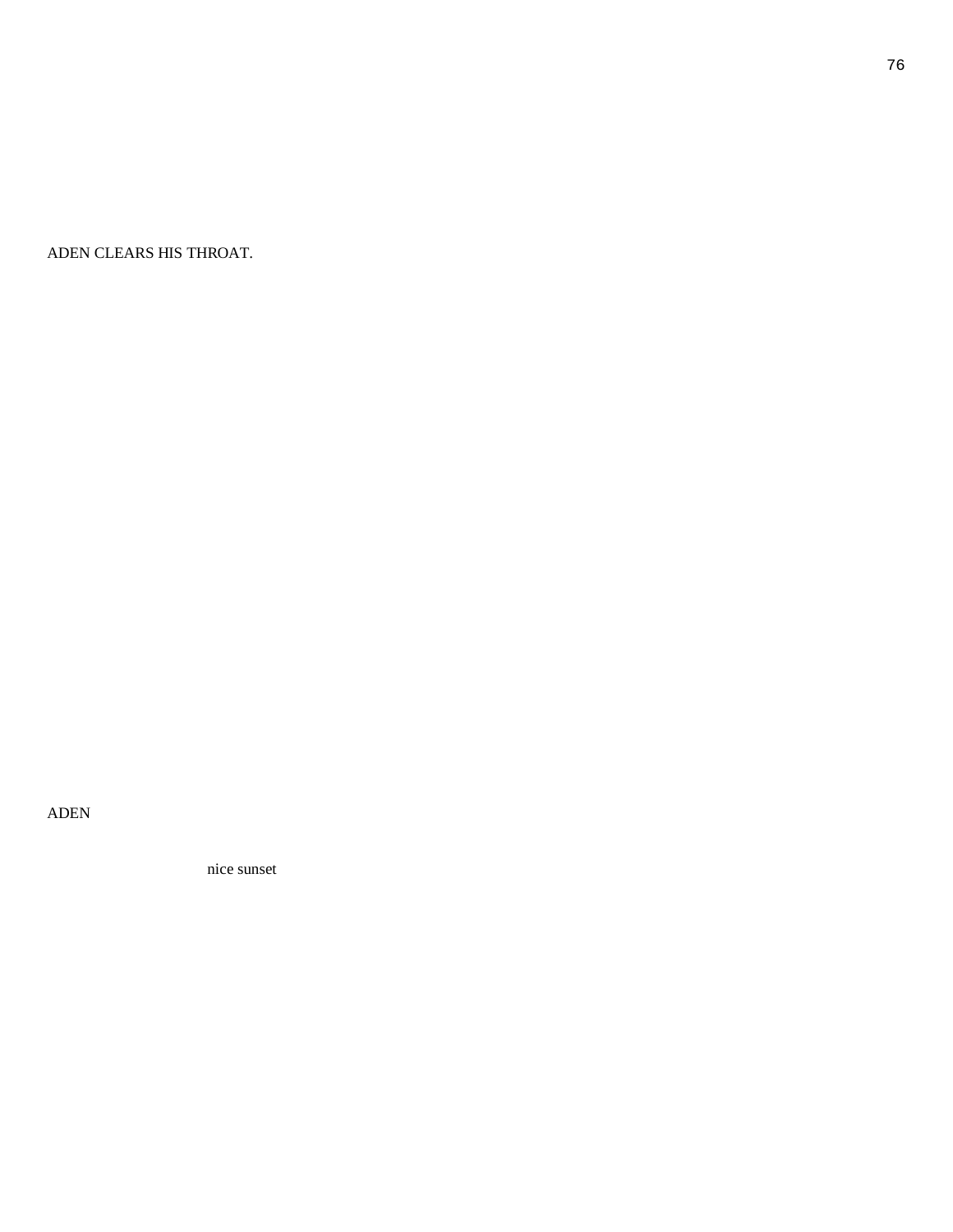ADEN CLEARS HIS THROAT.

ADEN

nice sunset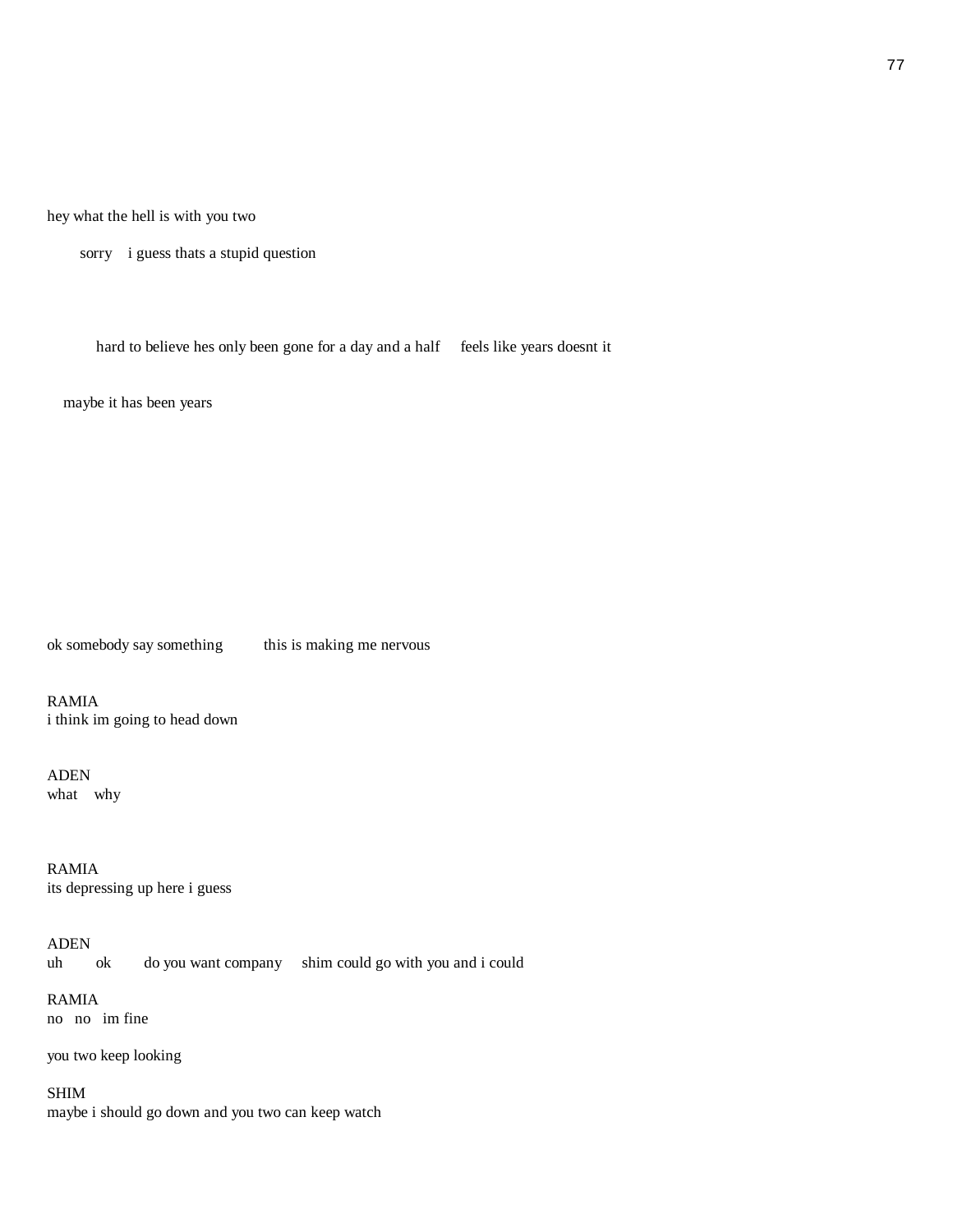hey what the hell is with you two

sorry i guess thats a stupid question

hard to believe hes only been gone for a day and a half feels like years doesnt it

maybe it has been years

ok somebody say something this is making me nervous

RAMIA i think im going to head down

ADEN what why

RAMIA its depressing up here i guess

ADEN

uh ok do you want company shim could go with you and i could

RAMIA

no no im fine

you two keep looking

SHIM maybe i should go down and you two can keep watch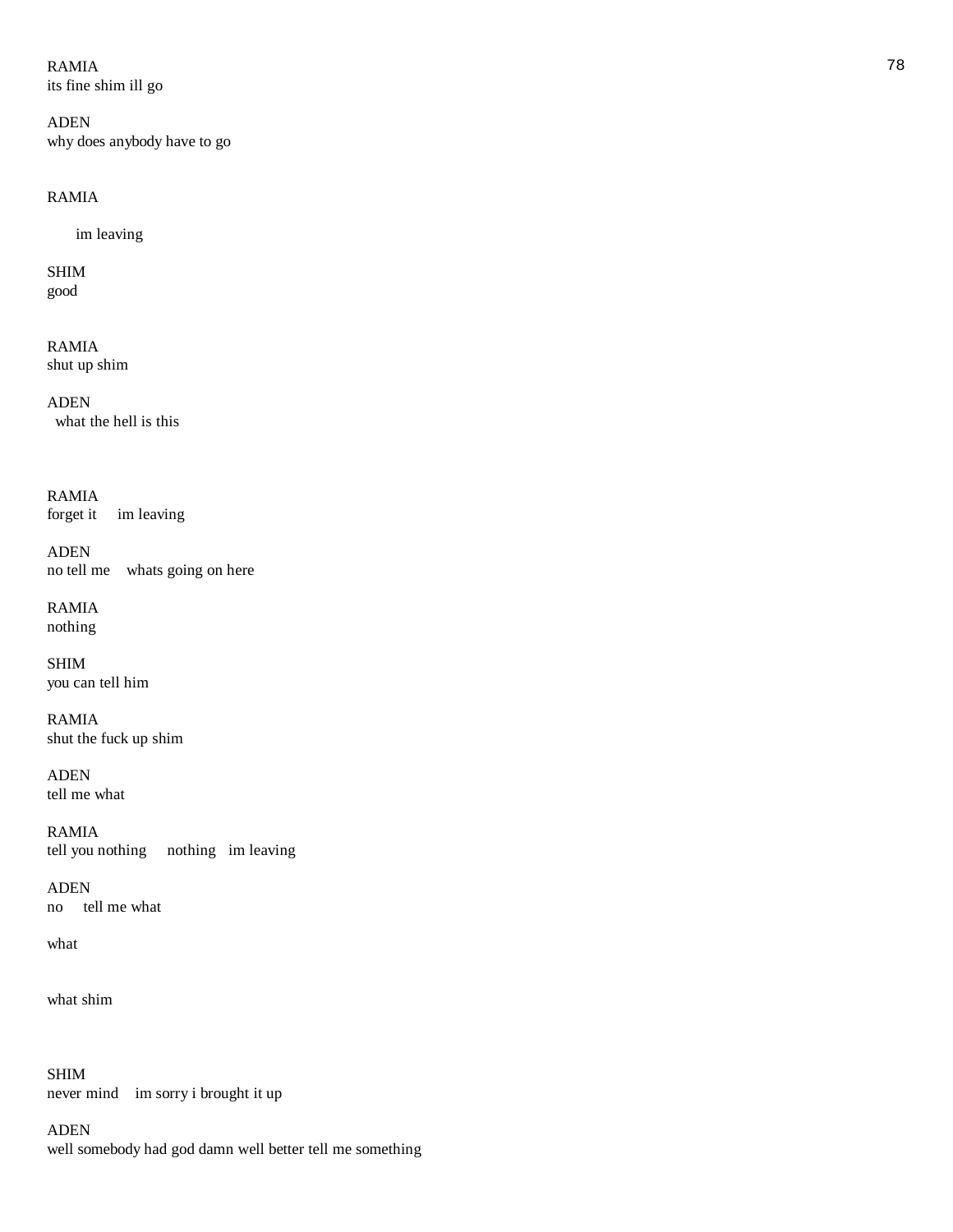# $RAMIA$  and the contract of the contract of the contract of the contract of the contract of the contract of the contract of the contract of the contract of the contract of the contract of the contract of the contract of the

its fine shim ill go

ADEN why does anybody have to go

# RAMIA

im leaving

SHIM good

RAMIA shut up shim

ADEN what the hell is this

# RAMIA

forget it im leaving

ADEN no tell me whats going on here

RAMIA nothing

SHIM you can tell him

RAMIA shut the fuck up shim

ADEN tell me what

RAMIA tell you nothing nothing im leaving

ADEN no tell me what

what

what shim

SHIM never mind im sorry i brought it up

ADEN well somebody had god damn well better tell me something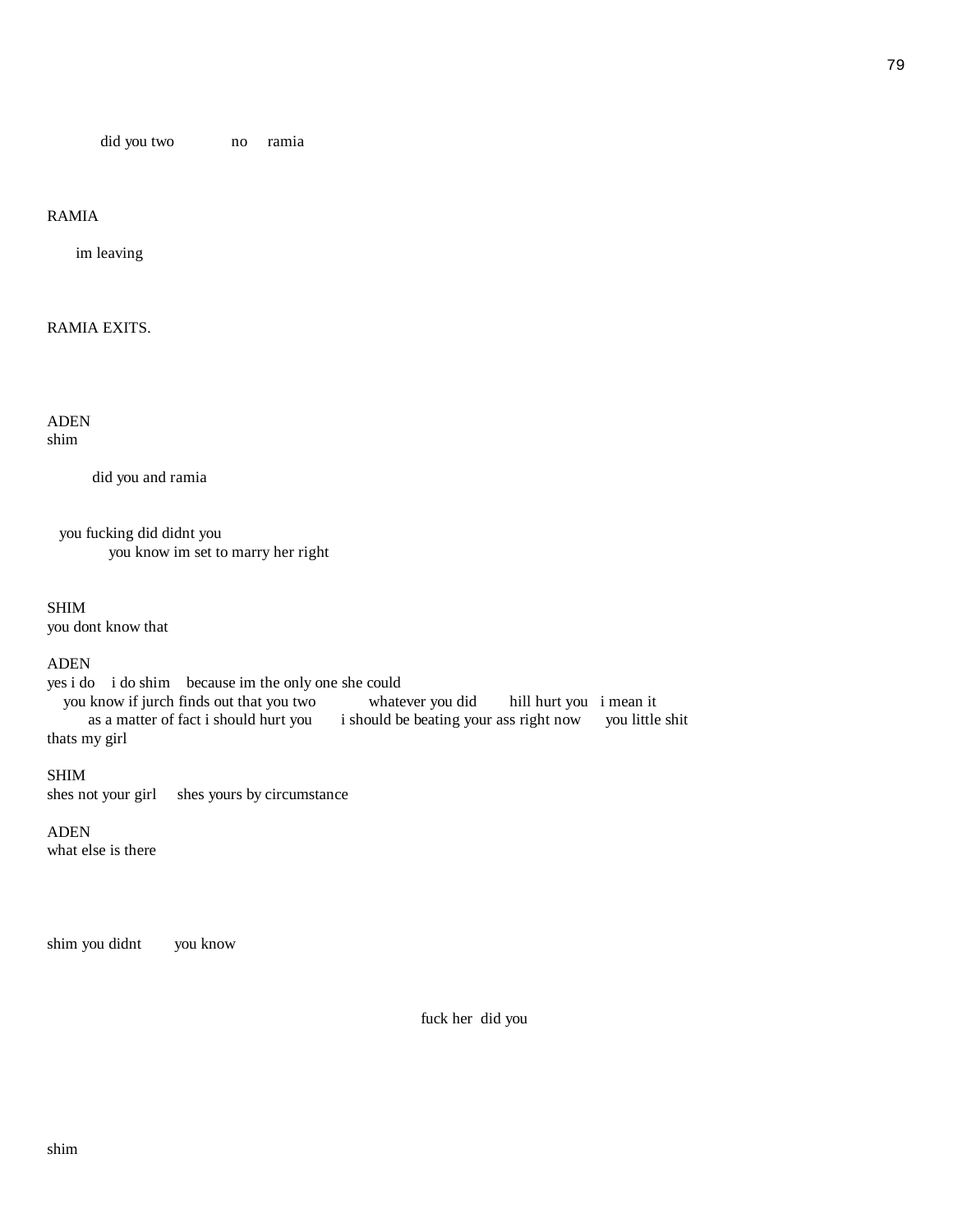did you two no ramia

# RAMIA

im leaving

# RAMIA EXITS.

ADEN shim

did you and ramia

 you fucking did didnt you you know im set to marry her right

#### SHIM

you dont know that

#### ADEN

yes i do i do shim because im the only one she could<br>you know if jurch finds out that you two whatever you did you know if jurch finds out that you two whatever you did hill hurt you i mean it as a matter of fact i should hurt you i should be beating your ass right now you little shit thats my girl

#### SHIM

shes not your girl shes yours by circumstance

#### ADEN

what else is there

shim you didnt you know

fuck her did you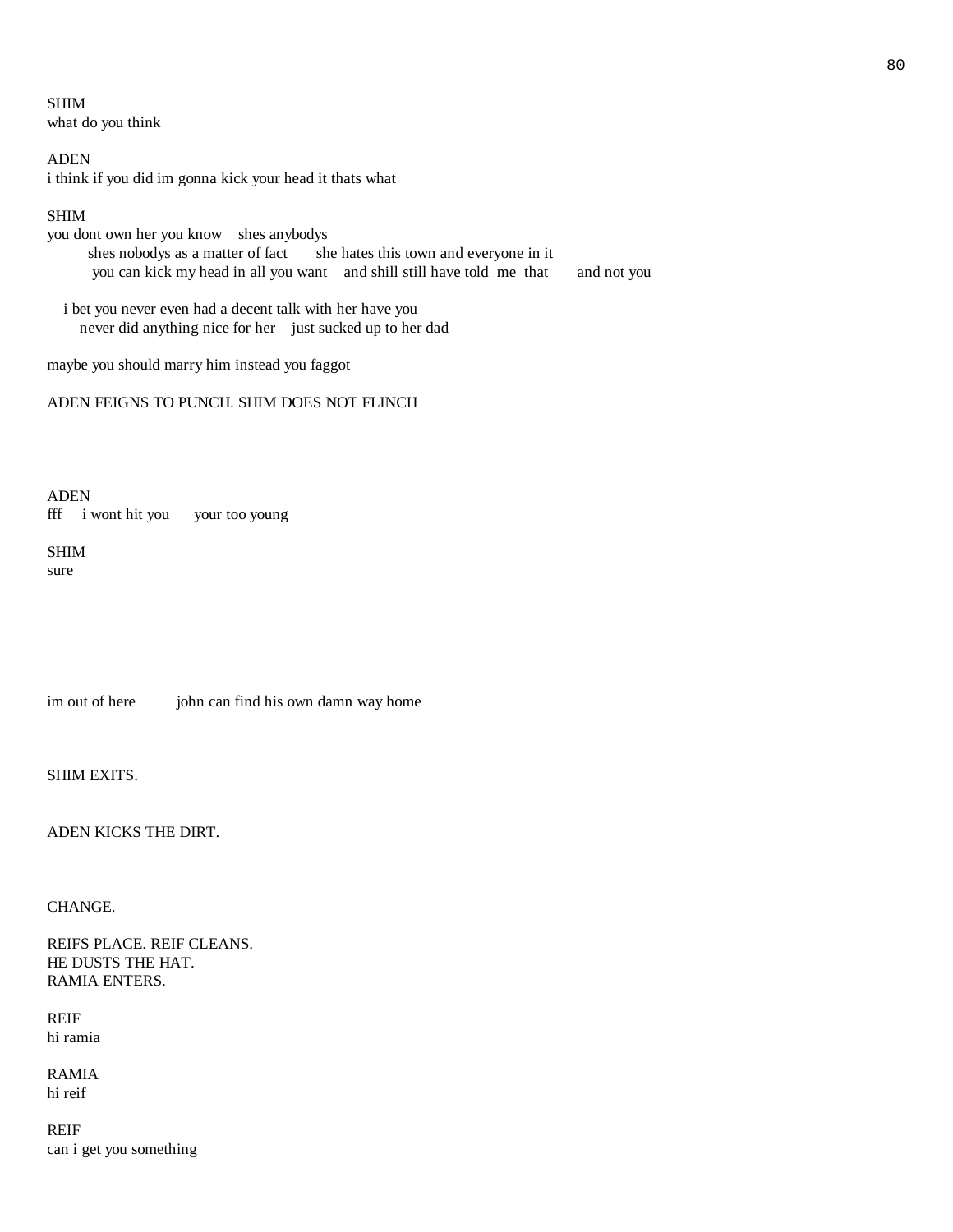SHIM what do you think

ADEN i think if you did im gonna kick your head it thats what

# SHIM

you dont own her you know shes anybodys shes nobodys as a matter of fact she hates this town and everyone in it you can kick my head in all you want and shill still have told me that and not you

 i bet you never even had a decent talk with her have you never did anything nice for her just sucked up to her dad

maybe you should marry him instead you faggot

# ADEN FEIGNS TO PUNCH. SHIM DOES NOT FLINCH

ADEN fff i wont hit you your too young

#### SHIM sure

im out of here john can find his own damn way home

SHIM EXITS.

ADEN KICKS THE DIRT.

# CHANGE.

REIFS PLACE. REIF CLEANS. HE DUSTS THE HAT. RAMIA ENTERS.

REIF hi ramia

RAMIA hi reif

REIF can i get you something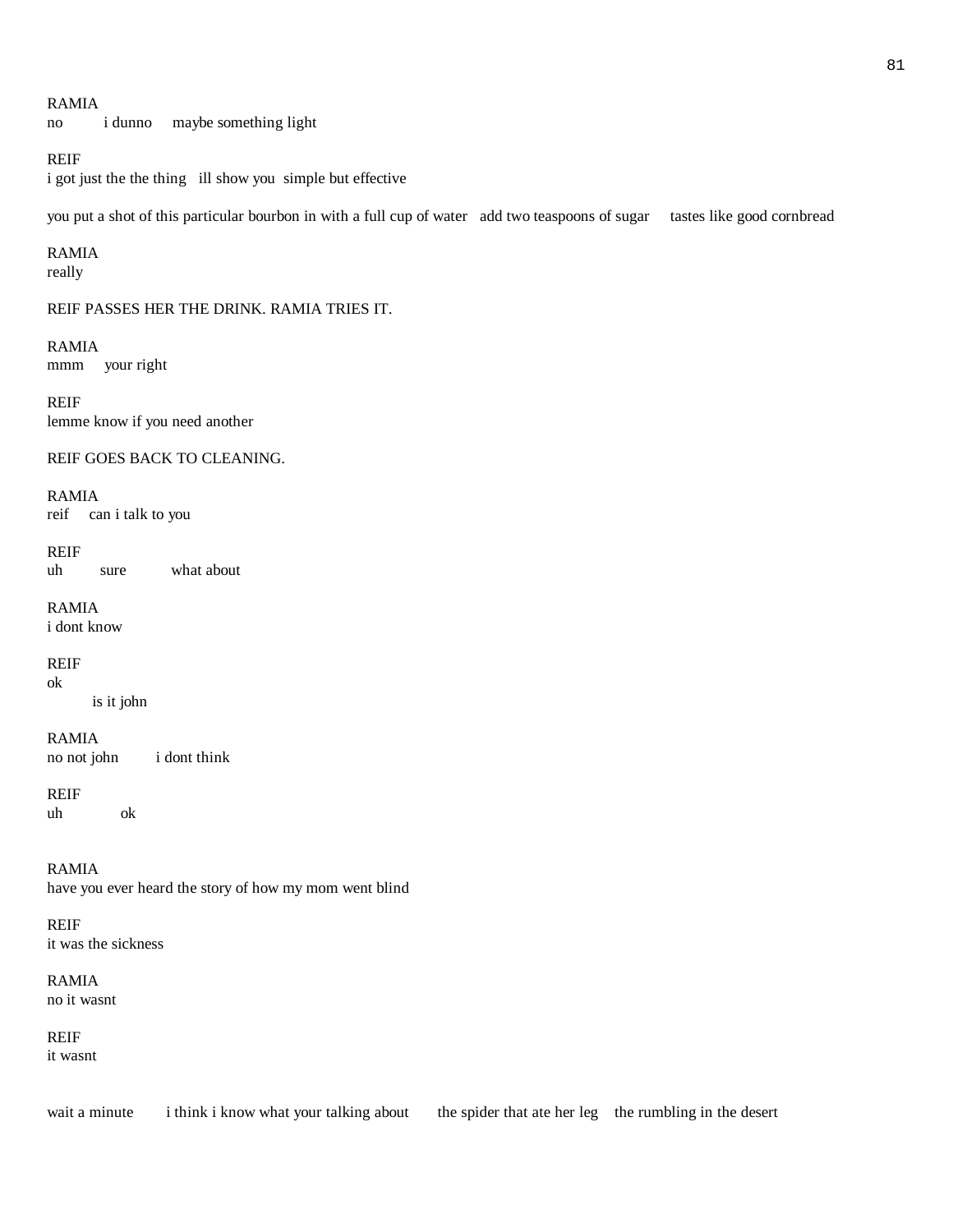#### RAMIA

no i dunno maybe something light

# REIF

i got just the the thing ill show you simple but effective

you put a shot of this particular bourbon in with a full cup of water add two teaspoons of sugar tastes like good cornbread

#### RAMIA

really

#### REIF PASSES HER THE DRINK. RAMIA TRIES IT.

RAMIA mmm your right

REIF lemme know if you need another

REIF GOES BACK TO CLEANING.

# RAMIA

reif can i talk to you

REIF uh sure what about

RAMIA i dont know

REIF ok

is it john

RAMIA no not john i dont think

REIF uh ok

RAMIA have you ever heard the story of how my mom went blind

REIF it was the sickness

RAMIA no it wasnt

REIF it wasnt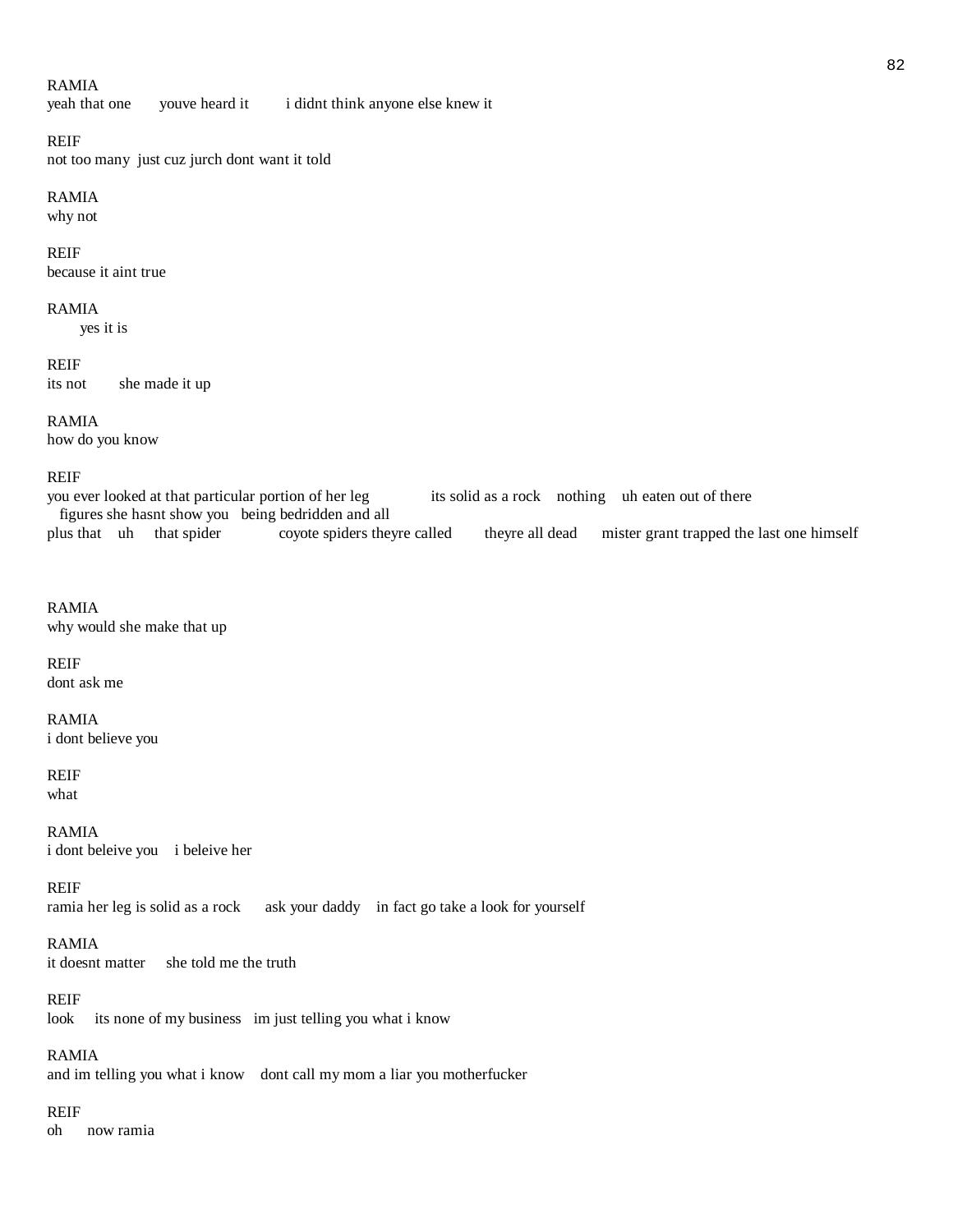# RAMIA

yeah that one youve heard it i didnt think anyone else knew it

REIF

not too many just cuz jurch dont want it told

# RAMIA

why not

#### REIF

because it aint true

#### RAMIA

yes it is

REIF its not she made it up

# RAMIA

how do you know

#### REIF

you ever looked at that particular portion of her leg its solid as a rock nothing uh eaten out of there figures she hasnt show you being bedridden and all theyre all dead mister grant trapped the last one himself

# RAMIA

why would she make that up

# REIF

dont ask me

# RAMIA

i dont believe you

# REIF

what

RAMIA i dont beleive you i beleive her

REIF ramia her leg is solid as a rock ask your daddy in fact go take a look for yourself

# RAMIA

it doesnt matter she told me the truth

# REIF

look its none of my business im just telling you what i know

# RAMIA

and im telling you what i know dont call my mom a liar you motherfucker

# REIF

oh now ramia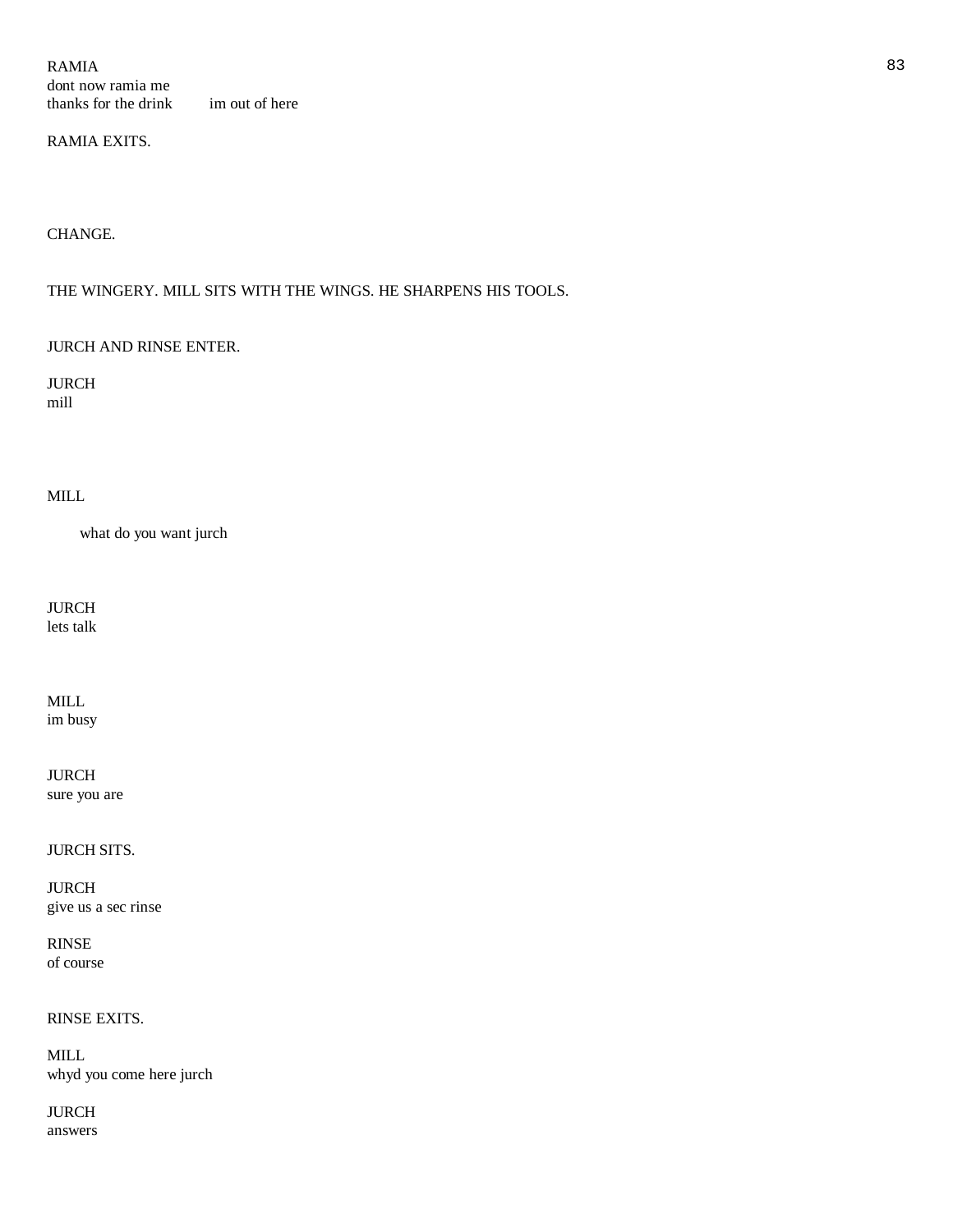$RAMIA$  83 dont now ramia me thanks for the drink im out of here

# RAMIA EXITS.

CHANGE.

# THE WINGERY. MILL SITS WITH THE WINGS. HE SHARPENS HIS TOOLS.

#### JURCH AND RINSE ENTER.

JURCH mill

# MILL

what do you want jurch

JURCH lets talk

MILL

im busy

JURCH sure you are

JURCH SITS.

JURCH give us a sec rinse

RINSE of course

# RINSE EXITS.

MILL whyd you come here jurch

JURCH answers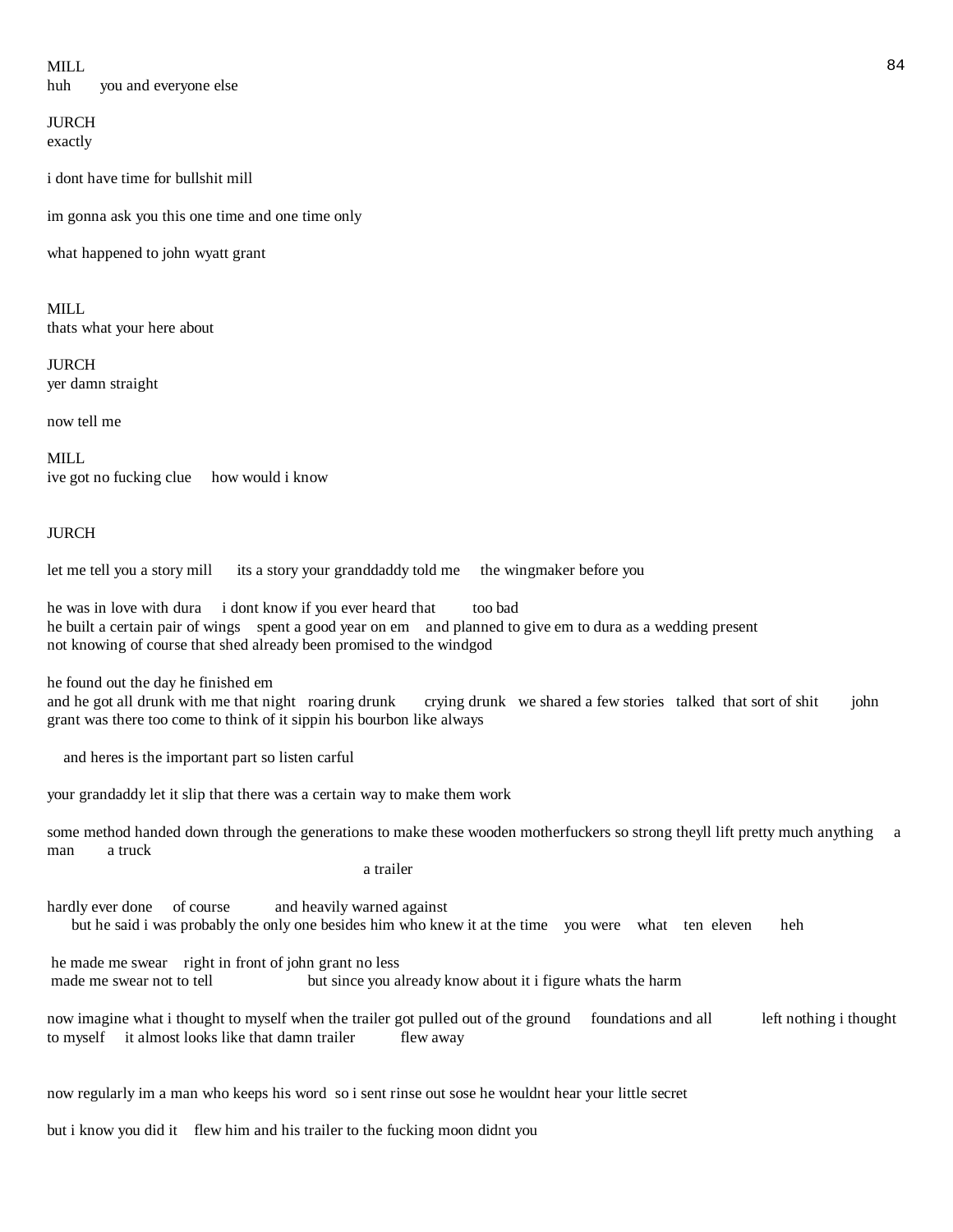MILL 84 huh you and everyone else

**JURCH** exactly

i dont have time for bullshit mill

im gonna ask you this one time and one time only

what happened to john wyatt grant

MILL thats what your here about

JURCH yer damn straight

now tell me

MILL. ive got no fucking clue how would i know

#### JURCH

let me tell you a story mill its a story your granddaddy told me the wingmaker before you

he was in love with dura i dont know if you ever heard that too bad he built a certain pair of wings spent a good year on em and planned to give em to dura as a wedding present not knowing of course that shed already been promised to the windgod

he found out the day he finished em

and he got all drunk with me that night roaring drunk crying drunk we shared a few stories talked that sort of shit john grant was there too come to think of it sippin his bourbon like always

and heres is the important part so listen carful

your grandaddy let it slip that there was a certain way to make them work

some method handed down through the generations to make these wooden motherfuckers so strong theyll lift pretty much anything a man a truck

a trailer

hardly ever done of course and heavily warned against but he said i was probably the only one besides him who knew it at the time you were what ten eleven heh

he made me swear right in front of john grant no less made me swear not to tell but since you already know about it i figure whats the harm

now imagine what i thought to myself when the trailer got pulled out of the ground foundations and all left nothing i thought to myself it almost looks like that damn trailer flew away

now regularly im a man who keeps his word so i sent rinse out sose he wouldnt hear your little secret

but i know you did it flew him and his trailer to the fucking moon didnt you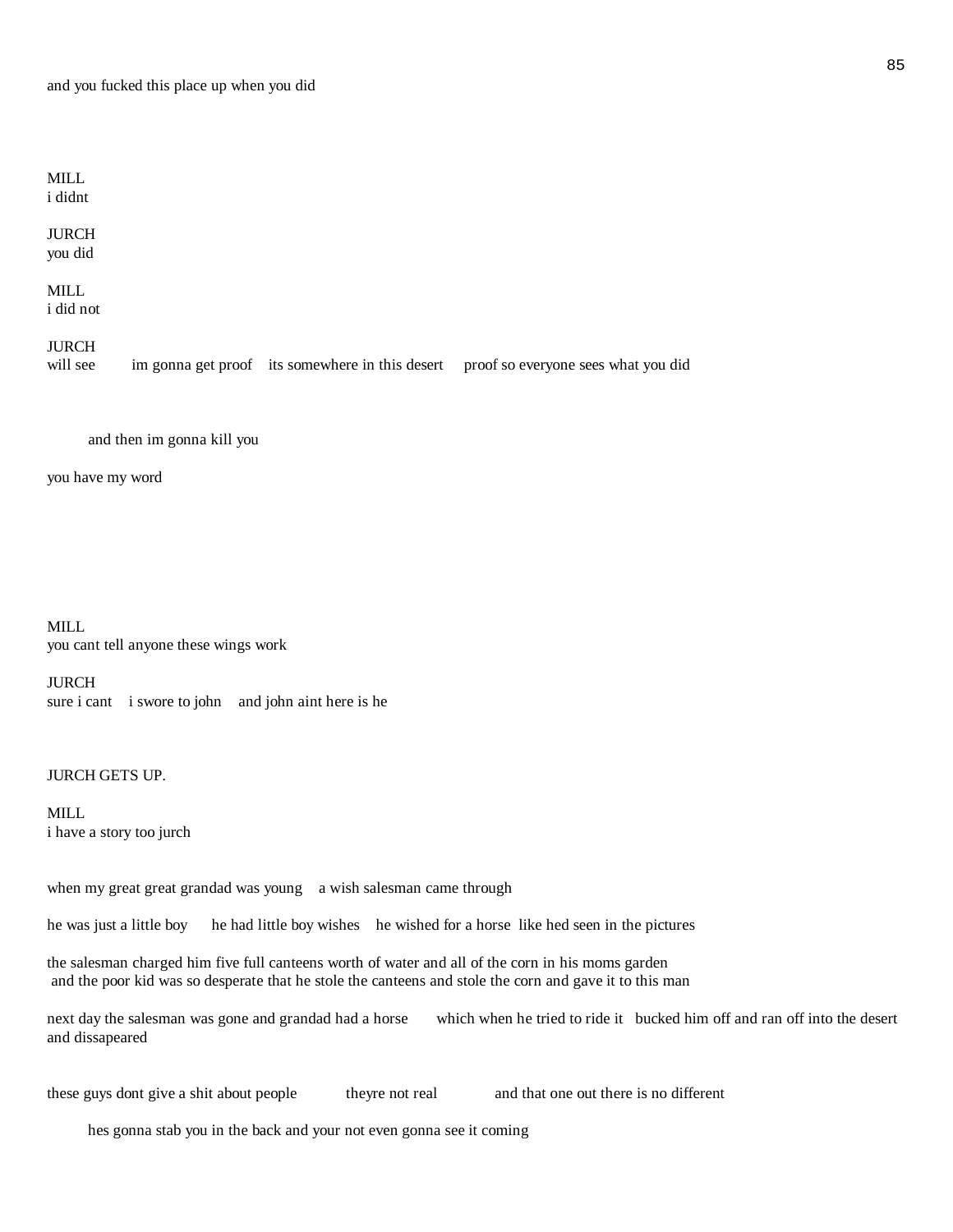#### MILL i didnt

JURCH you did

#### MILL i did not

# JURCH

will see im gonna get proof its somewhere in this desert proof so everyone sees what you did

and then im gonna kill you

you have my word

MILL you cant tell anyone these wings work

# JURCH sure i cant i swore to john and john aint here is he

# JURCH GETS UP.

MILL i have a story too jurch

when my great great grandad was young a wish salesman came through

he was just a little boy he had little boy wishes he wished for a horse like hed seen in the pictures

the salesman charged him five full canteens worth of water and all of the corn in his moms garden and the poor kid was so desperate that he stole the canteens and stole the corn and gave it to this man

next day the salesman was gone and grandad had a horse which when he tried to ride it bucked him off and ran off into the desert and dissapeared

these guys dont give a shit about people theyre not real and that one out there is no different

hes gonna stab you in the back and your not even gonna see it coming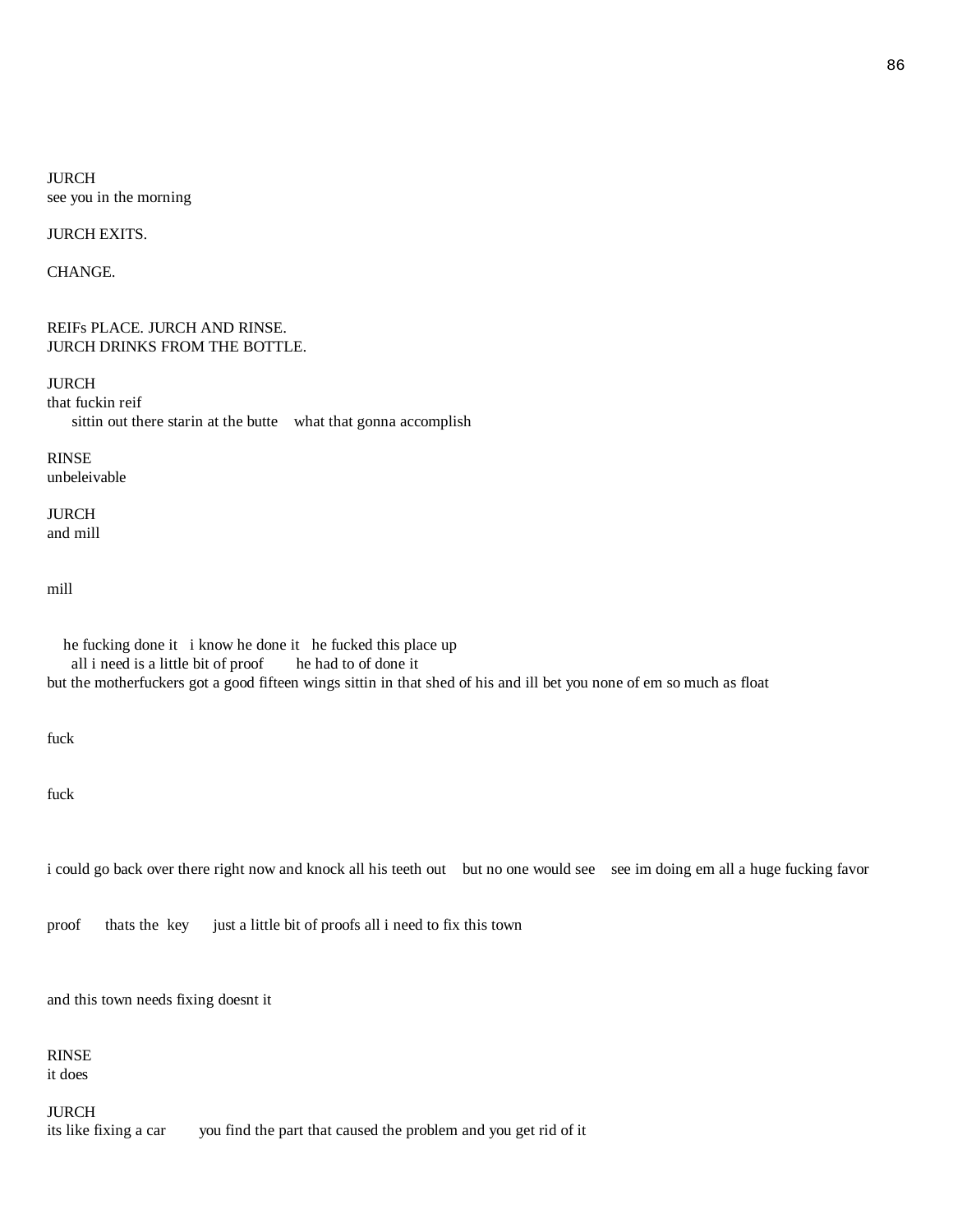JURCH see you in the morning

JURCH EXITS.

CHANGE.

#### REIFs PLACE. JURCH AND RINSE. JURCH DRINKS FROM THE BOTTLE.

JURCH that fuckin reif sittin out there starin at the butte what that gonna accomplish

RINSE unbeleivable

JURCH and mill

mill

 he fucking done it i know he done it he fucked this place up all i need is a little bit of proof he had to of done it but the motherfuckers got a good fifteen wings sittin in that shed of his and ill bet you none of em so much as float

fuck

fuck

i could go back over there right now and knock all his teeth out but no one would see see im doing em all a huge fucking favor

proof thats the key just a little bit of proofs all i need to fix this town

and this town needs fixing doesnt it

RINSE it does

JURCH

its like fixing a car you find the part that caused the problem and you get rid of it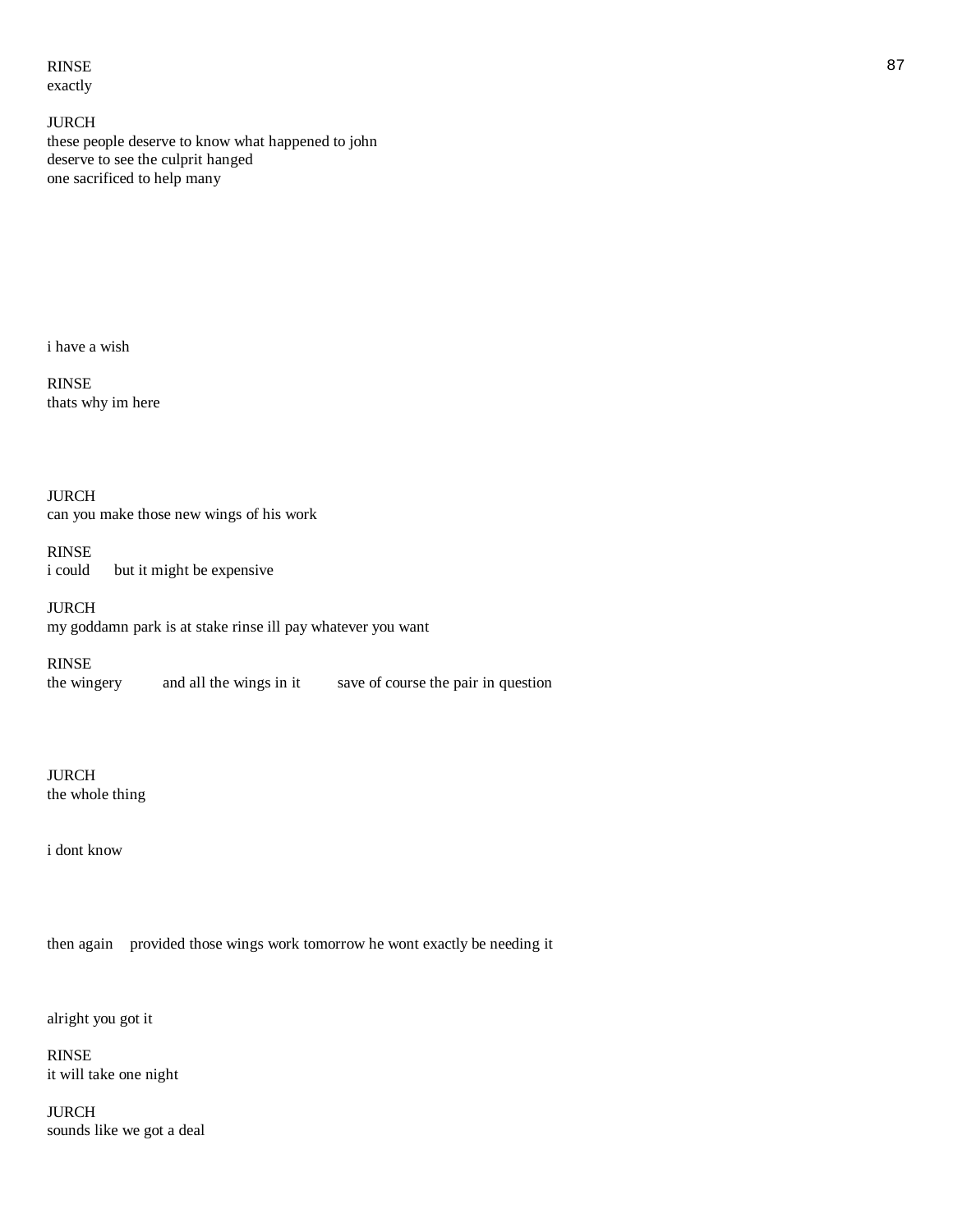RINSE 87 exactly

JURCH these people deserve to know what happened to john deserve to see the culprit hanged one sacrificed to help many

i have a wish

RINSE thats why im here

JURCH can you make those new wings of his work

RINSE i could but it might be expensive

JURCH my goddamn park is at stake rinse ill pay whatever you want

RINSE the wingery and all the wings in it save of course the pair in question

JURCH the whole thing

i dont know

then again provided those wings work tomorrow he wont exactly be needing it

alright you got it

RINSE it will take one night

JURCH sounds like we got a deal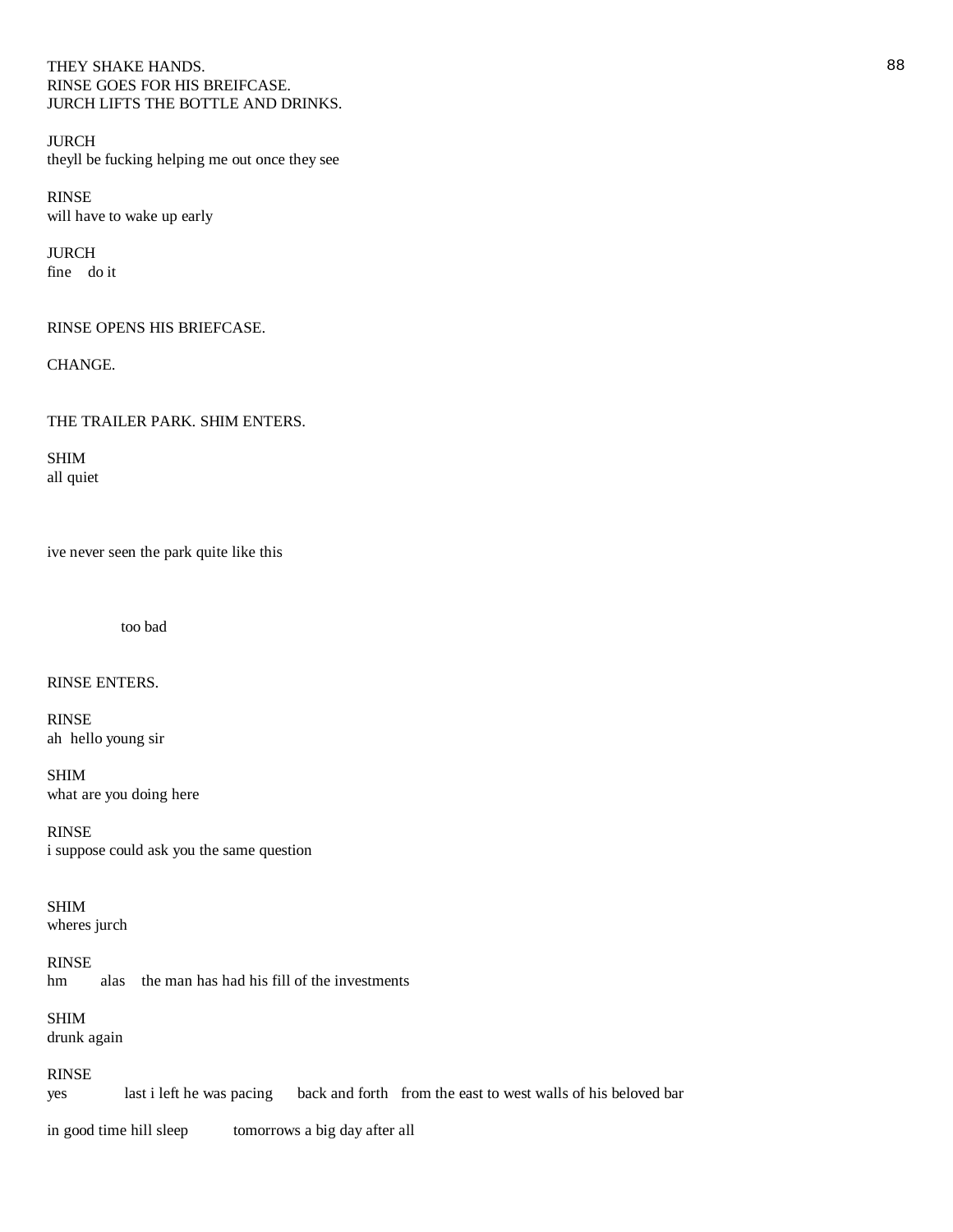# THEY SHAKE HANDS. 88 RINSE GOES FOR HIS BREIFCASE. JURCH LIFTS THE BOTTLE AND DRINKS.

JURCH theyll be fucking helping me out once they see

RINSE will have to wake up early

JURCH fine do it

# RINSE OPENS HIS BRIEFCASE.

CHANGE.

THE TRAILER PARK. SHIM ENTERS.

SHIM all quiet

ive never seen the park quite like this

too bad

RINSE ENTERS.

RINSE ah hello young sir

SHIM what are you doing here

RINSE i suppose could ask you the same question

SHIM wheres jurch

RINSE hm alas the man has had his fill of the investments

SHIM drunk again

RINSE yes last i left he was pacing back and forth from the east to west walls of his beloved bar

in good time hill sleep tomorrows a big day after all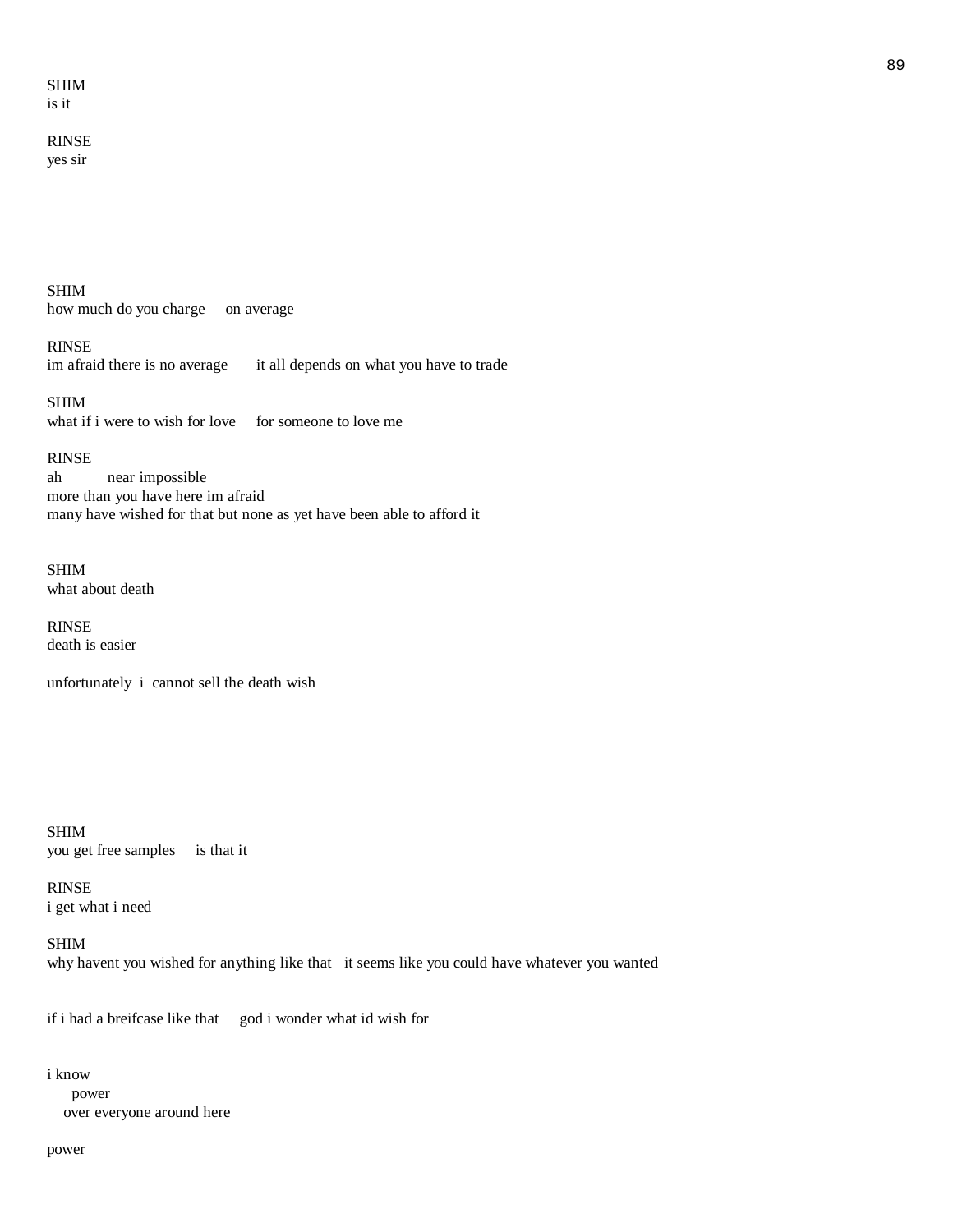#### SHIM is it

# RINSE yes sir

SHIM how much do you charge on average

RINSE im afraid there is no average it all depends on what you have to trade

SHIM what if i were to wish for love for someone to love me

# RINSE

ah near impossible more than you have here im afraid many have wished for that but none as yet have been able to afford it

SHIM what about death

RINSE death is easier

unfortunately i cannot sell the death wish

SHIM you get free samples is that it

RINSE i get what i need

SHIM why havent you wished for anything like that it seems like you could have whatever you wanted

if i had a breifcase like that god i wonder what id wish for

#### i know

 power over everyone around here

#### power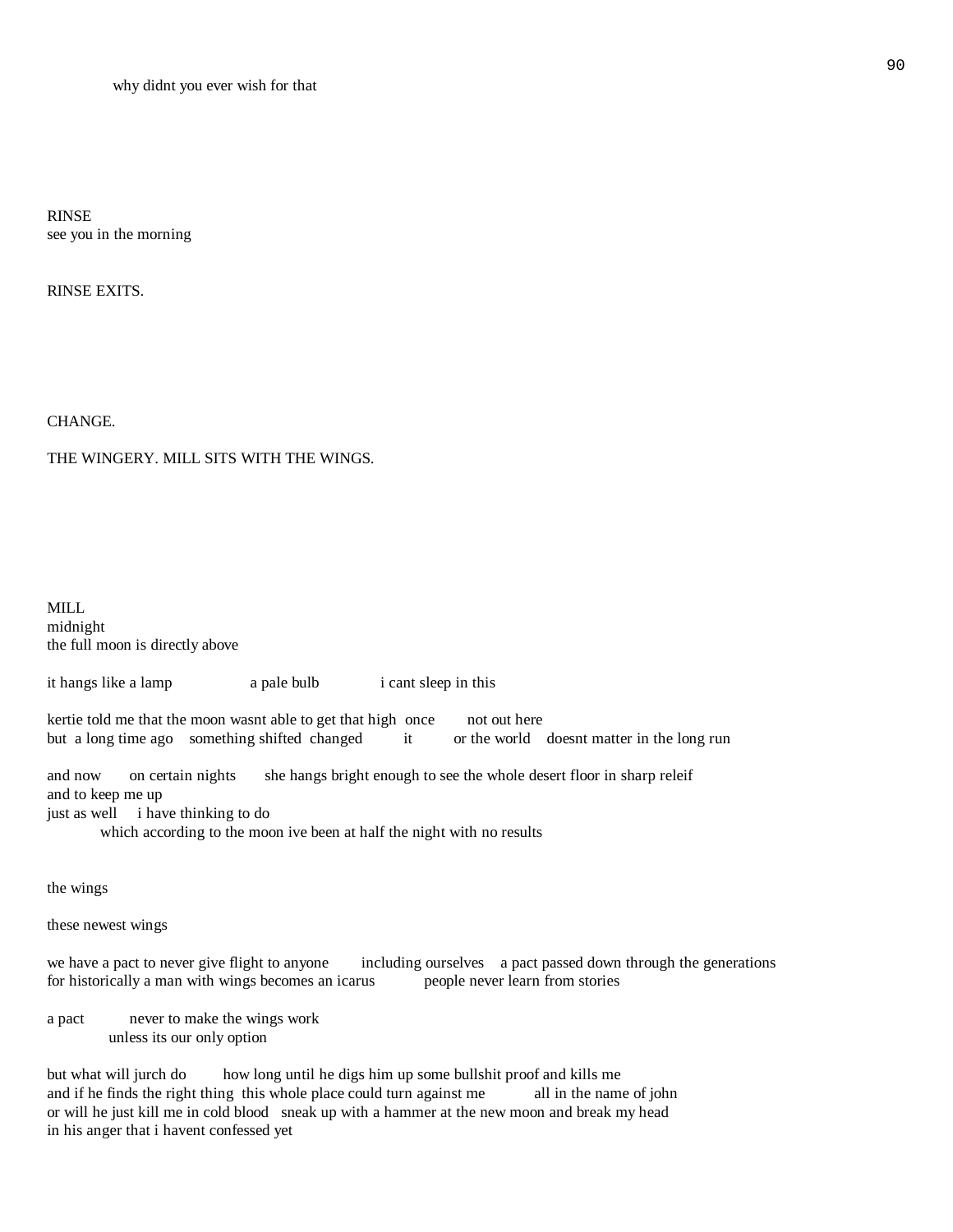RINSE see you in the morning

RINSE EXITS.

CHANGE.

# THE WINGERY. MILL SITS WITH THE WINGS.

MILL midnight the full moon is directly above

it hangs like a lamp a pale bulb i cant sleep in this

kertie told me that the moon wasnt able to get that high once not out here but a long time ago something shifted changed it or the world doesnt matter in the long run

and now on certain nights she hangs bright enough to see the whole desert floor in sharp releif and to keep me up just as well i have thinking to do

which according to the moon ive been at half the night with no results

the wings

these newest wings

we have a pact to never give flight to anyone including ourselves a pact passed down through the generations for historically a man with wings becomes an icarus people never learn from stories for historically a man with wings becomes an icarus

a pact never to make the wings work unless its our only option

but what will jurch do how long until he digs him up some bullshit proof and kills me and if he finds the right thing this whole place could turn against me all in the name of john or will he just kill me in cold blood sneak up with a hammer at the new moon and break my head in his anger that i havent confessed yet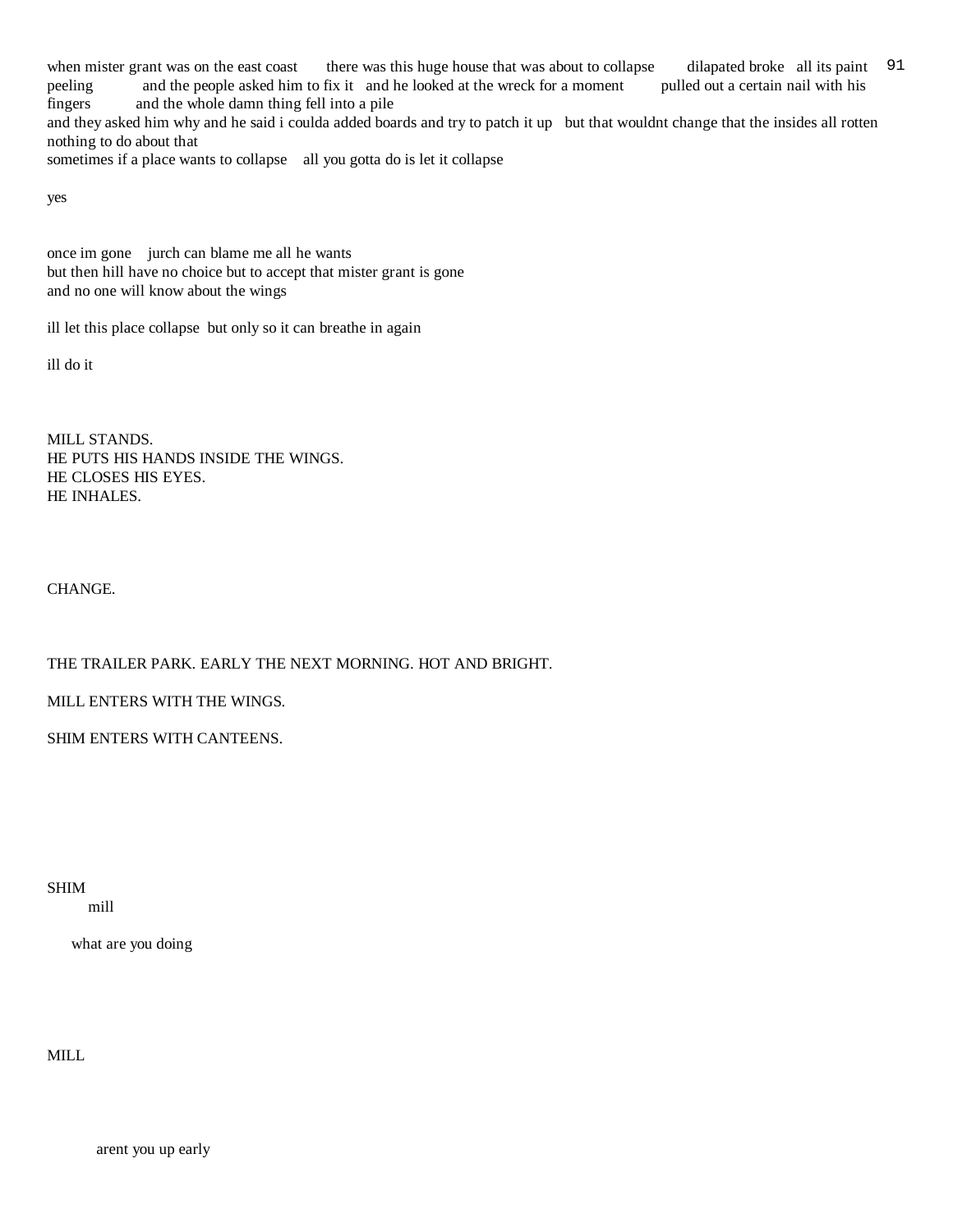when mister grant was on the east coast there was this huge house that was about to collapse dilapated broke all its paint 91 peeling and the people asked him to fix it and he looked at the wreck for a moment pulled out a certain nail with his fingers and the whole damn thing fell into a pile

and they asked him why and he said i coulda added boards and try to patch it up but that wouldnt change that the insides all rotten nothing to do about that

sometimes if a place wants to collapse all you gotta do is let it collapse

yes

once im gone jurch can blame me all he wants but then hill have no choice but to accept that mister grant is gone and no one will know about the wings

ill let this place collapse but only so it can breathe in again

ill do it

MILL STANDS. HE PUTS HIS HANDS INSIDE THE WINGS. HE CLOSES HIS EYES. HE INHALES.

CHANGE.

THE TRAILER PARK. EARLY THE NEXT MORNING. HOT AND BRIGHT.

MILL ENTERS WITH THE WINGS.

SHIM ENTERS WITH CANTEENS.

SHIM mill

what are you doing

MILL

arent you up early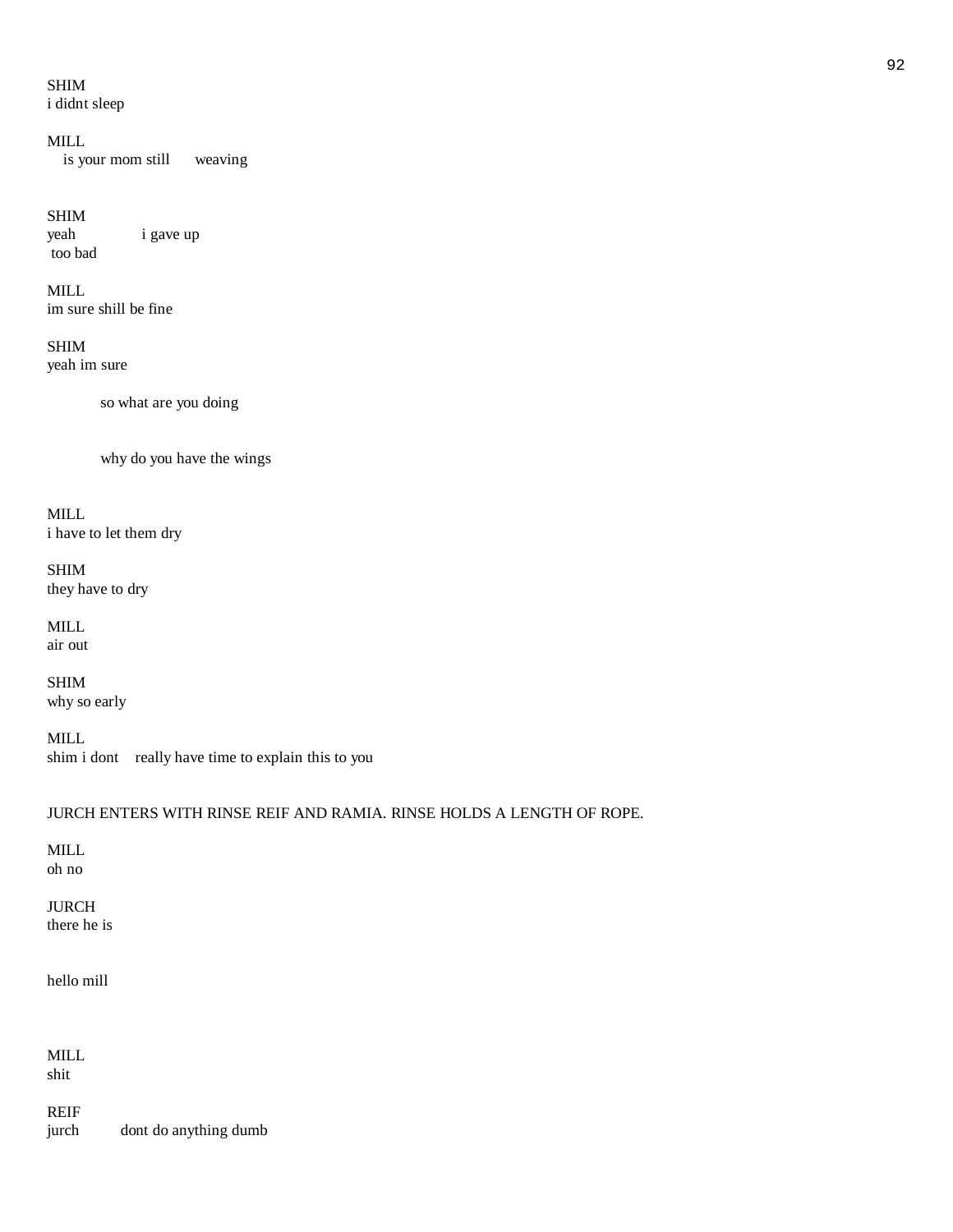# SHIM

i didnt sleep

#### MILL

is your mom still weaving

# SHIM

yeah i gave up too bad

MILL im sure shill be fine

# SHIM yeah im sure

so what are you doing

why do you have the wings

MILL i have to let them dry

SHIM they have to dry

MILL air out

SHIM why so early

MILL shim i dont really have time to explain this to you

# JURCH ENTERS WITH RINSE REIF AND RAMIA. RINSE HOLDS A LENGTH OF ROPE.

MILL oh no

# JURCH there he is

hello mill

MILL shit

REIF jurch dont do anything dumb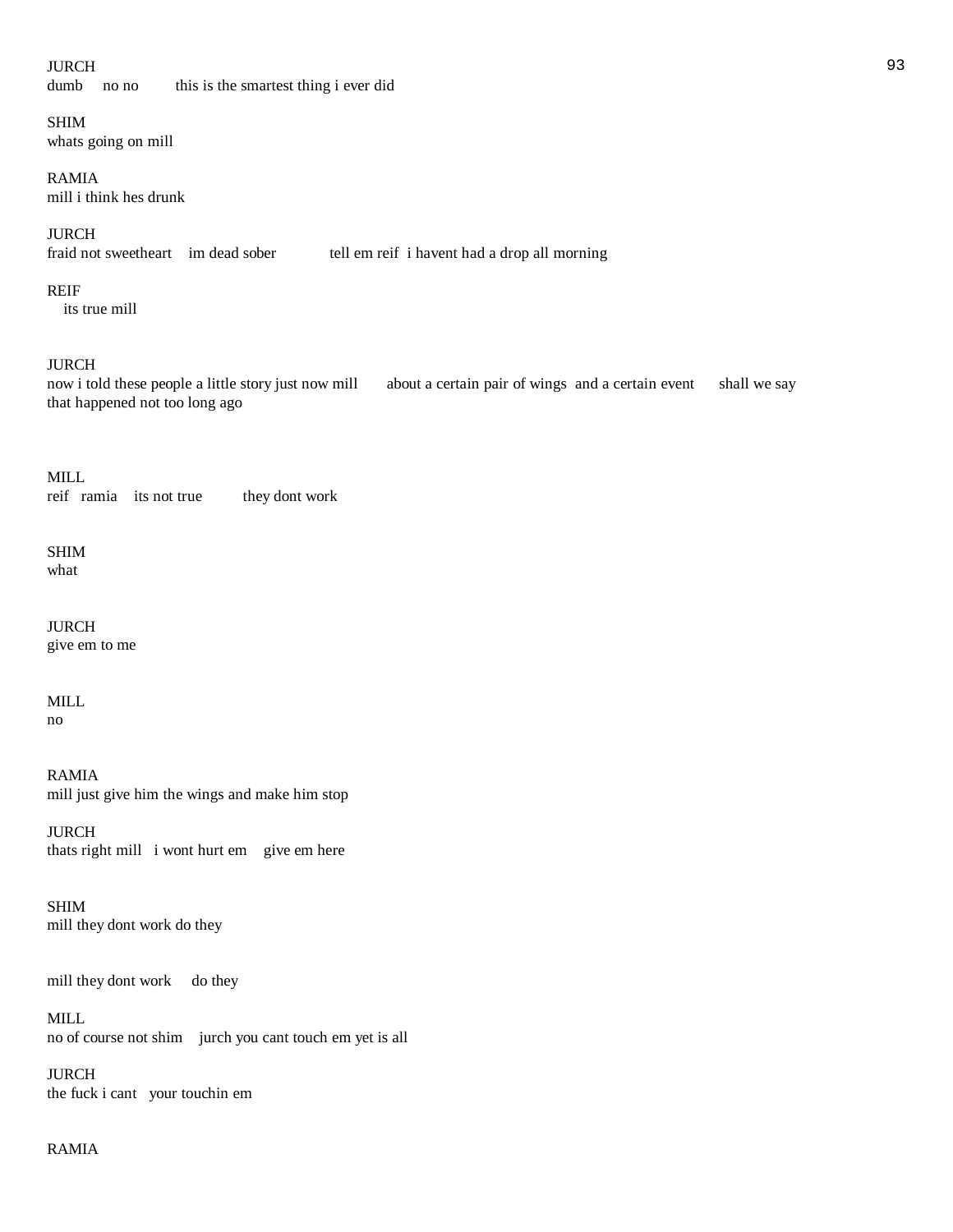# JURCH 93

dumb no no this is the smartest thing i ever did

# SHIM

whats going on mill

# RAMIA

mill i think hes drunk

JURCH<br>fraid not sweetheart im dead sober

# REIF

its true mill

# JURCH

now i told these people a little story just now mill about a certain pair of wings and a certain event shall we say that happened not too long ago

tell em reif i havent had a drop all morning

MILL reif ramia its not true they dont work

# SHIM

what

JURCH give em to me

# MILL

no

RAMIA mill just give him the wings and make him stop

JURCH thats right mill i wont hurt em give em here

SHIM mill they dont work do they

mill they dont work do they

MILL no of course not shim jurch you cant touch em yet is all

JURCH the fuck i cant your touchin em

# RAMIA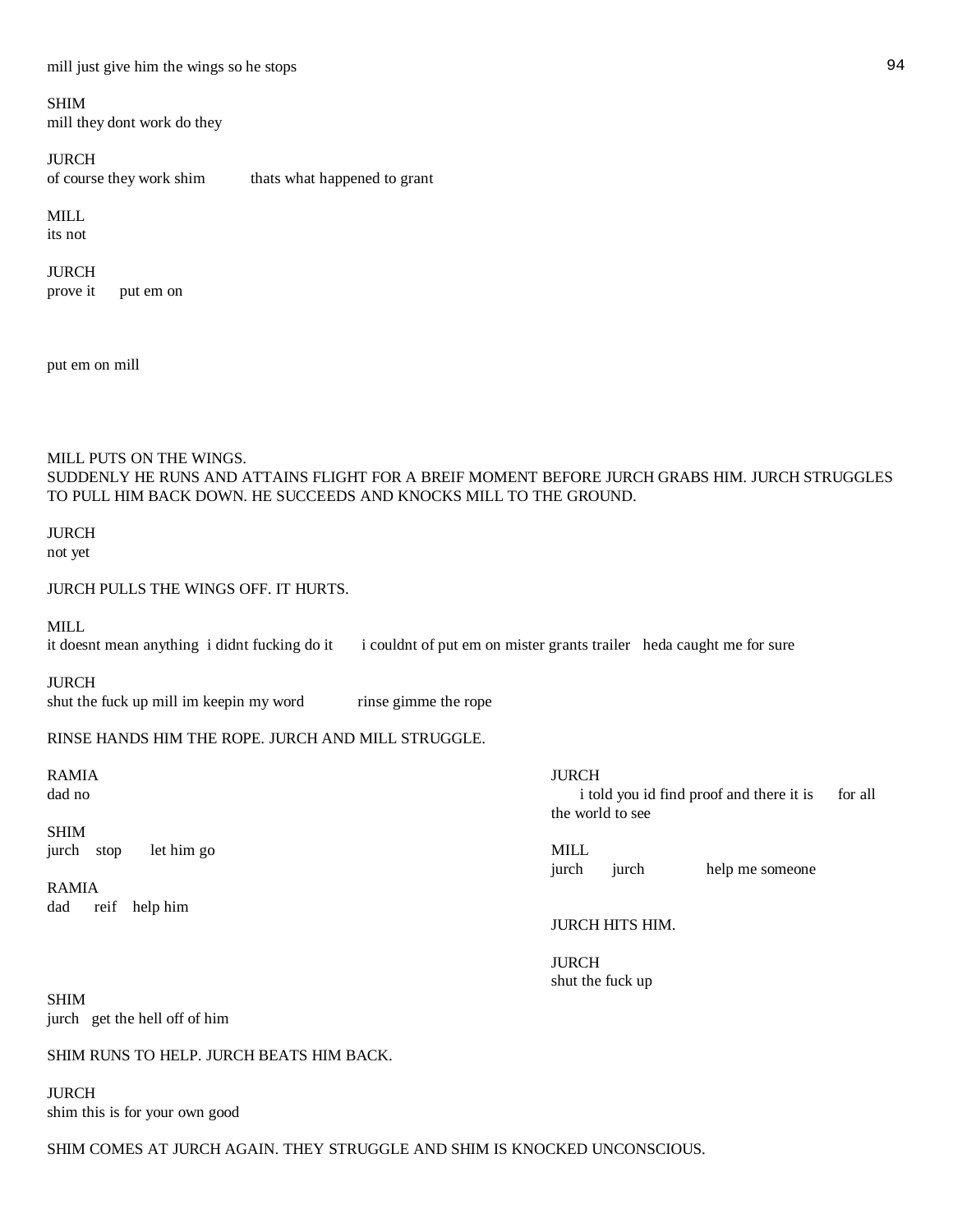SHIM

mill they dont work do they

JURCH of course they work shim thats what happened to grant

# MILL

its not

#### JURCH

prove it put em on

put em on mill

# MILL PUTS ON THE WINGS.

SUDDENLY HE RUNS AND ATTAINS FLIGHT FOR A BREIF MOMENT BEFORE JURCH GRABS HIM. JURCH STRUGGLES TO PULL HIM BACK DOWN. HE SUCCEEDS AND KNOCKS MILL TO THE GROUND.

#### JURCH not yet

JURCH PULLS THE WINGS OFF. IT HURTS.

MILL

it doesnt mean anything i didnt fucking do it i couldnt of put em on mister grants trailer heda caught me for sure

JURCH shut the fuck up mill im keepin my word rinse gimme the rope

RINSE HANDS HIM THE ROPE. JURCH AND MILL STRUGGLE.

RAMIA DE DE DE L'ANNE DE L'ANNE DE L'ANNE DE L'ANNE DE L'ANNE DE L'ANNE DE L'ANNE DE L'ANNE DE L'ANNE DE L'ANN dad no i told you id find proof and there it is for all the world to see SHIM jurch stop let him go MILL jurch jurch help me someone RAMIA

JURCH HITS HIM.

 JURCH shut the fuck up

SHIM jurch get the hell off of him

dad reif help him

# SHIM RUNS TO HELP. JURCH BEATS HIM BACK.

JURCH shim this is for your own good

SHIM COMES AT JURCH AGAIN. THEY STRUGGLE AND SHIM IS KNOCKED UNCONSCIOUS.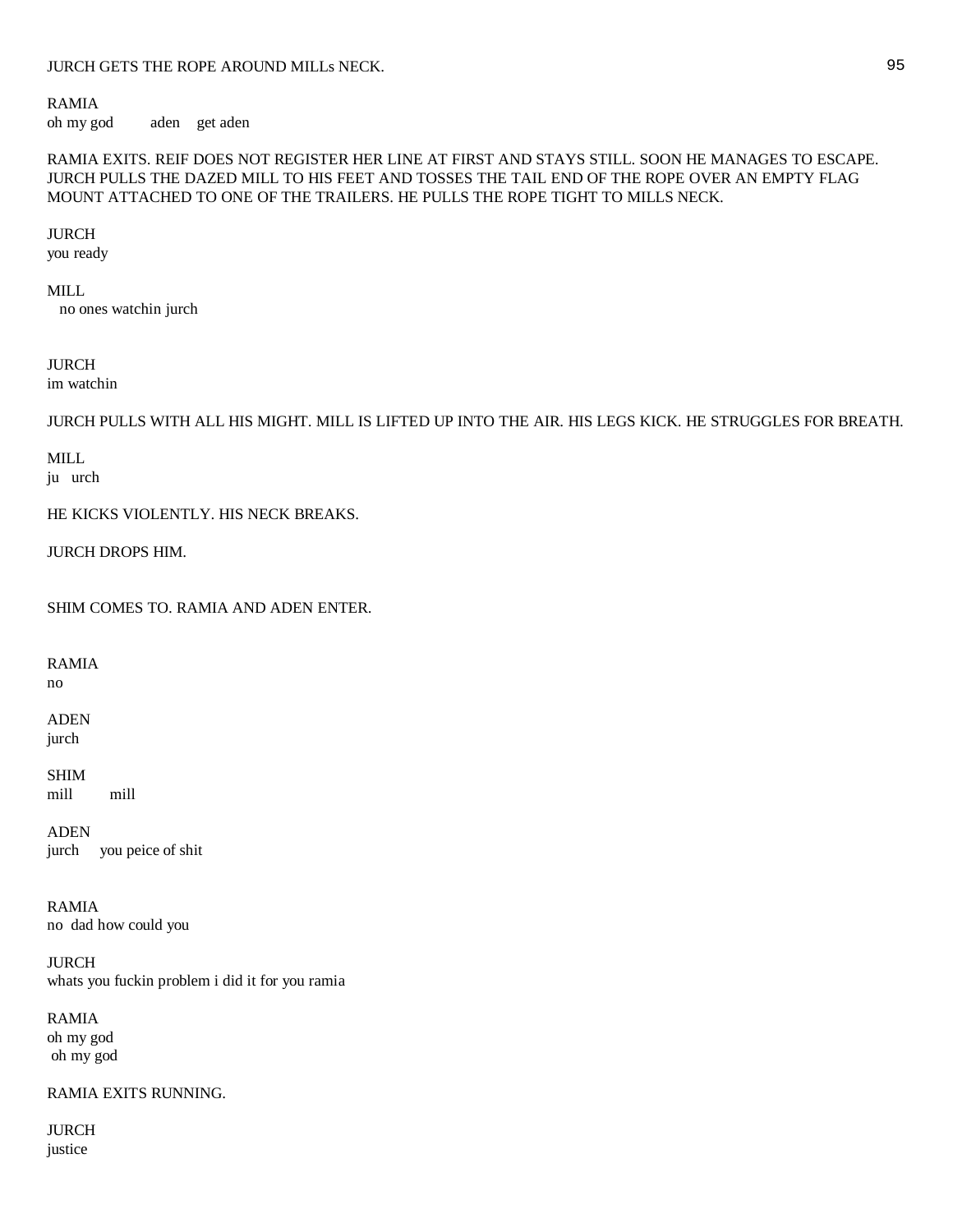# RAMIA

oh my god aden get aden

# RAMIA EXITS. REIF DOES NOT REGISTER HER LINE AT FIRST AND STAYS STILL. SOON HE MANAGES TO ESCAPE. JURCH PULLS THE DAZED MILL TO HIS FEET AND TOSSES THE TAIL END OF THE ROPE OVER AN EMPTY FLAG MOUNT ATTACHED TO ONE OF THE TRAILERS. HE PULLS THE ROPE TIGHT TO MILLS NECK.

# JURCH

you ready

# MILL

no ones watchin jurch

# JURCH

im watchin

JURCH PULLS WITH ALL HIS MIGHT. MILL IS LIFTED UP INTO THE AIR. HIS LEGS KICK. HE STRUGGLES FOR BREATH.

# MILL

ju urch

HE KICKS VIOLENTLY. HIS NECK BREAKS.

JURCH DROPS HIM.

SHIM COMES TO. RAMIA AND ADEN ENTER.

RAMIA no

ADEN jurch

SHIM mill mill

ADEN jurch you peice of shit

RAMIA no dad how could you

JURCH whats you fuckin problem i did it for you ramia

RAMIA oh my god oh my god

RAMIA EXITS RUNNING.

JURCH justice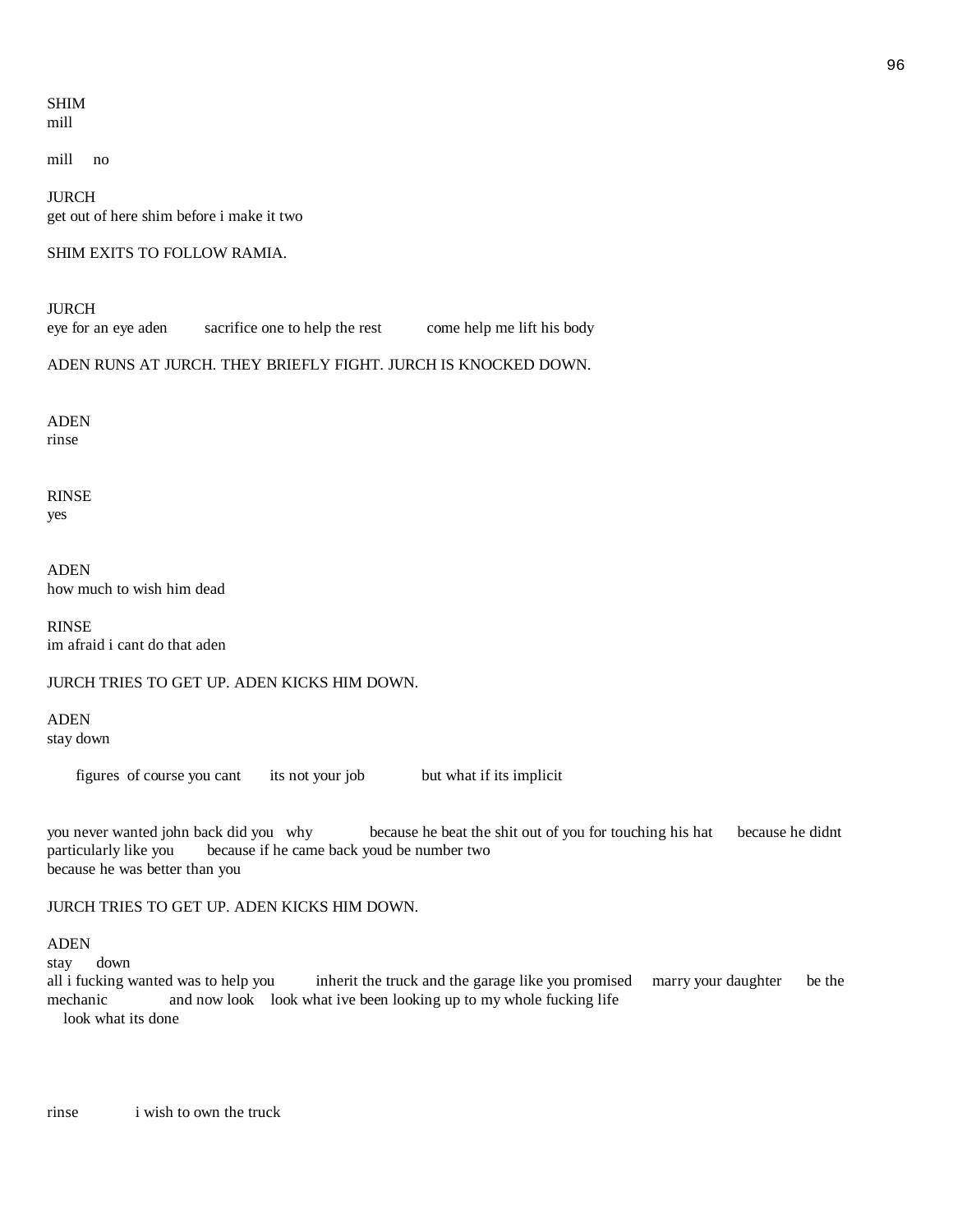#### SHIM mill

mill no

JURCH get out of here shim before i make it two

#### SHIM EXITS TO FOLLOW RAMIA.

JURCH

eye for an eye aden sacrifice one to help the rest come help me lift his body

ADEN RUNS AT JURCH. THEY BRIEFLY FIGHT. JURCH IS KNOCKED DOWN.

ADEN rinse

RINSE yes

ADEN how much to wish him dead

RINSE im afraid i cant do that aden

JURCH TRIES TO GET UP. ADEN KICKS HIM DOWN.

ADEN stay down

figures of course you cant its not your job but what if its implicit

you never wanted john back did you why because he beat the shit out of you for touching his hat because he didnt particularly like you because if he came back youd be number two because he was better than you

#### JURCH TRIES TO GET UP. ADEN KICKS HIM DOWN.

#### ADEN

stay down

all i fucking wanted was to help you inherit the truck and the garage like you promised marry your daughter be the mechanic and now look look what ive been looking up to my whole fucking life look what its done

rinse i wish to own the truck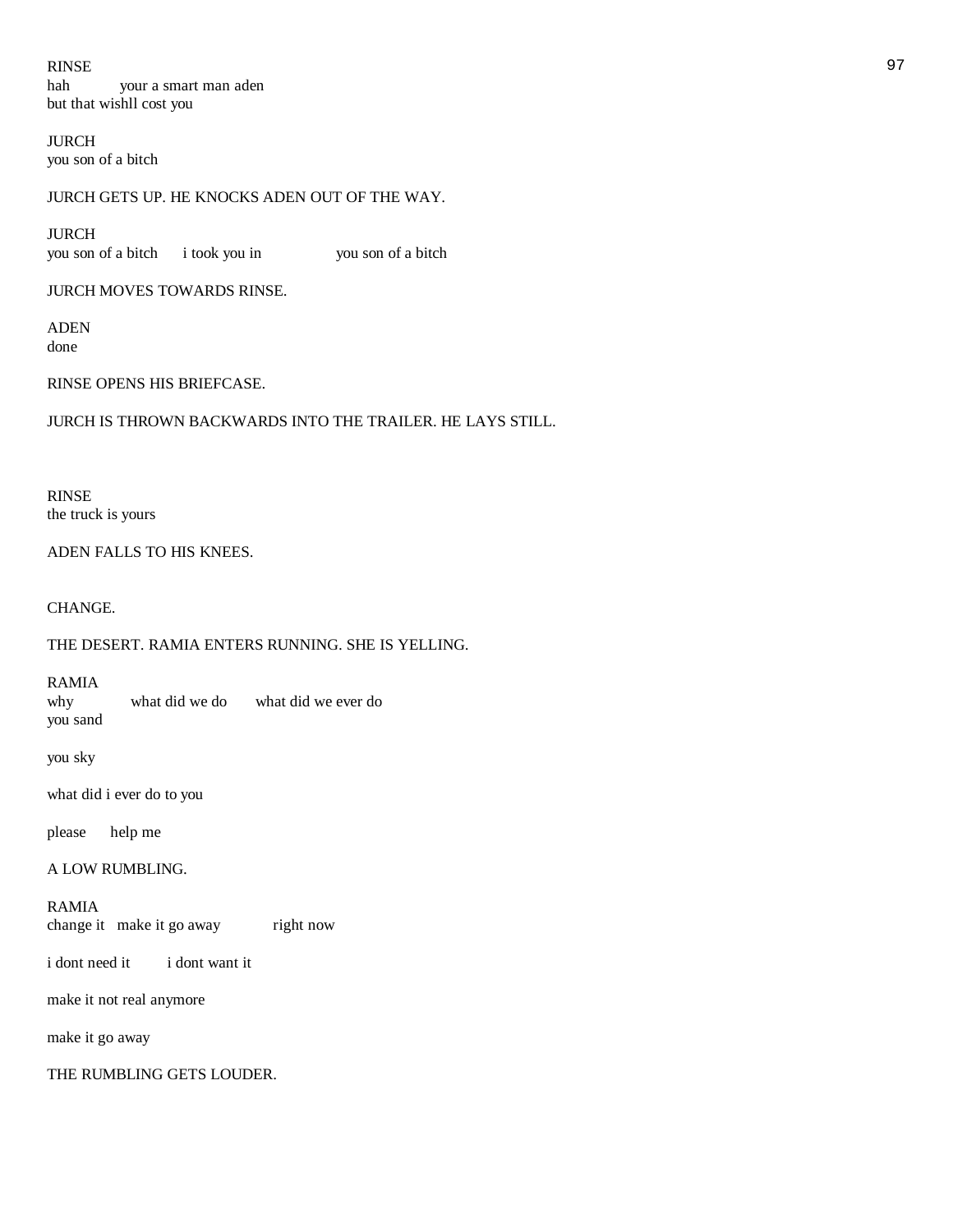RINSE 2008 and 2009 and 2009 and 2009 and 2009 and 2009 and 2009 and 2009 and 2009 and 2009 and 2009 and 2009 hah your a smart man aden but that wishll cost you

JURCH you son of a bitch

# JURCH GETS UP. HE KNOCKS ADEN OUT OF THE WAY.

JURCH you son of a bitch i took you in you son of a bitch

JURCH MOVES TOWARDS RINSE.

ADEN done

RINSE OPENS HIS BRIEFCASE.

JURCH IS THROWN BACKWARDS INTO THE TRAILER. HE LAYS STILL.

RINSE the truck is yours

ADEN FALLS TO HIS KNEES.

CHANGE.

THE DESERT. RAMIA ENTERS RUNNING. SHE IS YELLING.

RAMIA why what did we do what did we ever do you sand

you sky

what did i ever do to you

please help me

A LOW RUMBLING.

RAMIA change it make it go away right now

i dont need it i dont want it

make it not real anymore

make it go away

THE RUMBLING GETS LOUDER.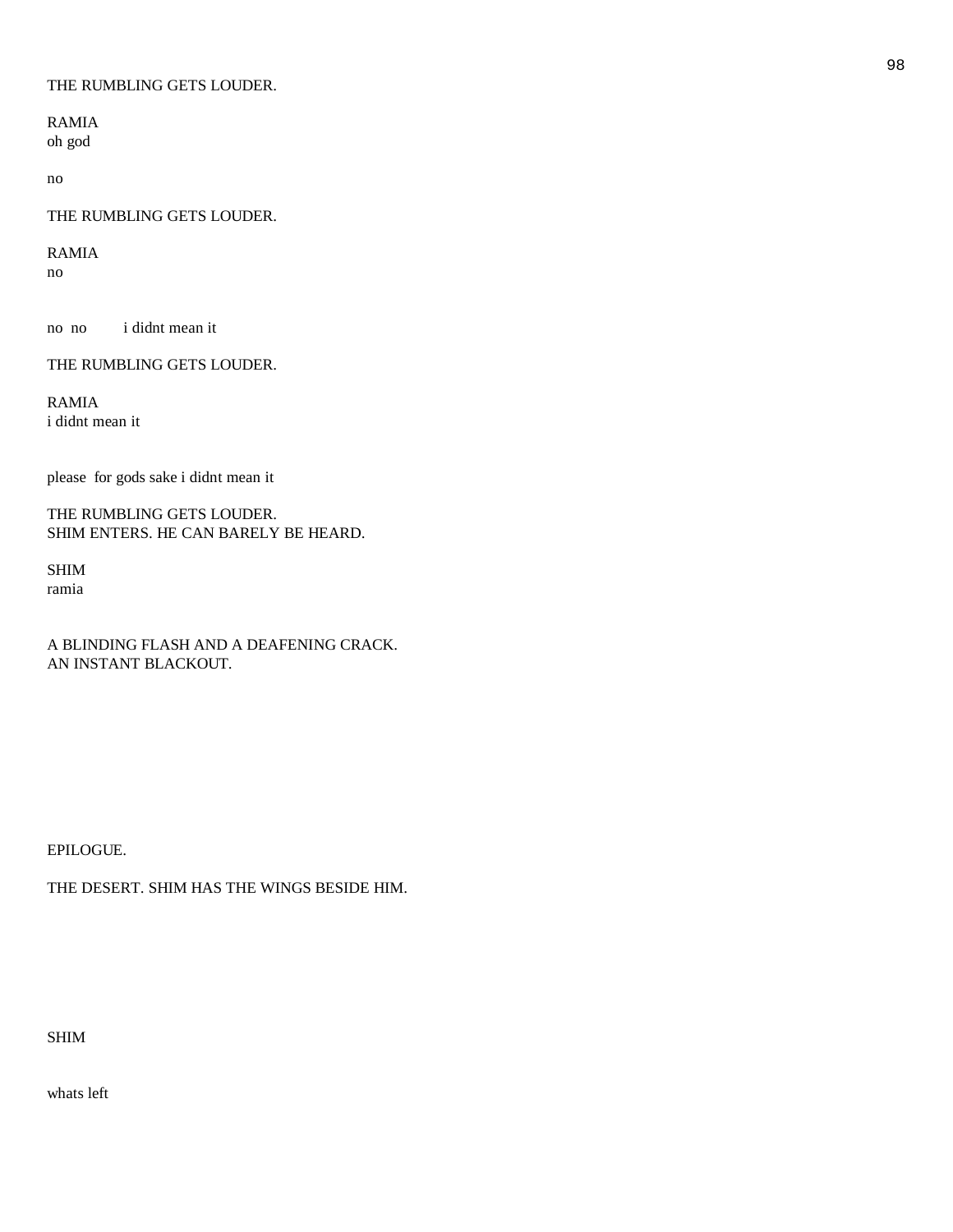#### THE RUMBLING GETS LOUDER.

RAMIA oh god

no

# THE RUMBLING GETS LOUDER.

RAMIA

no

no no i didnt mean it

THE RUMBLING GETS LOUDER.

RAMIA i didnt mean it

please for gods sake i didnt mean it

THE RUMBLING GETS LOUDER. SHIM ENTERS. HE CAN BARELY BE HEARD.

SHIM ramia

A BLINDING FLASH AND A DEAFENING CRACK. AN INSTANT BLACKOUT.

EPILOGUE.

THE DESERT. SHIM HAS THE WINGS BESIDE HIM.

# SHIM

whats left